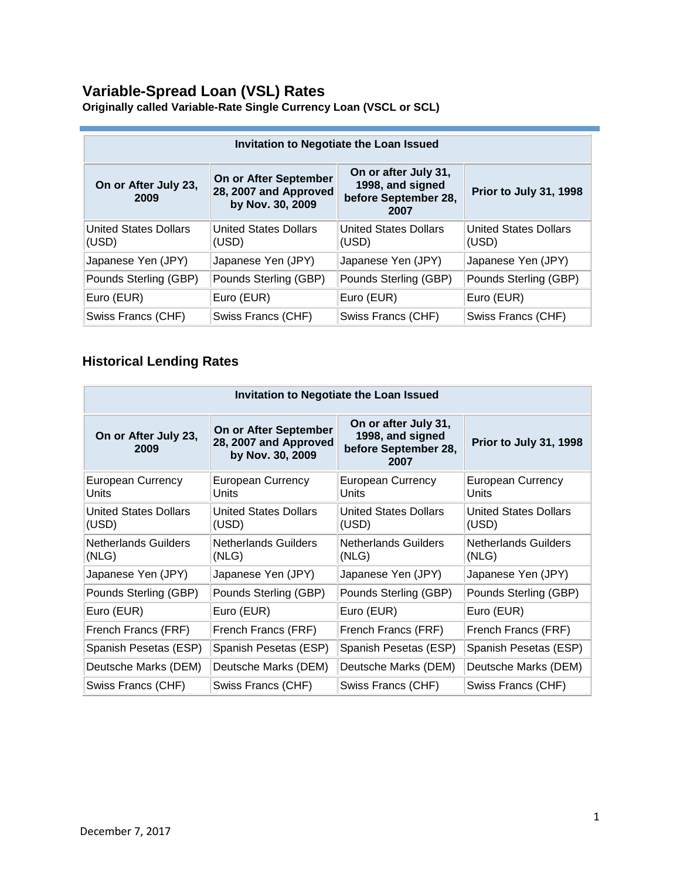### **Variable-Spread Loan (VSL) Rates**

| Invitation to Negotiate the Loan Issued                                                                                                                                        |                                       |                                       |                                       |
|--------------------------------------------------------------------------------------------------------------------------------------------------------------------------------|---------------------------------------|---------------------------------------|---------------------------------------|
| On or after July 31,<br>On or After September<br>On or After July 23,<br>1998, and signed<br>28, 2007 and Approved<br>before September 28,<br>2009<br>by Nov. 30, 2009<br>2007 |                                       | Prior to July 31, 1998                |                                       |
| <b>United States Dollars</b><br>(USD)                                                                                                                                          | <b>United States Dollars</b><br>(USD) | <b>United States Dollars</b><br>(USD) | <b>United States Dollars</b><br>(USD) |
| Japanese Yen (JPY)                                                                                                                                                             | Japanese Yen (JPY)                    | Japanese Yen (JPY)                    | Japanese Yen (JPY)                    |
| Pounds Sterling (GBP)                                                                                                                                                          | Pounds Sterling (GBP)                 | Pounds Sterling (GBP)                 | Pounds Sterling (GBP)                 |
| Euro (EUR)                                                                                                                                                                     | Euro (EUR)                            | Euro (EUR)                            | Euro (EUR)                            |
| Swiss Francs (CHF)                                                                                                                                                             | Swiss Francs (CHF)                    | Swiss Francs (CHF)                    | Swiss Francs (CHF)                    |

**Originally called Variable-Rate Single Currency Loan (VSCL or SCL)** 

### **Historical Lending Rates**

| <b>Invitation to Negotiate the Loan Issued</b> |                                                                    |                                                                          |                                       |
|------------------------------------------------|--------------------------------------------------------------------|--------------------------------------------------------------------------|---------------------------------------|
| On or After July 23,<br>2009                   | On or After September<br>28, 2007 and Approved<br>by Nov. 30, 2009 | On or after July 31,<br>1998, and signed<br>before September 28,<br>2007 | Prior to July 31, 1998                |
| <b>European Currency</b><br>Units              | European Currency<br>Units                                         | <b>European Currency</b><br>Units                                        | European Currency<br>Units            |
| <b>United States Dollars</b><br>(USD)          | <b>United States Dollars</b><br>(USD)                              | <b>United States Dollars</b><br>(USD)                                    | <b>United States Dollars</b><br>(USD) |
| <b>Netherlands Guilders</b><br>(NLG)           | <b>Netherlands Guilders</b><br>(NLG)                               | <b>Netherlands Guilders</b><br>(NLG)                                     | <b>Netherlands Guilders</b><br>(NLG)  |
| Japanese Yen (JPY)                             | Japanese Yen (JPY)                                                 | Japanese Yen (JPY)                                                       | Japanese Yen (JPY)                    |
| Pounds Sterling (GBP)                          | Pounds Sterling (GBP)                                              | Pounds Sterling (GBP)                                                    | Pounds Sterling (GBP)                 |
| Euro (EUR)                                     | Euro (EUR)                                                         | Euro (EUR)                                                               | Euro (EUR)                            |
| French Francs (FRF)                            | French Francs (FRF)                                                | French Francs (FRF)                                                      | French Francs (FRF)                   |
| Spanish Pesetas (ESP)                          | Spanish Pesetas (ESP)                                              | Spanish Pesetas (ESP)                                                    | Spanish Pesetas (ESP)                 |
| Deutsche Marks (DEM)                           | Deutsche Marks (DEM)                                               | Deutsche Marks (DEM)                                                     | Deutsche Marks (DEM)                  |
| Swiss Francs (CHF)                             | Swiss Francs (CHF)                                                 | Swiss Francs (CHF)                                                       | Swiss Francs (CHF)                    |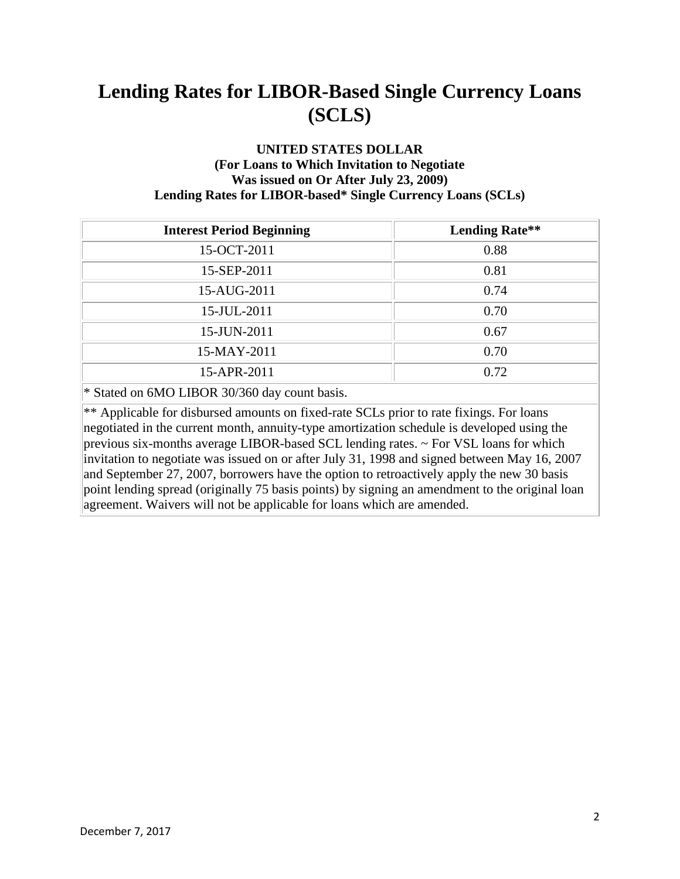#### **UNITED STATES DOLLAR (For Loans to Which Invitation to Negotiate Was issued on Or After July 23, 2009) Lending Rates for LIBOR-based\* Single Currency Loans (SCLs)**

| <b>Interest Period Beginning</b>                                                                                                                                                    | <b>Lending Rate**</b> |
|-------------------------------------------------------------------------------------------------------------------------------------------------------------------------------------|-----------------------|
| 15-OCT-2011                                                                                                                                                                         | 0.88                  |
| 15-SEP-2011                                                                                                                                                                         | 0.81                  |
| 15-AUG-2011                                                                                                                                                                         | 0.74                  |
| 15-JUL-2011                                                                                                                                                                         | 0.70                  |
| 15-JUN-2011                                                                                                                                                                         | 0.67                  |
| 15-MAY-2011                                                                                                                                                                         | 0.70                  |
| 15-APR-2011                                                                                                                                                                         | 0.72                  |
| $\mathbf{u} \cdot \mathbf{a}$ $\mathbf{u} \cdot \mathbf{a}$ $\mathbf{u} \cdot \mathbf{a}$ $\mathbf{u} \cdot \mathbf{a}$ $\mathbf{u} \cdot \mathbf{a}$ $\mathbf{u} \cdot \mathbf{a}$ |                       |

\* Stated on 6MO LIBOR 30/360 day count basis.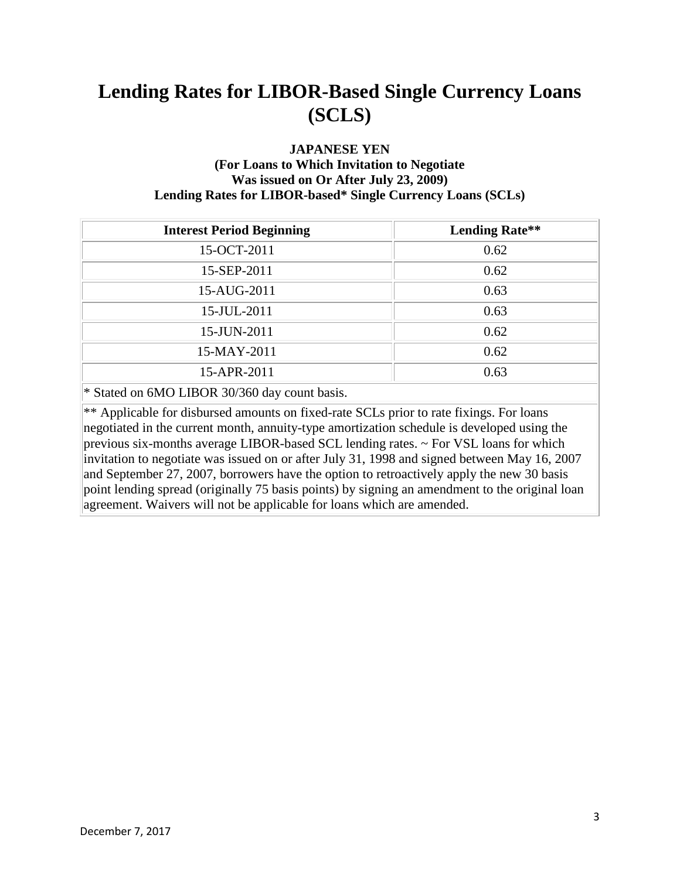#### **JAPANESE YEN (For Loans to Which Invitation to Negotiate Was issued on Or After July 23, 2009) Lending Rates for LIBOR-based\* Single Currency Loans (SCLs)**

| <b>Interest Period Beginning</b>                                                                                                                                                                                                                                                                                    | <b>Lending Rate**</b> |  |
|---------------------------------------------------------------------------------------------------------------------------------------------------------------------------------------------------------------------------------------------------------------------------------------------------------------------|-----------------------|--|
| 15-OCT-2011                                                                                                                                                                                                                                                                                                         | 0.62                  |  |
| 15-SEP-2011                                                                                                                                                                                                                                                                                                         | 0.62                  |  |
| 15-AUG-2011                                                                                                                                                                                                                                                                                                         | 0.63                  |  |
| 15-JUL-2011                                                                                                                                                                                                                                                                                                         | 0.63                  |  |
| 15-JUN-2011                                                                                                                                                                                                                                                                                                         | 0.62                  |  |
| 15-MAY-2011                                                                                                                                                                                                                                                                                                         | 0.62                  |  |
| 15-APR-2011                                                                                                                                                                                                                                                                                                         | 0.63                  |  |
| $\mathcal{L}$ a $\mathcal{L}$ and $\mathcal{L}$ and $\mathcal{L}$ and $\mathcal{L}$ and $\mathcal{L}$ and $\mathcal{L}$ and $\mathcal{L}$ and $\mathcal{L}$ and $\mathcal{L}$ and $\mathcal{L}$ and $\mathcal{L}$ and $\mathcal{L}$ and $\mathcal{L}$ and $\mathcal{L}$ and $\mathcal{L}$ and $\mathcal{L}$ and $\$ |                       |  |

\* Stated on 6MO LIBOR 30/360 day count basis.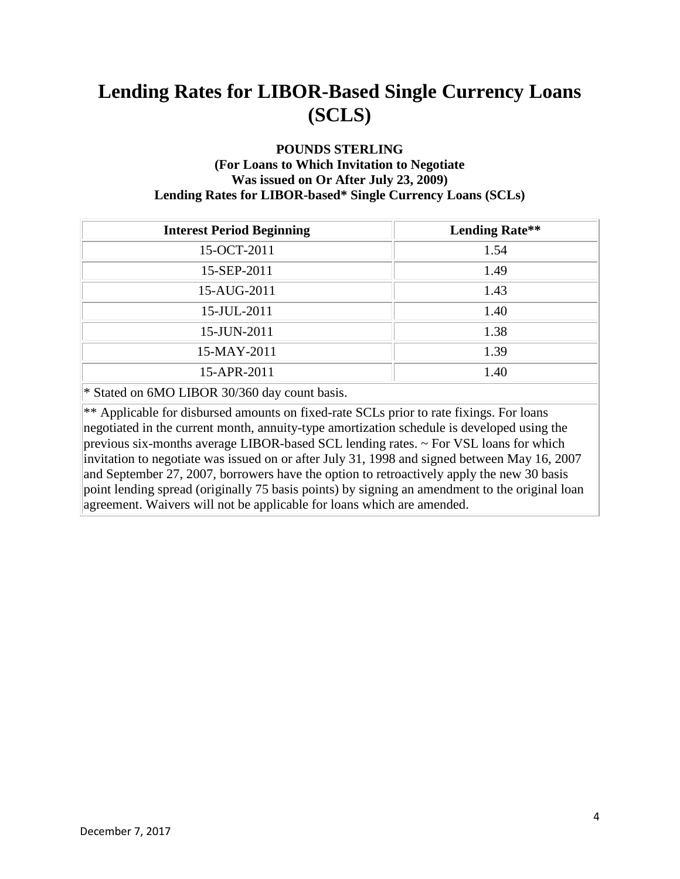#### **POUNDS STERLING (For Loans to Which Invitation to Negotiate Was issued on Or After July 23, 2009) Lending Rates for LIBOR-based\* Single Currency Loans (SCLs)**

| <b>Interest Period Beginning</b>                                | <b>Lending Rate**</b> |
|-----------------------------------------------------------------|-----------------------|
| 15-OCT-2011                                                     | 1.54                  |
| 15-SEP-2011                                                     | 1.49                  |
| 15-AUG-2011                                                     | 1.43                  |
| 15-JUL-2011                                                     | 1.40                  |
| 15-JUN-2011                                                     | 1.38                  |
| 15-MAY-2011                                                     | 1.39                  |
| 15-APR-2011                                                     | 1.40                  |
| $A \cap (1, 1)$ $A \cap (1, 1)$ $A \cap (1, 1)$ $A \cap (1, 1)$ |                       |

\* Stated on 6MO LIBOR 30/360 day count basis.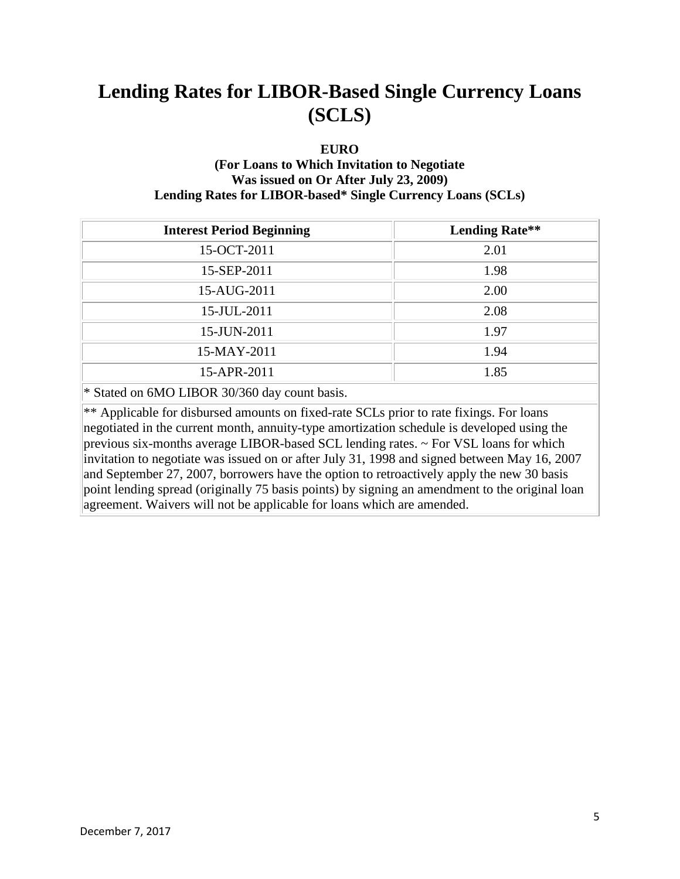#### **EURO**

### **(For Loans to Which Invitation to Negotiate Was issued on Or After July 23, 2009) Lending Rates for LIBOR-based\* Single Currency Loans (SCLs)**

| <b>Interest Period Beginning</b> | <b>Lending Rate**</b> |
|----------------------------------|-----------------------|
| 15-OCT-2011                      | 2.01                  |
| 15-SEP-2011                      | 1.98                  |
| 15-AUG-2011                      | 2.00                  |
| 15-JUL-2011                      | 2.08                  |
| 15-JUN-2011                      | 1.97                  |
| 15-MAY-2011                      | 1.94                  |
| 15-APR-2011                      | 1.85                  |

\* Stated on 6MO LIBOR 30/360 day count basis.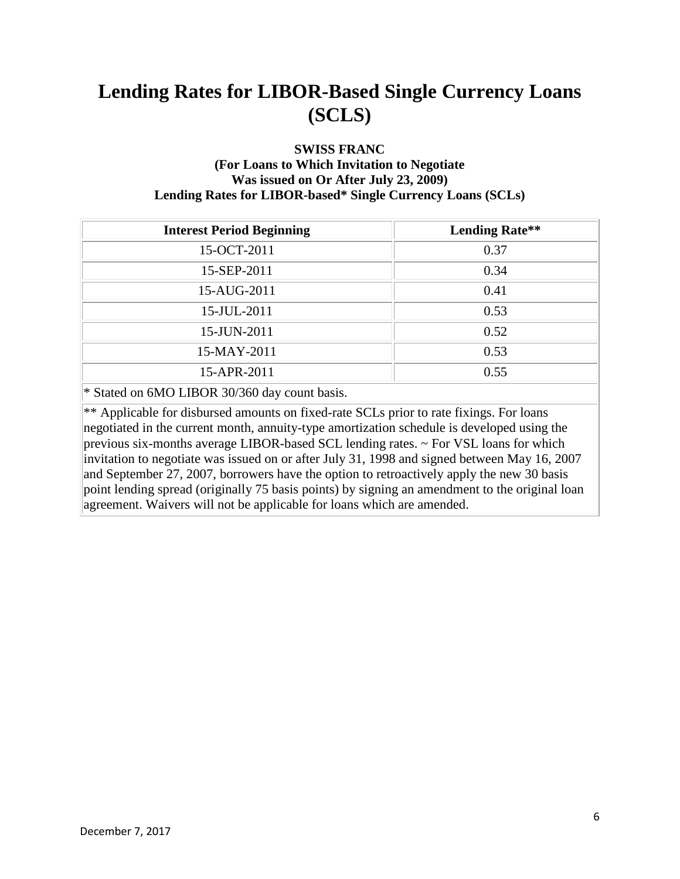#### **SWISS FRANC (For Loans to Which Invitation to Negotiate Was issued on Or After July 23, 2009) Lending Rates for LIBOR-based\* Single Currency Loans (SCLs)**

| <b>Interest Period Beginning</b> | <b>Lending Rate**</b> |
|----------------------------------|-----------------------|
| 15-OCT-2011                      | 0.37                  |
| 15-SEP-2011                      | 0.34                  |
| 15-AUG-2011                      | 0.41                  |
| 15-JUL-2011                      | 0.53                  |
| 15-JUN-2011                      | 0.52                  |
| 15-MAY-2011                      | 0.53                  |
| 15-APR-2011                      | 0.55                  |

\* Stated on 6MO LIBOR 30/360 day count basis.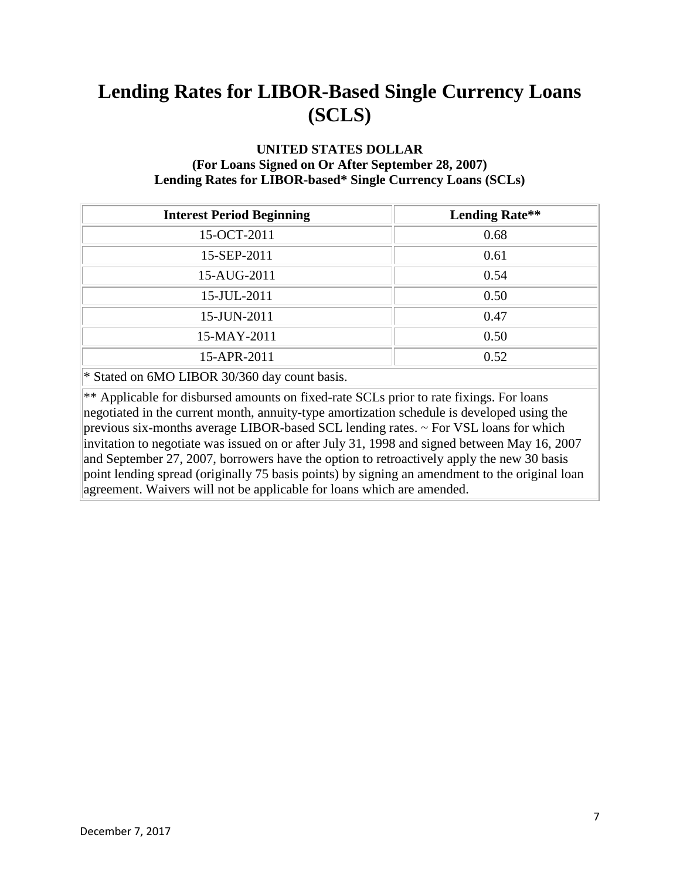#### **UNITED STATES DOLLAR (For Loans Signed on Or After September 28, 2007) Lending Rates for LIBOR-based\* Single Currency Loans (SCLs)**

| <b>Interest Period Beginning</b>                                                                                                                                                                                                                                                                                                                            | <b>Lending Rate**</b> |
|-------------------------------------------------------------------------------------------------------------------------------------------------------------------------------------------------------------------------------------------------------------------------------------------------------------------------------------------------------------|-----------------------|
| 15-OCT-2011                                                                                                                                                                                                                                                                                                                                                 | 0.68                  |
| 15-SEP-2011                                                                                                                                                                                                                                                                                                                                                 | 0.61                  |
| 15-AUG-2011                                                                                                                                                                                                                                                                                                                                                 | 0.54                  |
| 15-JUL-2011                                                                                                                                                                                                                                                                                                                                                 | 0.50                  |
| 15-JUN-2011                                                                                                                                                                                                                                                                                                                                                 | 0.47                  |
| 15-MAY-2011                                                                                                                                                                                                                                                                                                                                                 | 0.50                  |
| 15-APR-2011                                                                                                                                                                                                                                                                                                                                                 | 0.52                  |
| $\mathcal{L}$ $\mathcal{L}$ $\mathcal{L}$ $\mathcal{L}$ $\mathcal{L}$ $\mathcal{L}$ $\mathcal{L}$ $\mathcal{L}$ $\mathcal{L}$ $\mathcal{L}$ $\mathcal{L}$ $\mathcal{L}$ $\mathcal{L}$ $\mathcal{L}$ $\mathcal{L}$ $\mathcal{L}$ $\mathcal{L}$ $\mathcal{L}$ $\mathcal{L}$ $\mathcal{L}$ $\mathcal{L}$ $\mathcal{L}$ $\mathcal{L}$ $\mathcal{L}$ $\mathcal{$ |                       |

\* Stated on 6MO LIBOR 30/360 day count basis.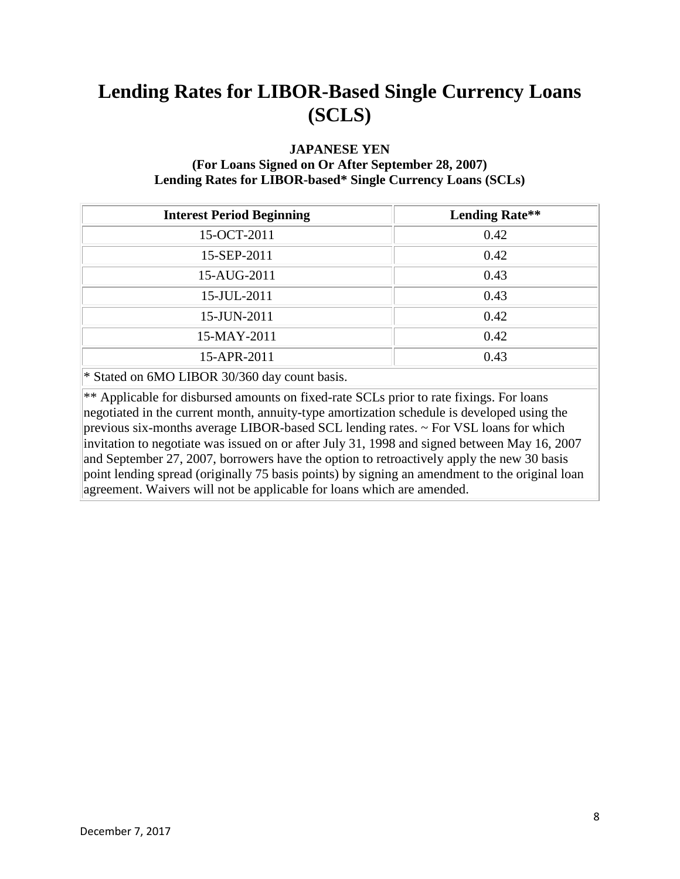### **JAPANESE YEN**

#### **(For Loans Signed on Or After September 28, 2007) Lending Rates for LIBOR-based\* Single Currency Loans (SCLs)**

| <b>Interest Period Beginning</b>                                                                                                                                                                                                                                                                                                                            | <b>Lending Rate**</b> |
|-------------------------------------------------------------------------------------------------------------------------------------------------------------------------------------------------------------------------------------------------------------------------------------------------------------------------------------------------------------|-----------------------|
| 15-OCT-2011                                                                                                                                                                                                                                                                                                                                                 | 0.42                  |
| 15-SEP-2011                                                                                                                                                                                                                                                                                                                                                 | 0.42                  |
| 15-AUG-2011                                                                                                                                                                                                                                                                                                                                                 | 0.43                  |
| 15-JUL-2011                                                                                                                                                                                                                                                                                                                                                 | 0.43                  |
| 15-JUN-2011                                                                                                                                                                                                                                                                                                                                                 | 0.42                  |
| 15-MAY-2011                                                                                                                                                                                                                                                                                                                                                 | 0.42                  |
| 15-APR-2011                                                                                                                                                                                                                                                                                                                                                 | 0.43                  |
| $\mathcal{L}$ $\mathcal{L}$ $\mathcal{L}$ $\mathcal{L}$ $\mathcal{L}$ $\mathcal{L}$ $\mathcal{L}$ $\mathcal{L}$ $\mathcal{L}$ $\mathcal{L}$ $\mathcal{L}$ $\mathcal{L}$ $\mathcal{L}$ $\mathcal{L}$ $\mathcal{L}$ $\mathcal{L}$ $\mathcal{L}$ $\mathcal{L}$ $\mathcal{L}$ $\mathcal{L}$ $\mathcal{L}$ $\mathcal{L}$ $\mathcal{L}$ $\mathcal{L}$ $\mathcal{$ |                       |

\* Stated on 6MO LIBOR 30/360 day count basis.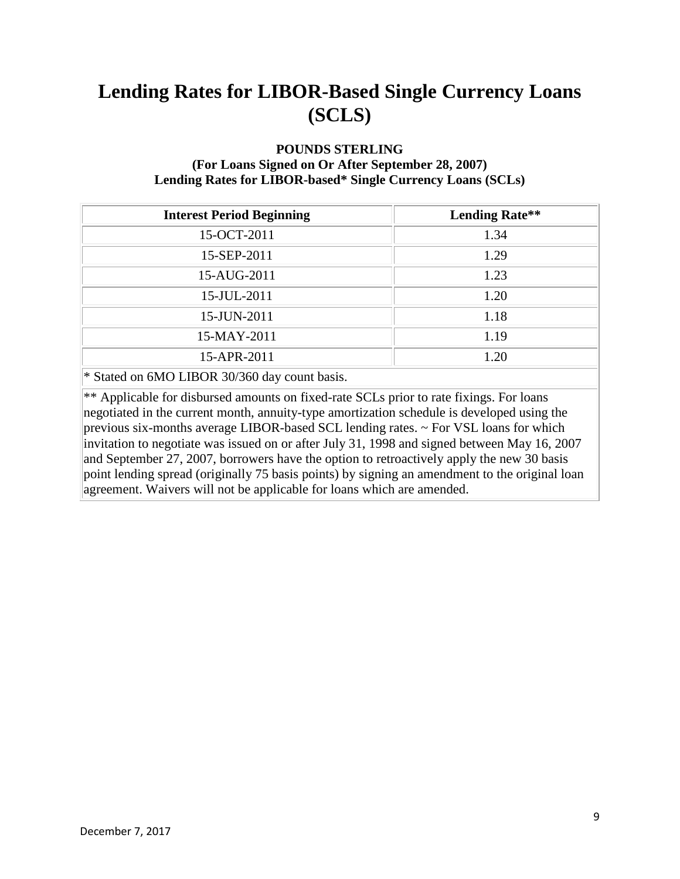#### **POUNDS STERLING**

#### **(For Loans Signed on Or After September 28, 2007) Lending Rates for LIBOR-based\* Single Currency Loans (SCLs)**

| <b>Interest Period Beginning</b>                                                 | <b>Lending Rate**</b> |
|----------------------------------------------------------------------------------|-----------------------|
| 15-OCT-2011                                                                      | 1.34                  |
| 15-SEP-2011                                                                      | 1.29                  |
| 15-AUG-2011                                                                      | 1.23                  |
| 15-JUL-2011                                                                      | 1.20                  |
| 15-JUN-2011                                                                      | 1.18                  |
| 15-MAY-2011                                                                      | 1.19                  |
| 15-APR-2011                                                                      | 1.20                  |
| $*$ 0. $\pm$ 1 $\leq$ 10. $\pm$ 10. $\pm$ 0. $\pm$ 0. $\pm$ 0. $\pm$<br>$\cdots$ |                       |

\* Stated on 6MO LIBOR 30/360 day count basis.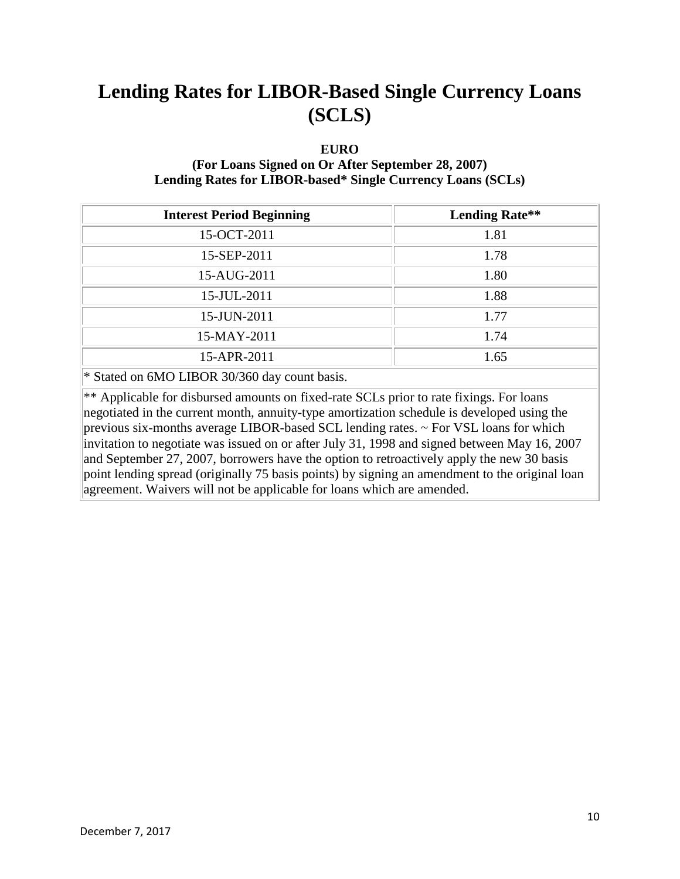#### **EURO**

### **(For Loans Signed on Or After September 28, 2007) Lending Rates for LIBOR-based\* Single Currency Loans (SCLs)**

| <b>Interest Period Beginning</b>                                                               | <b>Lending Rate**</b> |  |
|------------------------------------------------------------------------------------------------|-----------------------|--|
| 15-OCT-2011                                                                                    | 1.81                  |  |
| 15-SEP-2011                                                                                    | 1.78                  |  |
| 15-AUG-2011                                                                                    | 1.80                  |  |
| 15-JUL-2011                                                                                    | 1.88                  |  |
| 15-JUN-2011                                                                                    | 1.77                  |  |
| 15-MAY-2011                                                                                    | 1.74                  |  |
| 15-APR-2011                                                                                    | 1.65                  |  |
| $\star$ C <sub>tata</sub> $1 - \epsilon$ (MO I IDOD 20/260 $1 - \epsilon$ and $1 - \epsilon$ ) |                       |  |

\* Stated on 6MO LIBOR 30/360 day count basis.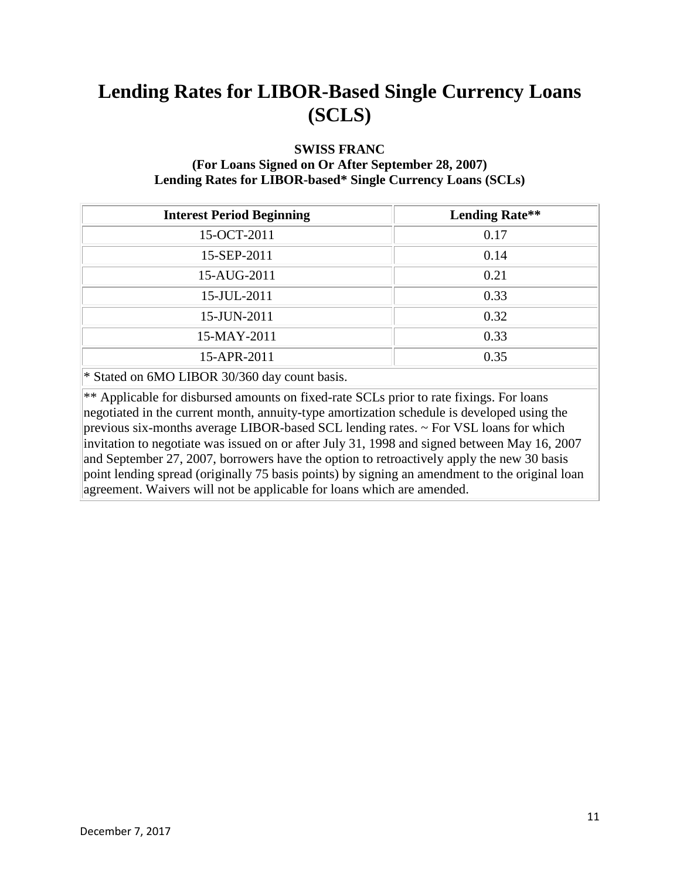#### **SWISS FRANC**

#### **(For Loans Signed on Or After September 28, 2007) Lending Rates for LIBOR-based\* Single Currency Loans (SCLs)**

| <b>Interest Period Beginning</b>                                                                                 | <b>Lending Rate**</b> |  |
|------------------------------------------------------------------------------------------------------------------|-----------------------|--|
| 15-OCT-2011                                                                                                      | 0.17                  |  |
| 15-SEP-2011                                                                                                      | 0.14                  |  |
| 15-AUG-2011                                                                                                      | 0.21                  |  |
| 15-JUL-2011                                                                                                      | 0.33                  |  |
| 15-JUN-2011                                                                                                      | 0.32                  |  |
| 15-MAY-2011                                                                                                      | 0.33                  |  |
| 15-APR-2011                                                                                                      | 0.35                  |  |
| $*$ 0. 1 $\bigcup_{i=1}^{n}$ 0. 1 $\bigcap_{i=1}^{n}$ 0. 20. 20. 20. 1 $\bigcup_{i=1}^{n}$ 1 $\bigcup_{i=1}^{n}$ |                       |  |

\* Stated on 6MO LIBOR 30/360 day count basis.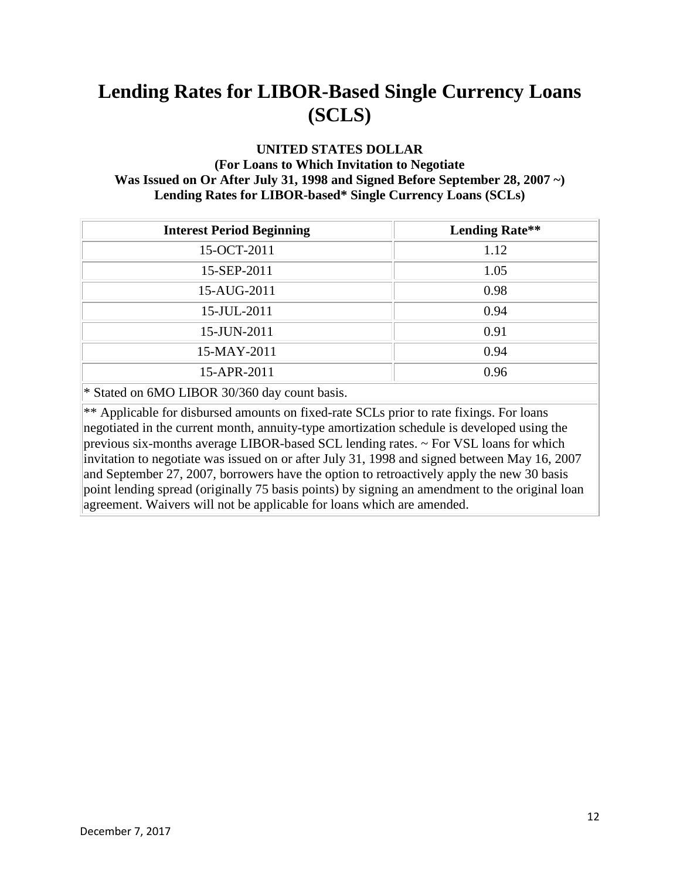#### **UNITED STATES DOLLAR**

### **(For Loans to Which Invitation to Negotiate Was Issued on Or After July 31, 1998 and Signed Before September 28, 2007 ~) Lending Rates for LIBOR-based\* Single Currency Loans (SCLs)**

| <b>Interest Period Beginning</b>                                                          | <b>Lending Rate**</b> |
|-------------------------------------------------------------------------------------------|-----------------------|
| 15-OCT-2011                                                                               | 1.12                  |
| 15-SEP-2011                                                                               | 1.05                  |
| 15-AUG-2011                                                                               | 0.98                  |
| 15-JUL-2011                                                                               | 0.94                  |
| 15-JUN-2011                                                                               | 0.91                  |
| 15-MAY-2011                                                                               | 0.94                  |
| 15-APR-2011                                                                               | 0.96                  |
| $\mathbf{u} \cdot \mathbf{a}$ is exponentially the state of $\mathbf{u} \cdot \mathbf{a}$ |                       |

\* Stated on 6MO LIBOR 30/360 day count basis.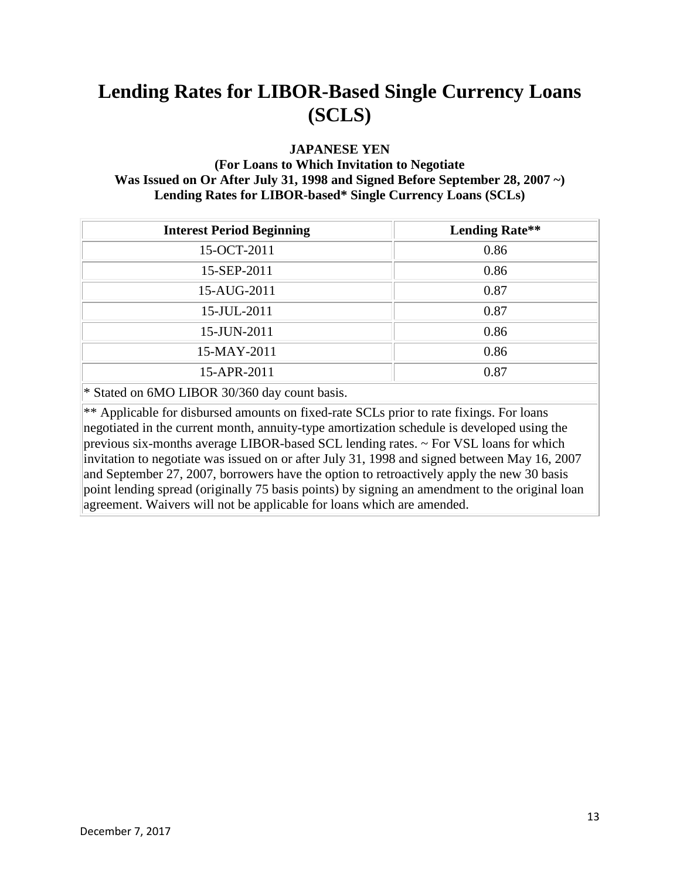#### **JAPANESE YEN**

### **(For Loans to Which Invitation to Negotiate Was Issued on Or After July 31, 1998 and Signed Before September 28, 2007 ~) Lending Rates for LIBOR-based\* Single Currency Loans (SCLs)**

| <b>Interest Period Beginning</b> | <b>Lending Rate**</b> |
|----------------------------------|-----------------------|
| 15-OCT-2011                      | 0.86                  |
| 15-SEP-2011                      | 0.86                  |
| 15-AUG-2011                      | 0.87                  |
| 15-JUL-2011                      | 0.87                  |
| 15-JUN-2011                      | 0.86                  |
| 15-MAY-2011                      | 0.86                  |
| 15-APR-2011                      | 0.87                  |

\* Stated on 6MO LIBOR 30/360 day count basis.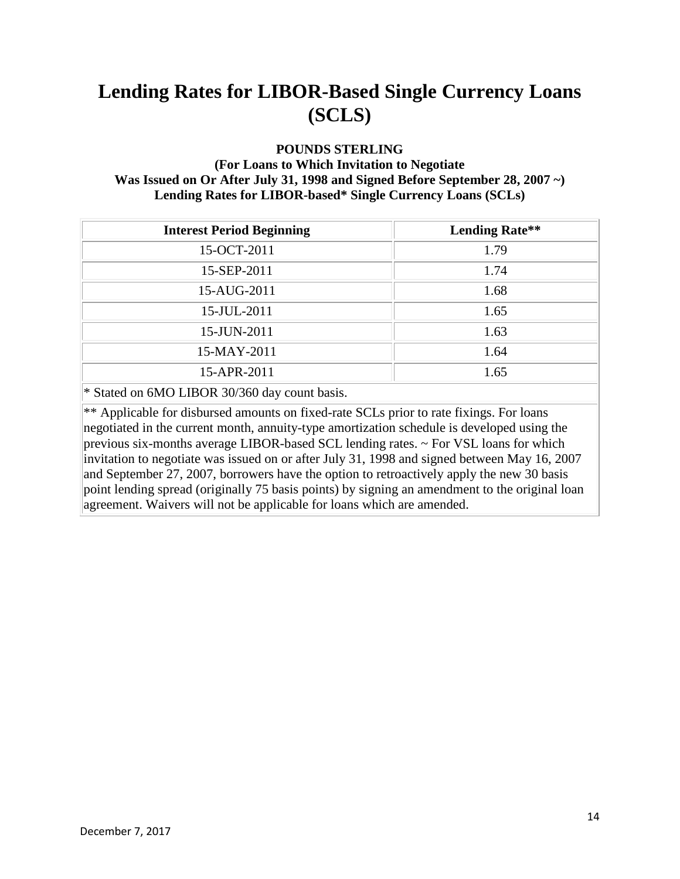#### **POUNDS STERLING**

### **(For Loans to Which Invitation to Negotiate Was Issued on Or After July 31, 1998 and Signed Before September 28, 2007 ~) Lending Rates for LIBOR-based\* Single Currency Loans (SCLs)**

| <b>Interest Period Beginning</b> | <b>Lending Rate**</b> |
|----------------------------------|-----------------------|
| 15-OCT-2011                      | 1.79                  |
| 15-SEP-2011                      | 1.74                  |
| 15-AUG-2011                      | 1.68                  |
| 15-JUL-2011                      | 1.65                  |
| 15-JUN-2011                      | 1.63                  |
| 15-MAY-2011                      | 1.64                  |
| 15-APR-2011                      | 1.65                  |
|                                  |                       |

\* Stated on 6MO LIBOR 30/360 day count basis.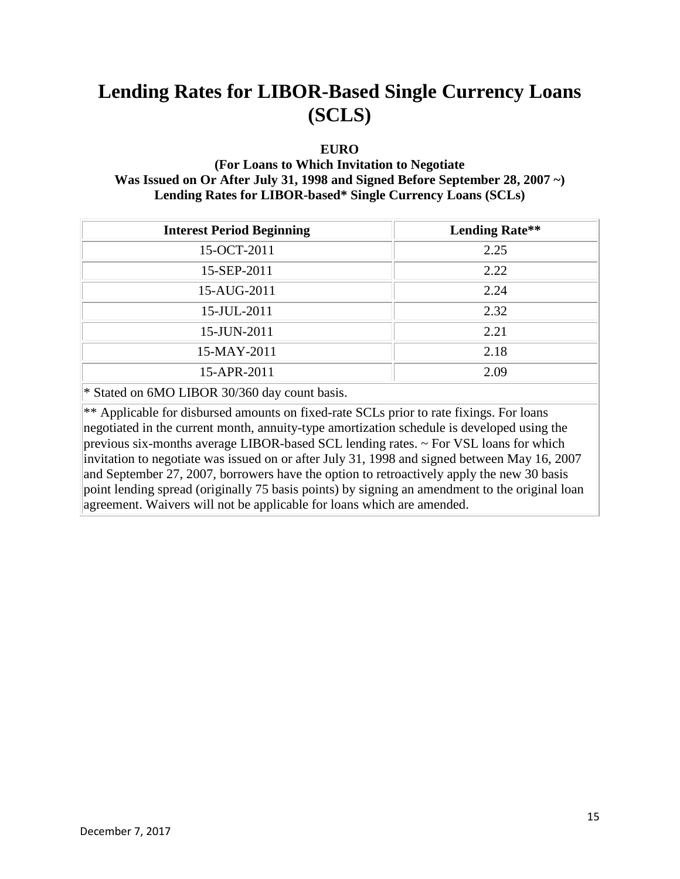#### **EURO**

### **(For Loans to Which Invitation to Negotiate Was Issued on Or After July 31, 1998 and Signed Before September 28, 2007 ~) Lending Rates for LIBOR-based\* Single Currency Loans (SCLs)**

| <b>Lending Rate**</b> |
|-----------------------|
| 2.25                  |
| 2.22                  |
| 2.24                  |
| 2.32                  |
| 2.21                  |
| 2.18                  |
| 2.09                  |
|                       |

\* Stated on 6MO LIBOR 30/360 day count basis.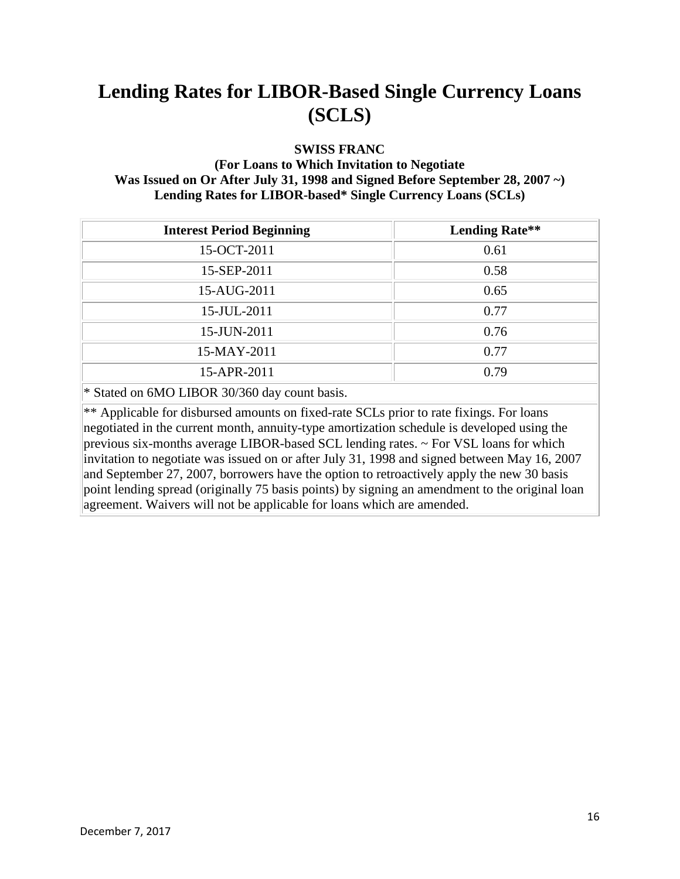#### **SWISS FRANC**

### **(For Loans to Which Invitation to Negotiate Was Issued on Or After July 31, 1998 and Signed Before September 28, 2007 ~) Lending Rates for LIBOR-based\* Single Currency Loans (SCLs)**

| <b>Interest Period Beginning</b>                                                          | <b>Lending Rate**</b> |
|-------------------------------------------------------------------------------------------|-----------------------|
| 15-OCT-2011                                                                               | 0.61                  |
| 15-SEP-2011                                                                               | 0.58                  |
| 15-AUG-2011                                                                               | 0.65                  |
| 15-JUL-2011                                                                               | 0.77                  |
| 15-JUN-2011                                                                               | 0.76                  |
| 15-MAY-2011                                                                               | 0.77                  |
| 15-APR-2011                                                                               | 0.79                  |
| $\mathbf{u} \cdot \mathbf{a}$ is exponentially the state of $\mathbf{u} \cdot \mathbf{a}$ |                       |

\* Stated on 6MO LIBOR 30/360 day count basis.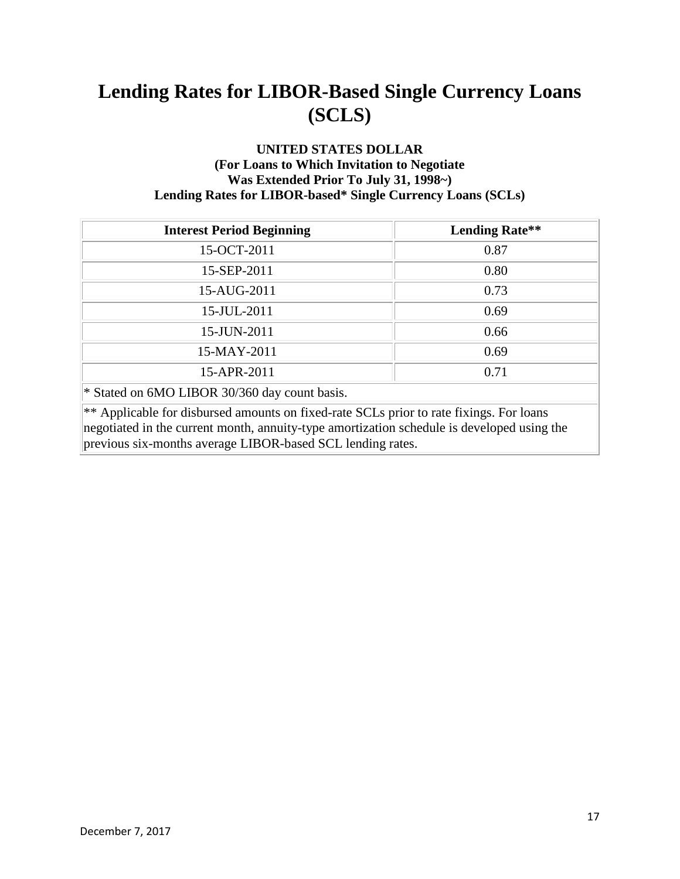### **UNITED STATES DOLLAR (For Loans to Which Invitation to Negotiate Was Extended Prior To July 31, 1998~) Lending Rates for LIBOR-based\* Single Currency Loans (SCLs)**

| <b>Interest Period Beginning</b>                                                                                                                                                                                                                    | <b>Lending Rate**</b> |  |
|-----------------------------------------------------------------------------------------------------------------------------------------------------------------------------------------------------------------------------------------------------|-----------------------|--|
| 15-OCT-2011                                                                                                                                                                                                                                         | 0.87                  |  |
| 15-SEP-2011                                                                                                                                                                                                                                         | 0.80                  |  |
| 15-AUG-2011                                                                                                                                                                                                                                         | 0.73                  |  |
| 15-JUL-2011                                                                                                                                                                                                                                         | 0.69                  |  |
| 15-JUN-2011                                                                                                                                                                                                                                         | 0.66                  |  |
| 15-MAY-2011                                                                                                                                                                                                                                         | 0.69                  |  |
| 15-APR-2011                                                                                                                                                                                                                                         | 0.71                  |  |
| * Stated on 6MO LIBOR 30/360 day count basis.                                                                                                                                                                                                       |                       |  |
| ** Applicable for disbursed amounts on fixed-rate SCLs prior to rate fixings. For loans<br>negotiated in the current month, annuity-type amortization schedule is developed using the<br>previous six-months average LIBOR-based SCL lending rates. |                       |  |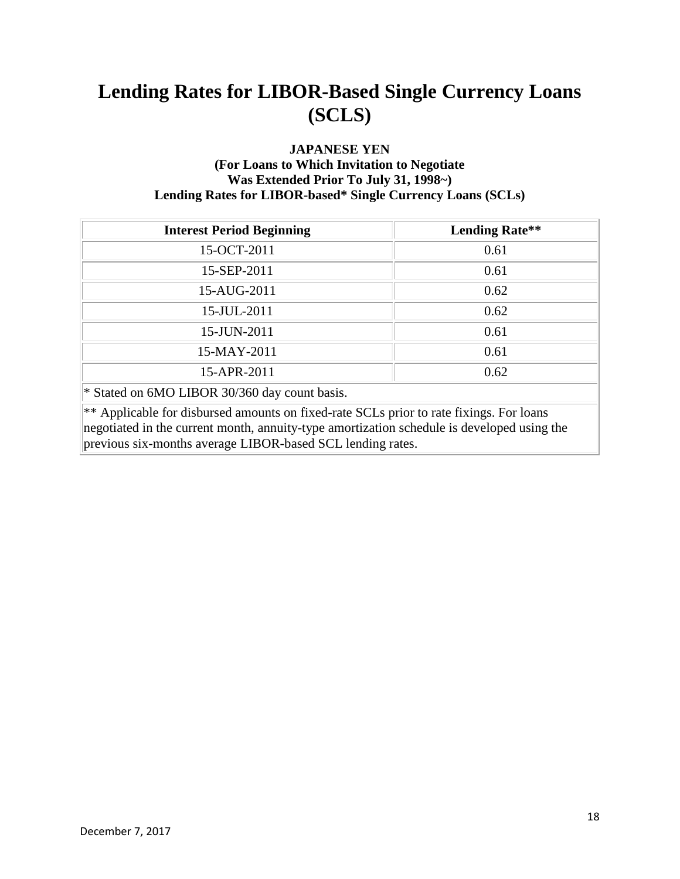### **JAPANESE YEN (For Loans to Which Invitation to Negotiate Was Extended Prior To July 31, 1998~) Lending Rates for LIBOR-based\* Single Currency Loans (SCLs)**

| <b>Interest Period Beginning</b>                                                                                                                                                                                                                    | <b>Lending Rate**</b> |  |
|-----------------------------------------------------------------------------------------------------------------------------------------------------------------------------------------------------------------------------------------------------|-----------------------|--|
| 15-OCT-2011                                                                                                                                                                                                                                         | 0.61                  |  |
| 15-SEP-2011                                                                                                                                                                                                                                         | 0.61                  |  |
| 15-AUG-2011                                                                                                                                                                                                                                         | 0.62                  |  |
| 15-JUL-2011                                                                                                                                                                                                                                         | 0.62                  |  |
| 15-JUN-2011                                                                                                                                                                                                                                         | 0.61                  |  |
| 15-MAY-2011                                                                                                                                                                                                                                         | 0.61                  |  |
| 15-APR-2011                                                                                                                                                                                                                                         | 0.62                  |  |
| * Stated on 6MO LIBOR 30/360 day count basis.                                                                                                                                                                                                       |                       |  |
| ** Applicable for disbursed amounts on fixed-rate SCLs prior to rate fixings. For loans<br>negotiated in the current month, annuity-type amortization schedule is developed using the<br>previous six-months average LIBOR-based SCL lending rates. |                       |  |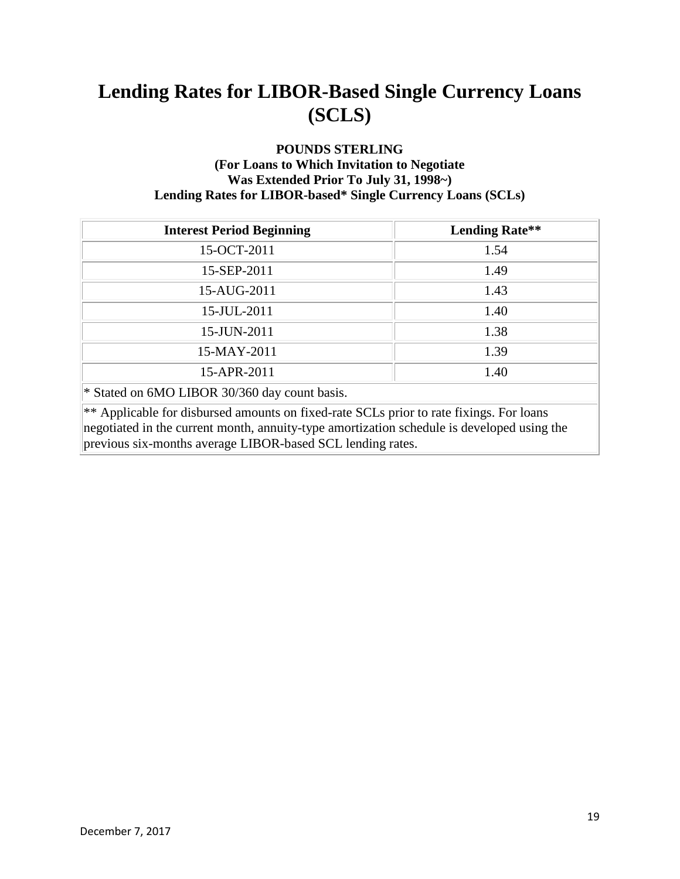### **POUNDS STERLING (For Loans to Which Invitation to Negotiate Was Extended Prior To July 31, 1998~) Lending Rates for LIBOR-based\* Single Currency Loans (SCLs)**

| <b>Interest Period Beginning</b>                                                                                                                                                                                                                    | <b>Lending Rate**</b> |  |
|-----------------------------------------------------------------------------------------------------------------------------------------------------------------------------------------------------------------------------------------------------|-----------------------|--|
| 15-OCT-2011                                                                                                                                                                                                                                         | 1.54                  |  |
| 15-SEP-2011                                                                                                                                                                                                                                         | 1.49                  |  |
| 15-AUG-2011                                                                                                                                                                                                                                         | 1.43                  |  |
| 15-JUL-2011                                                                                                                                                                                                                                         | 1.40                  |  |
| 15-JUN-2011                                                                                                                                                                                                                                         | 1.38                  |  |
| 15-MAY-2011                                                                                                                                                                                                                                         | 1.39                  |  |
| 15-APR-2011                                                                                                                                                                                                                                         | 1.40                  |  |
| * Stated on 6MO LIBOR 30/360 day count basis.                                                                                                                                                                                                       |                       |  |
| ** Applicable for disbursed amounts on fixed-rate SCLs prior to rate fixings. For loans<br>negotiated in the current month, annuity-type amortization schedule is developed using the<br>previous six-months average LIBOR-based SCL lending rates. |                       |  |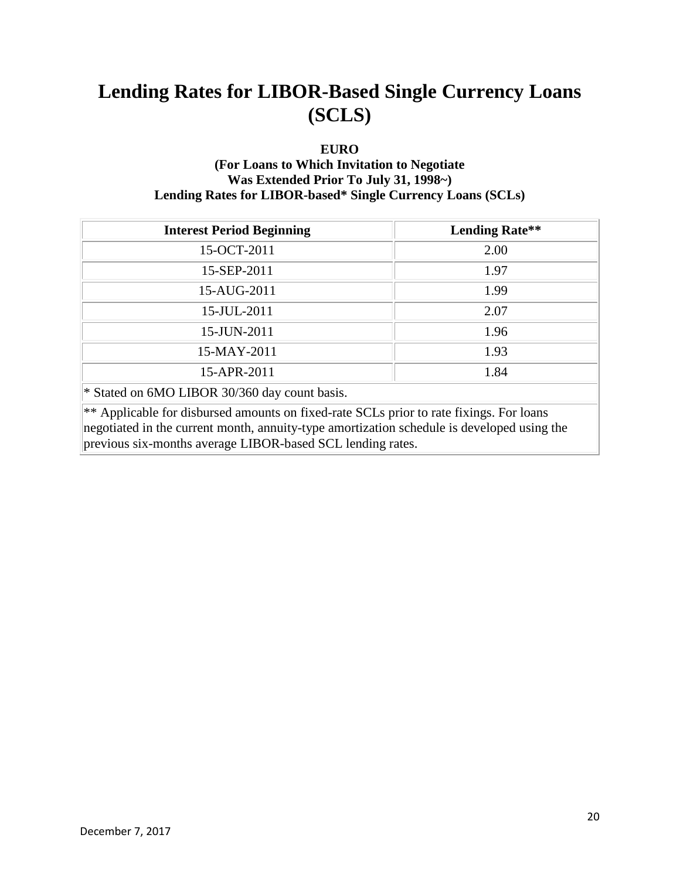### **EURO**

### **(For Loans to Which Invitation to Negotiate Was Extended Prior To July 31, 1998~) Lending Rates for LIBOR-based\* Single Currency Loans (SCLs)**

| <b>Interest Period Beginning</b>                                                                                                                                                                                                                    | <b>Lending Rate**</b> |  |
|-----------------------------------------------------------------------------------------------------------------------------------------------------------------------------------------------------------------------------------------------------|-----------------------|--|
| 15-OCT-2011                                                                                                                                                                                                                                         | 2.00                  |  |
| 15-SEP-2011                                                                                                                                                                                                                                         | 1.97                  |  |
| 15-AUG-2011                                                                                                                                                                                                                                         | 1.99                  |  |
| 15-JUL-2011                                                                                                                                                                                                                                         | 2.07                  |  |
| 15-JUN-2011                                                                                                                                                                                                                                         | 1.96                  |  |
| 15-MAY-2011                                                                                                                                                                                                                                         | 1.93                  |  |
| 15-APR-2011                                                                                                                                                                                                                                         | 1.84                  |  |
| * Stated on 6MO LIBOR 30/360 day count basis.                                                                                                                                                                                                       |                       |  |
| ** Applicable for disbursed amounts on fixed-rate SCLs prior to rate fixings. For loans<br>negotiated in the current month, annuity-type amortization schedule is developed using the<br>previous six-months average LIBOR-based SCL lending rates. |                       |  |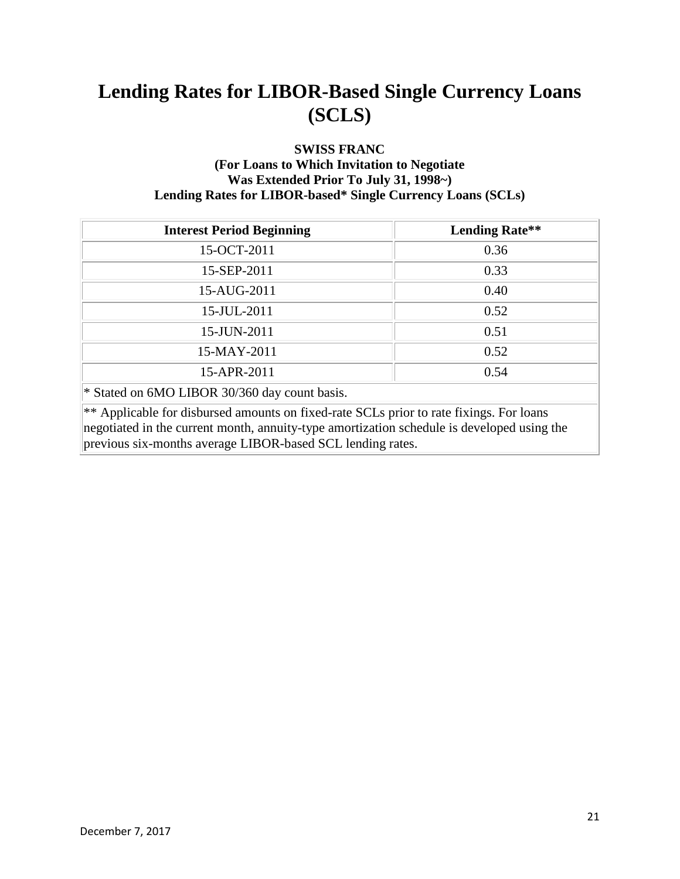### **SWISS FRANC (For Loans to Which Invitation to Negotiate Was Extended Prior To July 31, 1998~) Lending Rates for LIBOR-based\* Single Currency Loans (SCLs)**

| <b>Interest Period Beginning</b>                                                                                                                                                                                                                    | <b>Lending Rate**</b> |  |
|-----------------------------------------------------------------------------------------------------------------------------------------------------------------------------------------------------------------------------------------------------|-----------------------|--|
| 15-OCT-2011                                                                                                                                                                                                                                         | 0.36                  |  |
| 15-SEP-2011                                                                                                                                                                                                                                         | 0.33                  |  |
| 15-AUG-2011                                                                                                                                                                                                                                         | 0.40                  |  |
| 15-JUL-2011                                                                                                                                                                                                                                         | 0.52                  |  |
| 15-JUN-2011                                                                                                                                                                                                                                         | 0.51                  |  |
| 15-MAY-2011                                                                                                                                                                                                                                         | 0.52                  |  |
| 15-APR-2011                                                                                                                                                                                                                                         | 0.54                  |  |
| * Stated on 6MO LIBOR 30/360 day count basis.                                                                                                                                                                                                       |                       |  |
| ** Applicable for disbursed amounts on fixed-rate SCLs prior to rate fixings. For loans<br>negotiated in the current month, annuity-type amortization schedule is developed using the<br>previous six-months average LIBOR-based SCL lending rates. |                       |  |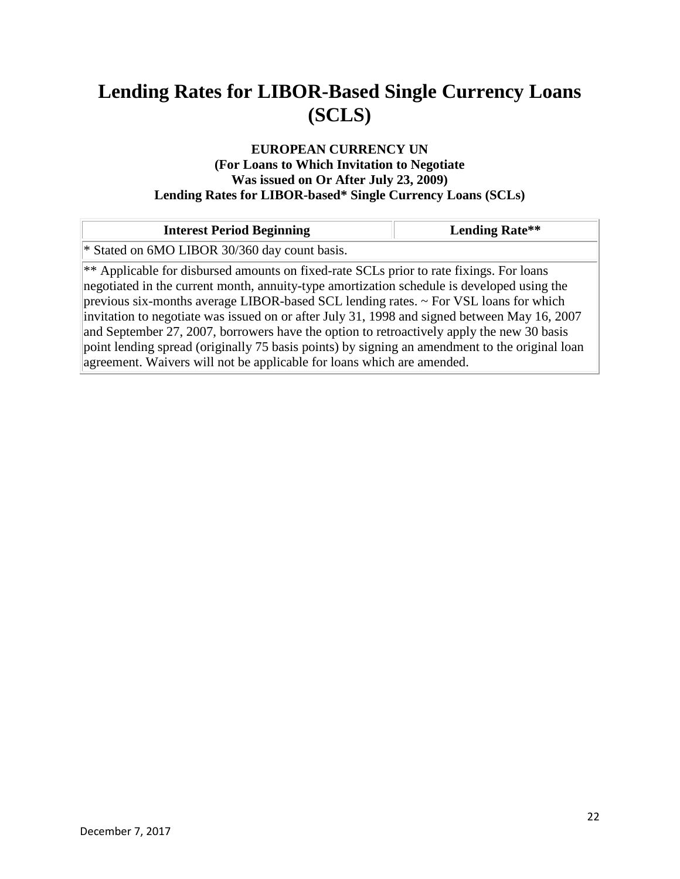### **EUROPEAN CURRENCY UN (For Loans to Which Invitation to Negotiate Was issued on Or After July 23, 2009) Lending Rates for LIBOR-based\* Single Currency Loans (SCLs)**

| <b>Interest Period Beginning</b>                                                                                                                                                                                                                                                                                                                                                                                                                                                                                                                                                                                                                            | <b>Lending Rate**</b> |
|-------------------------------------------------------------------------------------------------------------------------------------------------------------------------------------------------------------------------------------------------------------------------------------------------------------------------------------------------------------------------------------------------------------------------------------------------------------------------------------------------------------------------------------------------------------------------------------------------------------------------------------------------------------|-----------------------|
| * Stated on 6MO LIBOR 30/360 day count basis.                                                                                                                                                                                                                                                                                                                                                                                                                                                                                                                                                                                                               |                       |
| ** Applicable for disbursed amounts on fixed-rate SCLs prior to rate fixings. For loans<br>negotiated in the current month, annuity-type amortization schedule is developed using the<br>previous six-months average LIBOR-based SCL lending rates. $\sim$ For VSL loans for which<br>invitation to negotiate was issued on or after July 31, 1998 and signed between May 16, 2007<br>and September 27, 2007, borrowers have the option to retroactively apply the new 30 basis<br>point lending spread (originally 75 basis points) by signing an amendment to the original loan<br>agreement. Waivers will not be applicable for loans which are amended. |                       |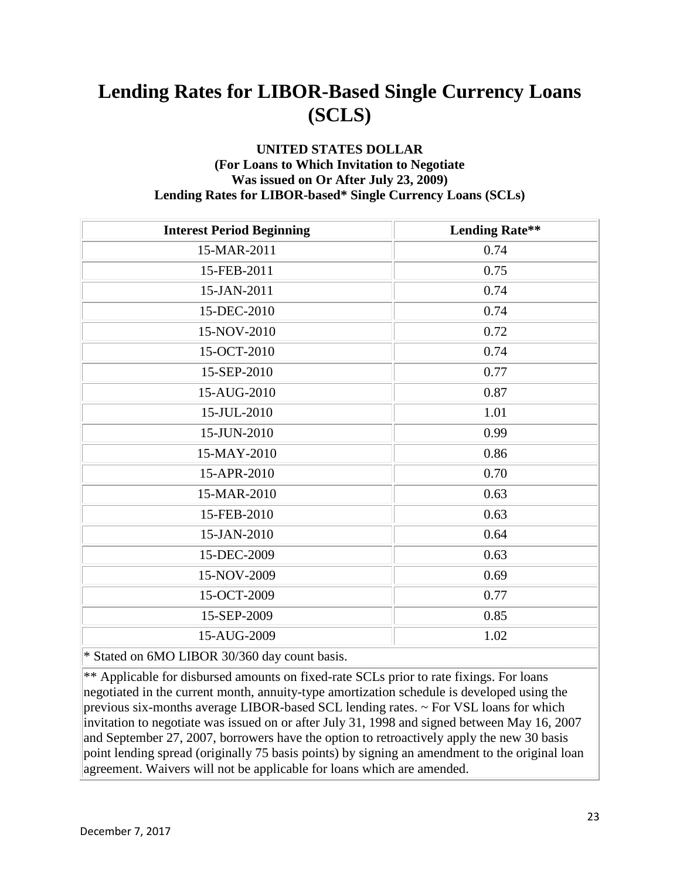### **UNITED STATES DOLLAR (For Loans to Which Invitation to Negotiate Was issued on Or After July 23, 2009) Lending Rates for LIBOR-based\* Single Currency Loans (SCLs)**

| <b>Interest Period Beginning</b> | <b>Lending Rate**</b> |
|----------------------------------|-----------------------|
| 15-MAR-2011                      | 0.74                  |
| 15-FEB-2011                      | 0.75                  |
| 15-JAN-2011                      | 0.74                  |
| 15-DEC-2010                      | 0.74                  |
| 15-NOV-2010                      | 0.72                  |
| 15-OCT-2010                      | 0.74                  |
| 15-SEP-2010                      | 0.77                  |
| 15-AUG-2010                      | 0.87                  |
| 15-JUL-2010                      | 1.01                  |
| 15-JUN-2010                      | 0.99                  |
| 15-MAY-2010                      | 0.86                  |
| 15-APR-2010                      | 0.70                  |
| 15-MAR-2010                      | 0.63                  |
| 15-FEB-2010                      | 0.63                  |
| 15-JAN-2010                      | 0.64                  |
| 15-DEC-2009                      | 0.63                  |
| 15-NOV-2009                      | 0.69                  |
| 15-OCT-2009                      | 0.77                  |
| 15-SEP-2009                      | 0.85                  |
| 15-AUG-2009                      | 1.02                  |
| $\sim$                           |                       |

\* Stated on 6MO LIBOR 30/360 day count basis.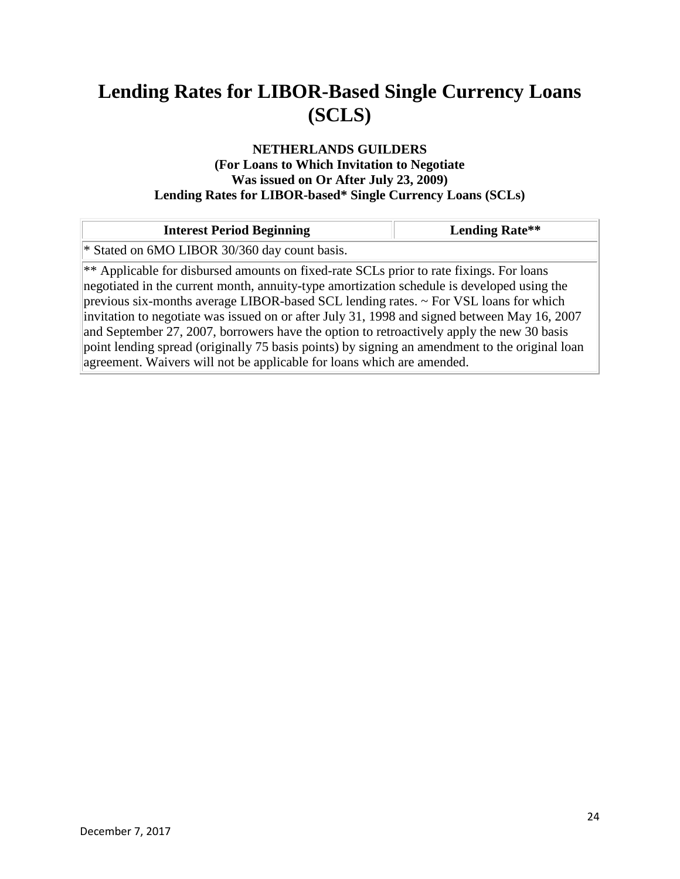### **NETHERLANDS GUILDERS (For Loans to Which Invitation to Negotiate Was issued on Or After July 23, 2009) Lending Rates for LIBOR-based\* Single Currency Loans (SCLs)**

| <b>Interest Period Beginning</b>                                                                                                                                                                                                                                                                                                                                                                                                                                                                                                                                                                                                                            | <b>Lending Rate**</b> |
|-------------------------------------------------------------------------------------------------------------------------------------------------------------------------------------------------------------------------------------------------------------------------------------------------------------------------------------------------------------------------------------------------------------------------------------------------------------------------------------------------------------------------------------------------------------------------------------------------------------------------------------------------------------|-----------------------|
| * Stated on 6MO LIBOR 30/360 day count basis.                                                                                                                                                                                                                                                                                                                                                                                                                                                                                                                                                                                                               |                       |
| ** Applicable for disbursed amounts on fixed-rate SCLs prior to rate fixings. For loans<br>negotiated in the current month, annuity-type amortization schedule is developed using the<br>previous six-months average LIBOR-based SCL lending rates. $\sim$ For VSL loans for which<br>invitation to negotiate was issued on or after July 31, 1998 and signed between May 16, 2007<br>and September 27, 2007, borrowers have the option to retroactively apply the new 30 basis<br>point lending spread (originally 75 basis points) by signing an amendment to the original loan<br>agreement. Waivers will not be applicable for loans which are amended. |                       |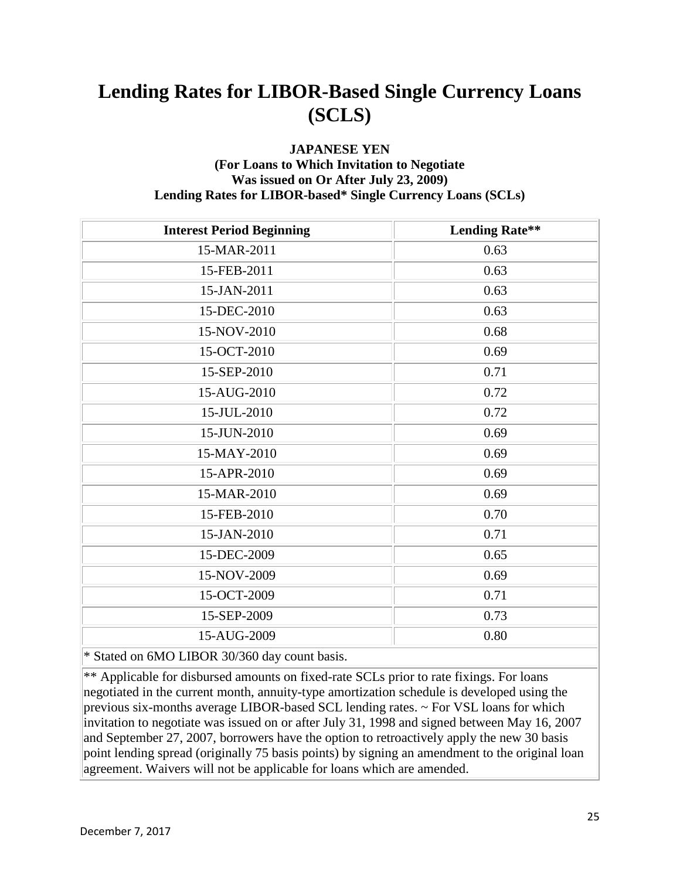#### **JAPANESE YEN (For Loans to Which Invitation to Negotiate Was issued on Or After July 23, 2009) Lending Rates for LIBOR-based\* Single Currency Loans (SCLs)**

| <b>Interest Period Beginning</b> | <b>Lending Rate**</b> |
|----------------------------------|-----------------------|
| 15-MAR-2011                      | 0.63                  |
| 15-FEB-2011                      | 0.63                  |
| 15-JAN-2011                      | 0.63                  |
| 15-DEC-2010                      | 0.63                  |
| 15-NOV-2010                      | 0.68                  |
| 15-OCT-2010                      | 0.69                  |
| 15-SEP-2010                      | 0.71                  |
| 15-AUG-2010                      | 0.72                  |
| 15-JUL-2010                      | 0.72                  |
| 15-JUN-2010                      | 0.69                  |
| 15-MAY-2010                      | 0.69                  |
| 15-APR-2010                      | 0.69                  |
| 15-MAR-2010                      | 0.69                  |
| 15-FEB-2010                      | 0.70                  |
| 15-JAN-2010                      | 0.71                  |
| 15-DEC-2009                      | 0.65                  |
| 15-NOV-2009                      | 0.69                  |
| 15-OCT-2009                      | 0.71                  |
| 15-SEP-2009                      | 0.73                  |
| 15-AUG-2009                      | 0.80                  |
|                                  |                       |

\* Stated on 6MO LIBOR 30/360 day count basis.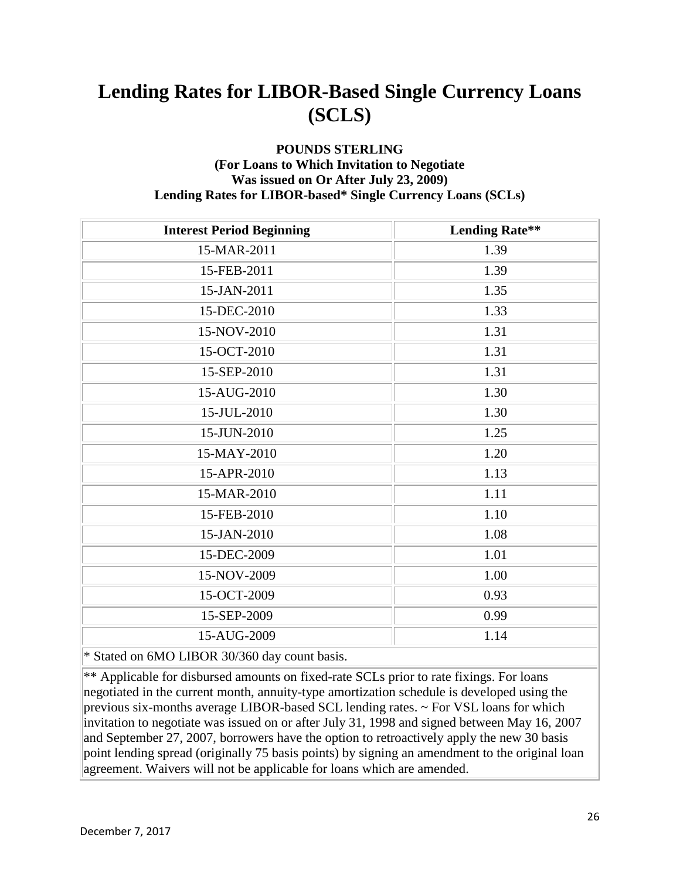### **POUNDS STERLING (For Loans to Which Invitation to Negotiate Was issued on Or After July 23, 2009) Lending Rates for LIBOR-based\* Single Currency Loans (SCLs)**

| <b>Interest Period Beginning</b> | <b>Lending Rate**</b> |
|----------------------------------|-----------------------|
| 15-MAR-2011                      | 1.39                  |
| 15-FEB-2011                      | 1.39                  |
| 15-JAN-2011                      | 1.35                  |
| 15-DEC-2010                      | 1.33                  |
| 15-NOV-2010                      | 1.31                  |
| 15-OCT-2010                      | 1.31                  |
| 15-SEP-2010                      | 1.31                  |
| 15-AUG-2010                      | 1.30                  |
| 15-JUL-2010                      | 1.30                  |
| 15-JUN-2010                      | 1.25                  |
| 15-MAY-2010                      | 1.20                  |
| 15-APR-2010                      | 1.13                  |
| 15-MAR-2010                      | 1.11                  |
| 15-FEB-2010                      | 1.10                  |
| 15-JAN-2010                      | 1.08                  |
| 15-DEC-2009                      | 1.01                  |
| 15-NOV-2009                      | 1.00                  |
| 15-OCT-2009                      | 0.93                  |
| 15-SEP-2009                      | 0.99                  |
| 15-AUG-2009                      | 1.14                  |
|                                  |                       |

\* Stated on 6MO LIBOR 30/360 day count basis.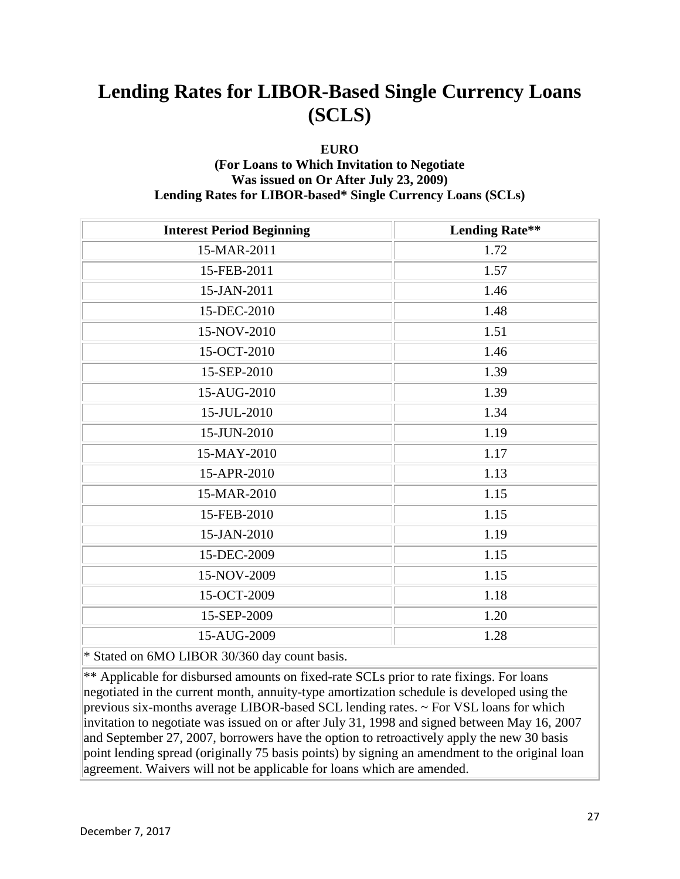#### **EURO**

### **(For Loans to Which Invitation to Negotiate Was issued on Or After July 23, 2009) Lending Rates for LIBOR-based\* Single Currency Loans (SCLs)**

| <b>Interest Period Beginning</b> | <b>Lending Rate**</b> |
|----------------------------------|-----------------------|
| 15-MAR-2011                      | 1.72                  |
| 15-FEB-2011                      | 1.57                  |
| 15-JAN-2011                      | 1.46                  |
| 15-DEC-2010                      | 1.48                  |
| 15-NOV-2010                      | 1.51                  |
| 15-OCT-2010                      | 1.46                  |
| 15-SEP-2010                      | 1.39                  |
| 15-AUG-2010                      | 1.39                  |
| 15-JUL-2010                      | 1.34                  |
| 15-JUN-2010                      | 1.19                  |
| 15-MAY-2010                      | 1.17                  |
| 15-APR-2010                      | 1.13                  |
| 15-MAR-2010                      | 1.15                  |
| 15-FEB-2010                      | 1.15                  |
| 15-JAN-2010                      | 1.19                  |
| 15-DEC-2009                      | 1.15                  |
| 15-NOV-2009                      | 1.15                  |
| 15-OCT-2009                      | 1.18                  |
| 15-SEP-2009                      | 1.20                  |
| 15-AUG-2009                      | 1.28                  |
| العامين والمنادر                 |                       |

\* Stated on 6MO LIBOR 30/360 day count basis.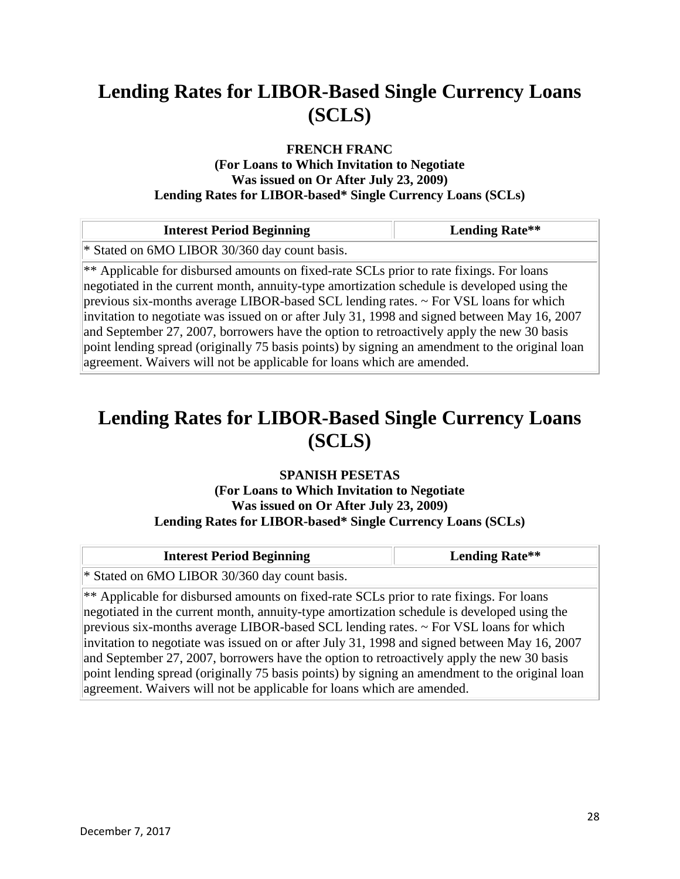#### **FRENCH FRANC**

#### **(For Loans to Which Invitation to Negotiate Was issued on Or After July 23, 2009) Lending Rates for LIBOR-based\* Single Currency Loans (SCLs)**

| <b>Interest Period Beginning</b>                                                                                                                                                                                                                                                                                                                                                                                                                                                                                                                                                                                                                            | <b>Lending Rate**</b> |
|-------------------------------------------------------------------------------------------------------------------------------------------------------------------------------------------------------------------------------------------------------------------------------------------------------------------------------------------------------------------------------------------------------------------------------------------------------------------------------------------------------------------------------------------------------------------------------------------------------------------------------------------------------------|-----------------------|
| * Stated on 6MO LIBOR 30/360 day count basis.                                                                                                                                                                                                                                                                                                                                                                                                                                                                                                                                                                                                               |                       |
| ** Applicable for disbursed amounts on fixed-rate SCLs prior to rate fixings. For loans<br>negotiated in the current month, annuity-type amortization schedule is developed using the<br>previous six-months average LIBOR-based SCL lending rates. $\sim$ For VSL loans for which<br>invitation to negotiate was issued on or after July 31, 1998 and signed between May 16, 2007<br>and September 27, 2007, borrowers have the option to retroactively apply the new 30 basis<br>point lending spread (originally 75 basis points) by signing an amendment to the original loan<br>agreement. Waivers will not be applicable for loans which are amended. |                       |

### **Lending Rates for LIBOR-Based Single Currency Loans (SCLS)**

### **SPANISH PESETAS**

### **(For Loans to Which Invitation to Negotiate Was issued on Or After July 23, 2009) Lending Rates for LIBOR-based\* Single Currency Loans (SCLs)**

| <b>Interest Period Beginning</b>                                                                                                                                                                                                                                                                                                                                                                                                                                                                                                                                                  | <b>Lending Rate**</b> |
|-----------------------------------------------------------------------------------------------------------------------------------------------------------------------------------------------------------------------------------------------------------------------------------------------------------------------------------------------------------------------------------------------------------------------------------------------------------------------------------------------------------------------------------------------------------------------------------|-----------------------|
| * Stated on 6MO LIBOR 30/360 day count basis.                                                                                                                                                                                                                                                                                                                                                                                                                                                                                                                                     |                       |
| ** Applicable for disbursed amounts on fixed-rate SCLs prior to rate fixings. For loans<br>negotiated in the current month, annuity-type amortization schedule is developed using the<br>previous six-months average LIBOR-based SCL lending rates. $\sim$ For VSL loans for which<br>invitation to negotiate was issued on or after July 31, 1998 and signed between May 16, 2007<br>and September 27, 2007, borrowers have the option to retroactively apply the new 30 basis<br>point lending spread (originally 75 basis points) by signing an amendment to the original loan |                       |
| agreement. Waivers will not be applicable for loans which are amended.                                                                                                                                                                                                                                                                                                                                                                                                                                                                                                            |                       |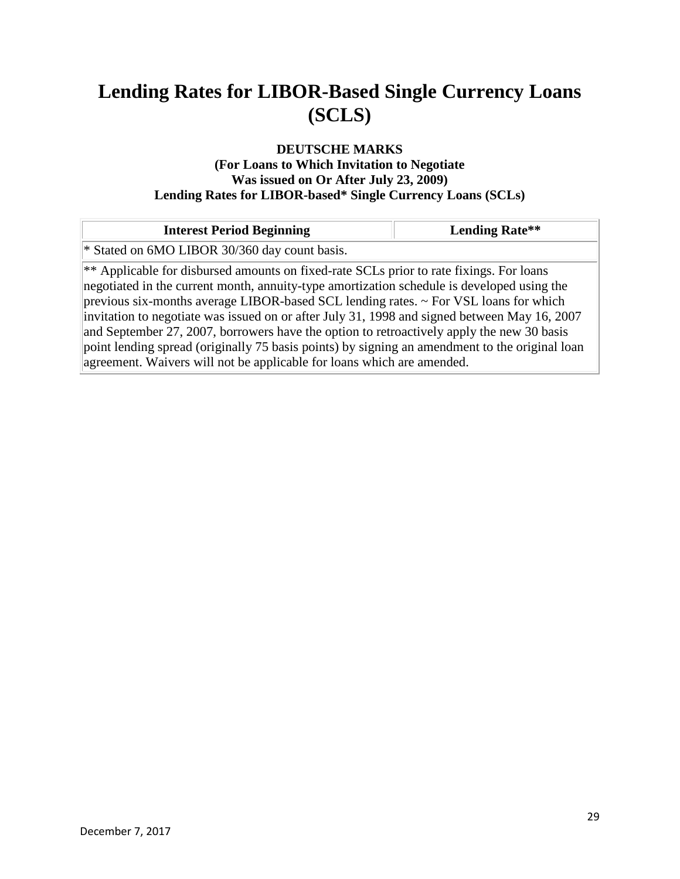### **DEUTSCHE MARKS**

#### **(For Loans to Which Invitation to Negotiate Was issued on Or After July 23, 2009) Lending Rates for LIBOR-based\* Single Currency Loans (SCLs)**

| <b>Interest Period Beginning</b>                                                                                                                                                                                                                                                                                                                                                                                                                                                                                                                                                                                                                            |  |
|-------------------------------------------------------------------------------------------------------------------------------------------------------------------------------------------------------------------------------------------------------------------------------------------------------------------------------------------------------------------------------------------------------------------------------------------------------------------------------------------------------------------------------------------------------------------------------------------------------------------------------------------------------------|--|
| * Stated on 6MO LIBOR 30/360 day count basis.                                                                                                                                                                                                                                                                                                                                                                                                                                                                                                                                                                                                               |  |
| ** Applicable for disbursed amounts on fixed-rate SCLs prior to rate fixings. For loans<br>negotiated in the current month, annuity-type amortization schedule is developed using the<br>previous six-months average LIBOR-based SCL lending rates. $\sim$ For VSL loans for which<br>invitation to negotiate was issued on or after July 31, 1998 and signed between May 16, 2007<br>and September 27, 2007, borrowers have the option to retroactively apply the new 30 basis<br>point lending spread (originally 75 basis points) by signing an amendment to the original loan<br>agreement. Waivers will not be applicable for loans which are amended. |  |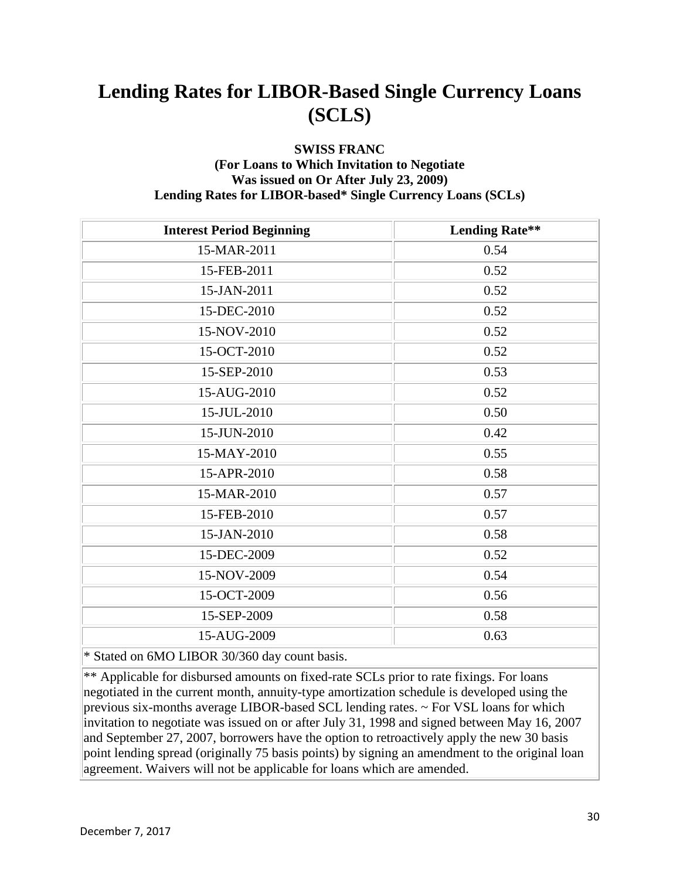### **SWISS FRANC (For Loans to Which Invitation to Negotiate Was issued on Or After July 23, 2009) Lending Rates for LIBOR-based\* Single Currency Loans (SCLs)**

| <b>Lending Rate**</b> |
|-----------------------|
| 0.54                  |
| 0.52                  |
| 0.52                  |
| 0.52                  |
| 0.52                  |
| 0.52                  |
| 0.53                  |
| 0.52                  |
| 0.50                  |
| 0.42                  |
| 0.55                  |
| 0.58                  |
| 0.57                  |
| 0.57                  |
| 0.58                  |
| 0.52                  |
| 0.54                  |
| 0.56                  |
| 0.58                  |
| 0.63                  |
|                       |

\* Stated on 6MO LIBOR 30/360 day count basis.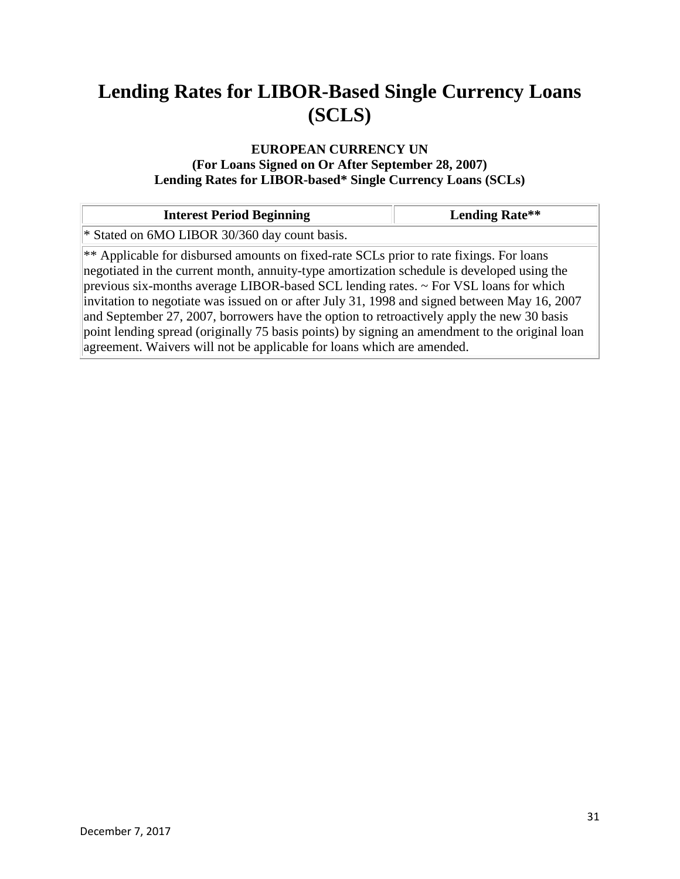### **EUROPEAN CURRENCY UN (For Loans Signed on Or After September 28, 2007) Lending Rates for LIBOR-based\* Single Currency Loans (SCLs)**

| <b>Interest Period Beginning</b>                                                                                                                                                                                                                                                                                                                                                                                                                                                                                                                                                                                                                            | <b>Lending Rate**</b> |
|-------------------------------------------------------------------------------------------------------------------------------------------------------------------------------------------------------------------------------------------------------------------------------------------------------------------------------------------------------------------------------------------------------------------------------------------------------------------------------------------------------------------------------------------------------------------------------------------------------------------------------------------------------------|-----------------------|
| * Stated on 6MO LIBOR 30/360 day count basis.                                                                                                                                                                                                                                                                                                                                                                                                                                                                                                                                                                                                               |                       |
| ** Applicable for disbursed amounts on fixed-rate SCLs prior to rate fixings. For loans<br>negotiated in the current month, annuity-type amortization schedule is developed using the<br>previous six-months average LIBOR-based SCL lending rates. $\sim$ For VSL loans for which<br>invitation to negotiate was issued on or after July 31, 1998 and signed between May 16, 2007<br>and September 27, 2007, borrowers have the option to retroactively apply the new 30 basis<br>point lending spread (originally 75 basis points) by signing an amendment to the original loan<br>agreement. Waivers will not be applicable for loans which are amended. |                       |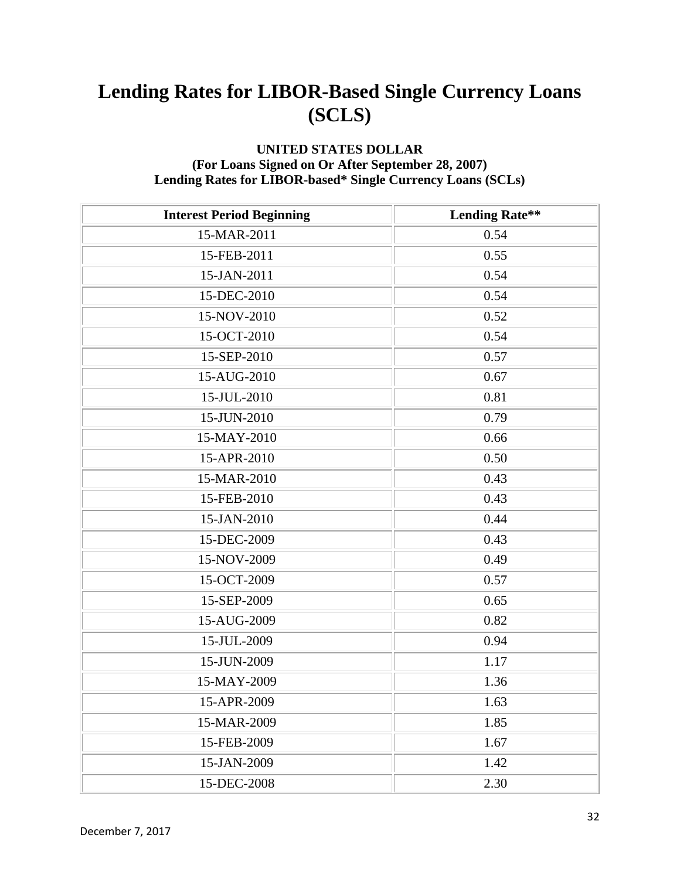### **UNITED STATES DOLLAR (For Loans Signed on Or After September 28, 2007) Lending Rates for LIBOR-based\* Single Currency Loans (SCLs)**

| <b>Interest Period Beginning</b> | <b>Lending Rate**</b> |
|----------------------------------|-----------------------|
| 15-MAR-2011                      | 0.54                  |
| 15-FEB-2011                      | 0.55                  |
| 15-JAN-2011                      | 0.54                  |
| 15-DEC-2010                      | 0.54                  |
| 15-NOV-2010                      | 0.52                  |
| 15-OCT-2010                      | 0.54                  |
| 15-SEP-2010                      | 0.57                  |
| 15-AUG-2010                      | 0.67                  |
| 15-JUL-2010                      | 0.81                  |
| 15-JUN-2010                      | 0.79                  |
| 15-MAY-2010                      | 0.66                  |
| 15-APR-2010                      | 0.50                  |
| 15-MAR-2010                      | 0.43                  |
| 15-FEB-2010                      | 0.43                  |
| 15-JAN-2010                      | 0.44                  |
| 15-DEC-2009                      | 0.43                  |
| 15-NOV-2009                      | 0.49                  |
| 15-OCT-2009                      | 0.57                  |
| 15-SEP-2009                      | 0.65                  |
| 15-AUG-2009                      | 0.82                  |
| 15-JUL-2009                      | 0.94                  |
| 15-JUN-2009                      | 1.17                  |
| 15-MAY-2009                      | 1.36                  |
| 15-APR-2009                      | 1.63                  |
| 15-MAR-2009                      | 1.85                  |
| 15-FEB-2009                      | 1.67                  |
| 15-JAN-2009                      | 1.42                  |
| 15-DEC-2008                      | 2.30                  |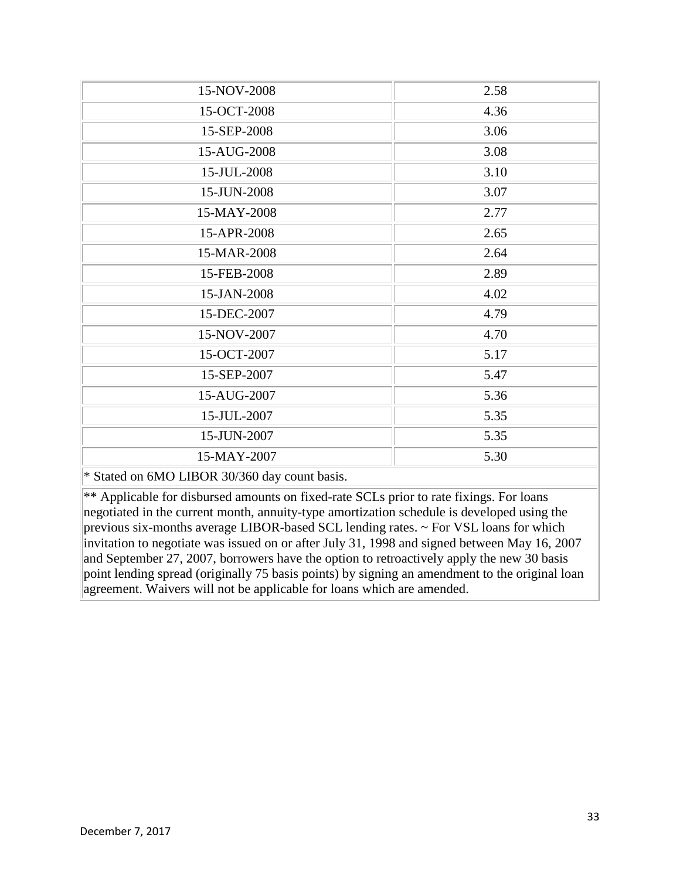| 15-NOV-2008                                                   | 2.58 |
|---------------------------------------------------------------|------|
| 15-OCT-2008                                                   | 4.36 |
| 15-SEP-2008                                                   | 3.06 |
| 15-AUG-2008                                                   | 3.08 |
| 15-JUL-2008                                                   | 3.10 |
| 15-JUN-2008                                                   | 3.07 |
| 15-MAY-2008                                                   | 2.77 |
| 15-APR-2008                                                   | 2.65 |
| 15-MAR-2008                                                   | 2.64 |
| 15-FEB-2008                                                   | 2.89 |
| 15-JAN-2008                                                   | 4.02 |
| 15-DEC-2007                                                   | 4.79 |
| 15-NOV-2007                                                   | 4.70 |
| 15-OCT-2007                                                   | 5.17 |
| 15-SEP-2007                                                   | 5.47 |
| 15-AUG-2007                                                   | 5.36 |
| 15-JUL-2007                                                   | 5.35 |
| 15-JUN-2007                                                   | 5.35 |
| 15-MAY-2007                                                   | 5.30 |
| $\ast$ Stated on $\epsilon$ MO I IDOD 20/260 day count beging |      |

\* Stated on 6MO LIBOR 30/360 day count basis.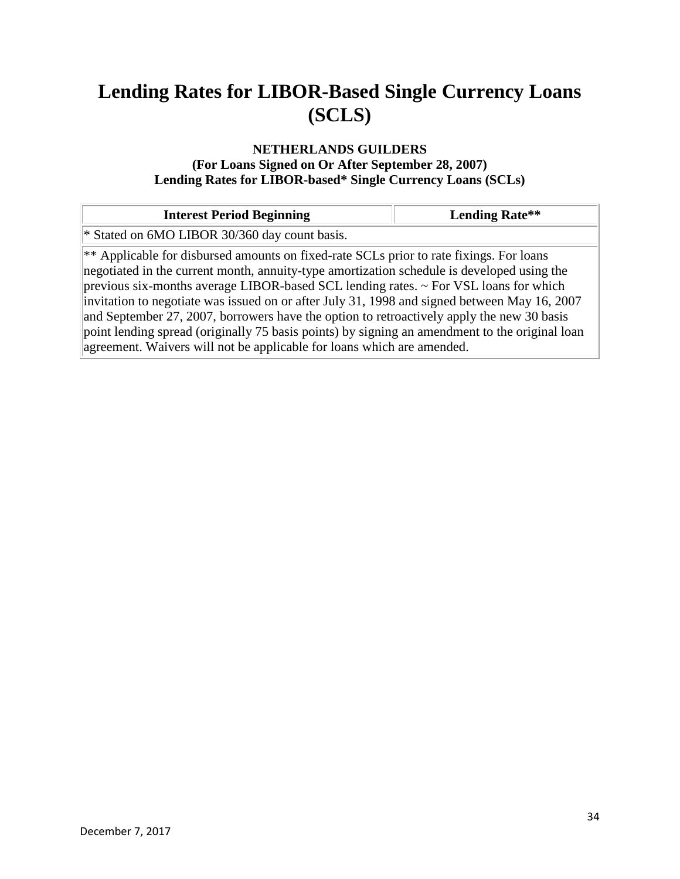### **NETHERLANDS GUILDERS (For Loans Signed on Or After September 28, 2007)**

**Lending Rates for LIBOR-based\* Single Currency Loans (SCLs)**

| <b>Interest Period Beginning</b>                                                                                                                                                                                                                                                                                                                                                                                                                                                                                                                                                                                                                            | <b>Lending Rate**</b> |
|-------------------------------------------------------------------------------------------------------------------------------------------------------------------------------------------------------------------------------------------------------------------------------------------------------------------------------------------------------------------------------------------------------------------------------------------------------------------------------------------------------------------------------------------------------------------------------------------------------------------------------------------------------------|-----------------------|
| * Stated on 6MO LIBOR 30/360 day count basis.                                                                                                                                                                                                                                                                                                                                                                                                                                                                                                                                                                                                               |                       |
| ** Applicable for disbursed amounts on fixed-rate SCLs prior to rate fixings. For loans<br>negotiated in the current month, annuity-type amortization schedule is developed using the<br>previous six-months average LIBOR-based SCL lending rates. $\sim$ For VSL loans for which<br>invitation to negotiate was issued on or after July 31, 1998 and signed between May 16, 2007<br>and September 27, 2007, borrowers have the option to retroactively apply the new 30 basis<br>point lending spread (originally 75 basis points) by signing an amendment to the original loan<br>agreement. Waivers will not be applicable for loans which are amended. |                       |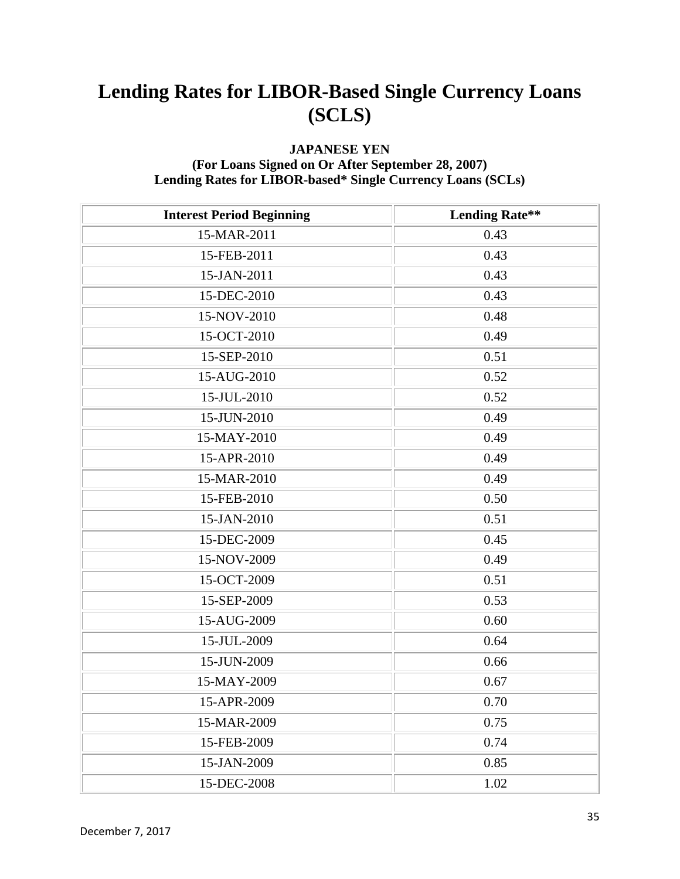### **JAPANESE YEN**

### **(For Loans Signed on Or After September 28, 2007) Lending Rates for LIBOR-based\* Single Currency Loans (SCLs)**

| <b>Interest Period Beginning</b> | <b>Lending Rate**</b> |
|----------------------------------|-----------------------|
| 15-MAR-2011                      | 0.43                  |
| 15-FEB-2011                      | 0.43                  |
| 15-JAN-2011                      | 0.43                  |
| 15-DEC-2010                      | 0.43                  |
| 15-NOV-2010                      | 0.48                  |
| 15-OCT-2010                      | 0.49                  |
| 15-SEP-2010                      | 0.51                  |
| 15-AUG-2010                      | 0.52                  |
| 15-JUL-2010                      | 0.52                  |
| 15-JUN-2010                      | 0.49                  |
| 15-MAY-2010                      | 0.49                  |
| 15-APR-2010                      | 0.49                  |
| 15-MAR-2010                      | 0.49                  |
| 15-FEB-2010                      | 0.50                  |
| 15-JAN-2010                      | 0.51                  |
| 15-DEC-2009                      | 0.45                  |
| 15-NOV-2009                      | 0.49                  |
| 15-OCT-2009                      | 0.51                  |
| 15-SEP-2009                      | 0.53                  |
| 15-AUG-2009                      | 0.60                  |
| 15-JUL-2009                      | 0.64                  |
| 15-JUN-2009                      | 0.66                  |
| 15-MAY-2009                      | 0.67                  |
| 15-APR-2009                      | 0.70                  |
| 15-MAR-2009                      | 0.75                  |
| 15-FEB-2009                      | 0.74                  |
| 15-JAN-2009                      | 0.85                  |
| 15-DEC-2008                      | 1.02                  |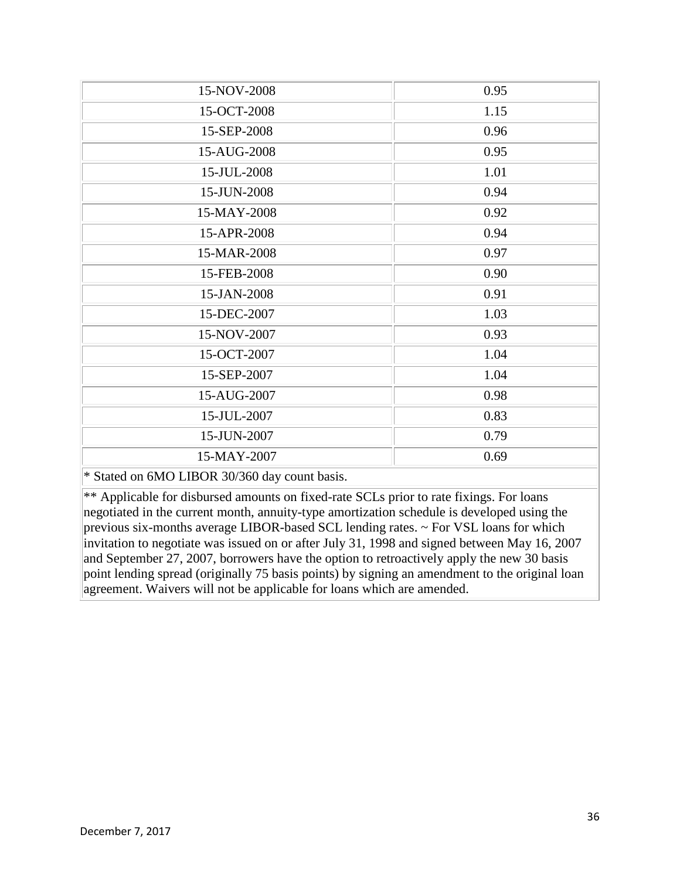| 15-NOV-2008                                     | 0.95 |
|-------------------------------------------------|------|
| 15-OCT-2008                                     | 1.15 |
| 15-SEP-2008                                     | 0.96 |
| 15-AUG-2008                                     | 0.95 |
| 15-JUL-2008                                     | 1.01 |
| 15-JUN-2008                                     | 0.94 |
| 15-MAY-2008                                     | 0.92 |
| 15-APR-2008                                     | 0.94 |
| 15-MAR-2008                                     | 0.97 |
| 15-FEB-2008                                     | 0.90 |
| 15-JAN-2008                                     | 0.91 |
| 15-DEC-2007                                     | 1.03 |
| 15-NOV-2007                                     | 0.93 |
| 15-OCT-2007                                     | 1.04 |
| 15-SEP-2007                                     | 1.04 |
| 15-AUG-2007                                     | 0.98 |
| 15-JUL-2007                                     | 0.83 |
| 15-JUN-2007                                     | 0.79 |
| 15-MAY-2007                                     | 0.69 |
| $*$ Stated on 6MO I IROR 30/360 day count basis |      |

Stated on 6MO LIBOR 30/360 day count basis.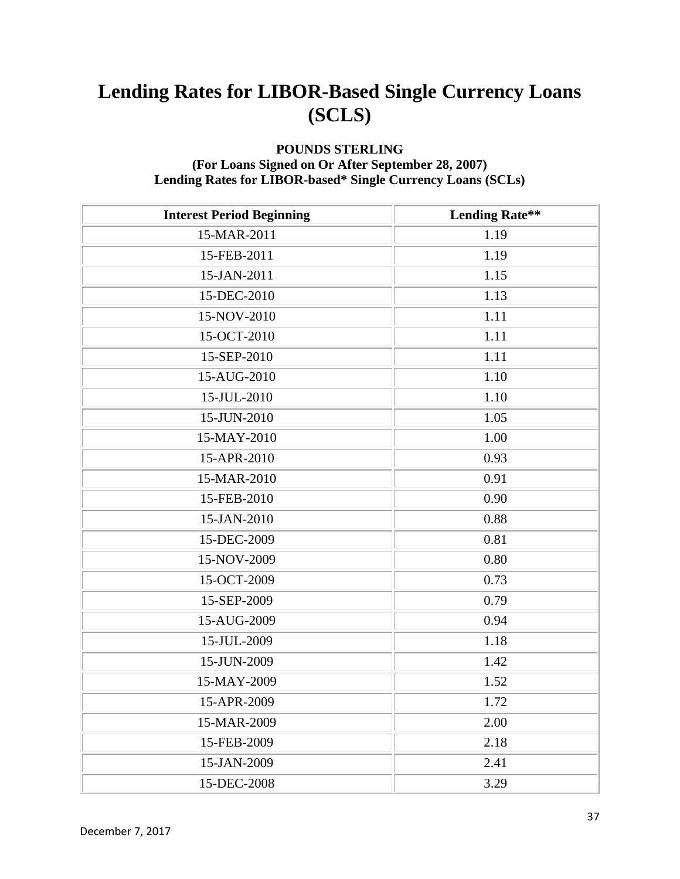### **POUNDS STERLING**

#### **(For Loans Signed on Or After September 28, 2007) Lending Rates for LIBOR-based\* Single Currency Loans (SCLs)**

| <b>Interest Period Beginning</b> | <b>Lending Rate**</b> |
|----------------------------------|-----------------------|
| 15-MAR-2011                      | 1.19                  |
| 15-FEB-2011                      | 1.19                  |
| 15-JAN-2011                      | 1.15                  |
| 15-DEC-2010                      | 1.13                  |
| 15-NOV-2010                      | 1.11                  |
| 15-OCT-2010                      | 1.11                  |
| 15-SEP-2010                      | 1.11                  |
| 15-AUG-2010                      | 1.10                  |
| 15-JUL-2010                      | 1.10                  |
| 15-JUN-2010                      | 1.05                  |
| 15-MAY-2010                      | 1.00                  |
| 15-APR-2010                      | 0.93                  |
| 15-MAR-2010                      | 0.91                  |
| 15-FEB-2010                      | 0.90                  |
| 15-JAN-2010                      | 0.88                  |
| 15-DEC-2009                      | 0.81                  |
| 15-NOV-2009                      | 0.80                  |
| 15-OCT-2009                      | 0.73                  |
| 15-SEP-2009                      | 0.79                  |
| 15-AUG-2009                      | 0.94                  |
| 15-JUL-2009                      | 1.18                  |
| 15-JUN-2009                      | 1.42                  |
| 15-MAY-2009                      | 1.52                  |
| 15-APR-2009                      | 1.72                  |
| 15-MAR-2009                      | 2.00                  |
| 15-FEB-2009                      | 2.18                  |
| 15-JAN-2009                      | 2.41                  |
| 15-DEC-2008                      | 3.29                  |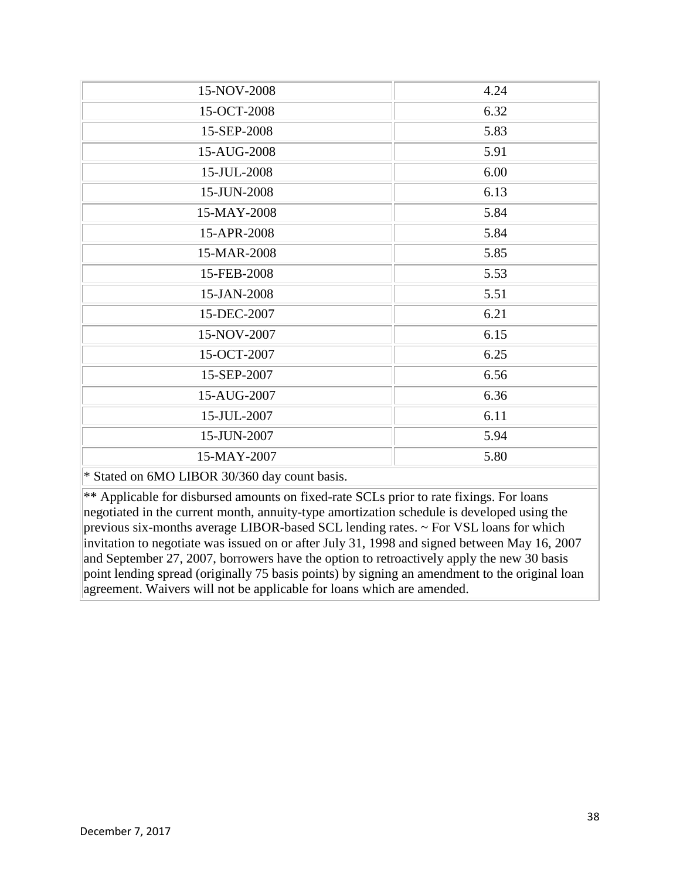| 15-NOV-2008                                                          | 4.24 |
|----------------------------------------------------------------------|------|
| 15-OCT-2008                                                          | 6.32 |
| 15-SEP-2008                                                          | 5.83 |
| 15-AUG-2008                                                          | 5.91 |
| 15-JUL-2008                                                          | 6.00 |
| 15-JUN-2008                                                          | 6.13 |
| 15-MAY-2008                                                          | 5.84 |
| 15-APR-2008                                                          | 5.84 |
| 15-MAR-2008                                                          | 5.85 |
| 15-FEB-2008                                                          | 5.53 |
| 15-JAN-2008                                                          | 5.51 |
| 15-DEC-2007                                                          | 6.21 |
| 15-NOV-2007                                                          | 6.15 |
| 15-OCT-2007                                                          | 6.25 |
| 15-SEP-2007                                                          | 6.56 |
| 15-AUG-2007                                                          | 6.36 |
| 15-JUL-2007                                                          | 6.11 |
| 15-JUN-2007                                                          | 5.94 |
| 15-MAY-2007                                                          | 5.80 |
| $*$ Stated on $\epsilon M$ Q I IDQD $20/2\epsilon 0$ day count boais |      |

\* Stated on 6MO LIBOR 30/360 day count basis.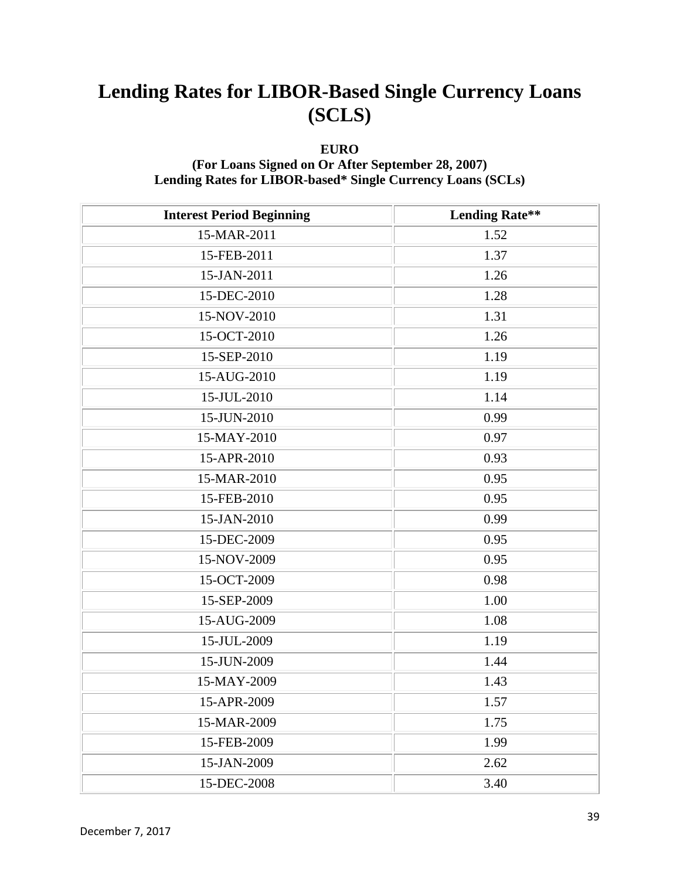### **EURO**

#### **(For Loans Signed on Or After September 28, 2007) Lending Rates for LIBOR-based\* Single Currency Loans (SCLs)**

| <b>Interest Period Beginning</b> | <b>Lending Rate**</b> |
|----------------------------------|-----------------------|
| 15-MAR-2011                      | 1.52                  |
| 15-FEB-2011                      | 1.37                  |
| 15-JAN-2011                      | 1.26                  |
| 15-DEC-2010                      | 1.28                  |
| 15-NOV-2010                      | 1.31                  |
| 15-OCT-2010                      | 1.26                  |
| 15-SEP-2010                      | 1.19                  |
| 15-AUG-2010                      | 1.19                  |
| 15-JUL-2010                      | 1.14                  |
| 15-JUN-2010                      | 0.99                  |
| 15-MAY-2010                      | 0.97                  |
| 15-APR-2010                      | 0.93                  |
| 15-MAR-2010                      | 0.95                  |
| 15-FEB-2010                      | 0.95                  |
| 15-JAN-2010                      | 0.99                  |
| 15-DEC-2009                      | 0.95                  |
| 15-NOV-2009                      | 0.95                  |
| 15-OCT-2009                      | 0.98                  |
| 15-SEP-2009                      | 1.00                  |
| 15-AUG-2009                      | 1.08                  |
| 15-JUL-2009                      | 1.19                  |
| 15-JUN-2009                      | 1.44                  |
| 15-MAY-2009                      | 1.43                  |
| 15-APR-2009                      | 1.57                  |
| 15-MAR-2009                      | 1.75                  |
| 15-FEB-2009                      | 1.99                  |
| 15-JAN-2009                      | 2.62                  |
| 15-DEC-2008                      | 3.40                  |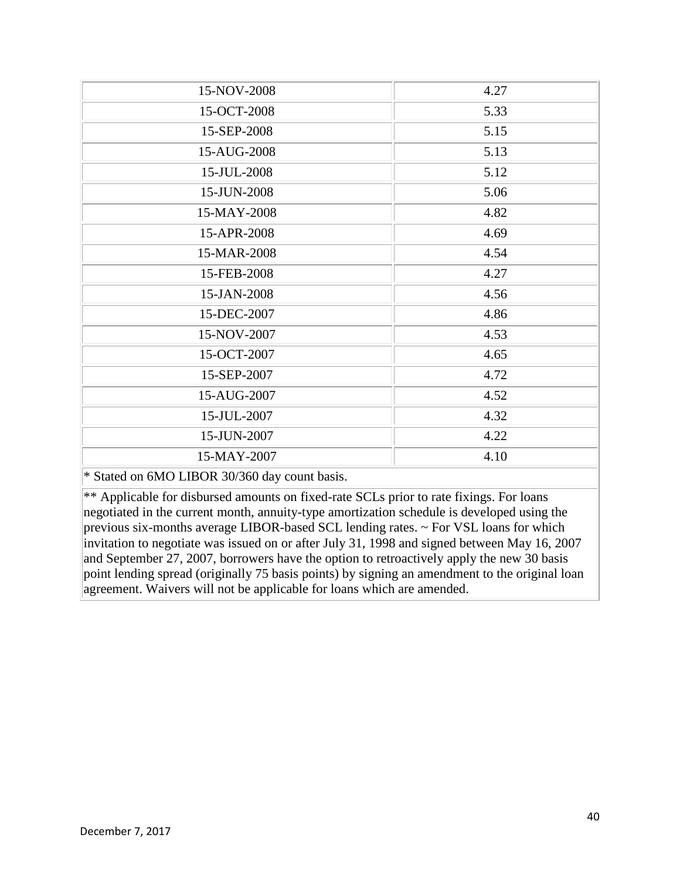| 15-NOV-2008                                                              | 4.27 |
|--------------------------------------------------------------------------|------|
| 15-OCT-2008                                                              | 5.33 |
| 15-SEP-2008                                                              | 5.15 |
| 15-AUG-2008                                                              | 5.13 |
| 15-JUL-2008                                                              | 5.12 |
| 15-JUN-2008                                                              | 5.06 |
| 15-MAY-2008                                                              | 4.82 |
| 15-APR-2008                                                              | 4.69 |
| 15-MAR-2008                                                              | 4.54 |
| 15-FEB-2008                                                              | 4.27 |
| 15-JAN-2008                                                              | 4.56 |
| 15-DEC-2007                                                              | 4.86 |
| 15-NOV-2007                                                              | 4.53 |
| 15-OCT-2007                                                              | 4.65 |
| 15-SEP-2007                                                              | 4.72 |
| 15-AUG-2007                                                              | 4.52 |
| 15-JUL-2007                                                              | 4.32 |
| 15-JUN-2007                                                              | 4.22 |
| 15-MAY-2007                                                              | 4.10 |
| $\ast$ Stated on $\epsilon M$ Q I IDQD $20/2\epsilon 0$ day count beging |      |

\* Stated on 6MO LIBOR 30/360 day count basis.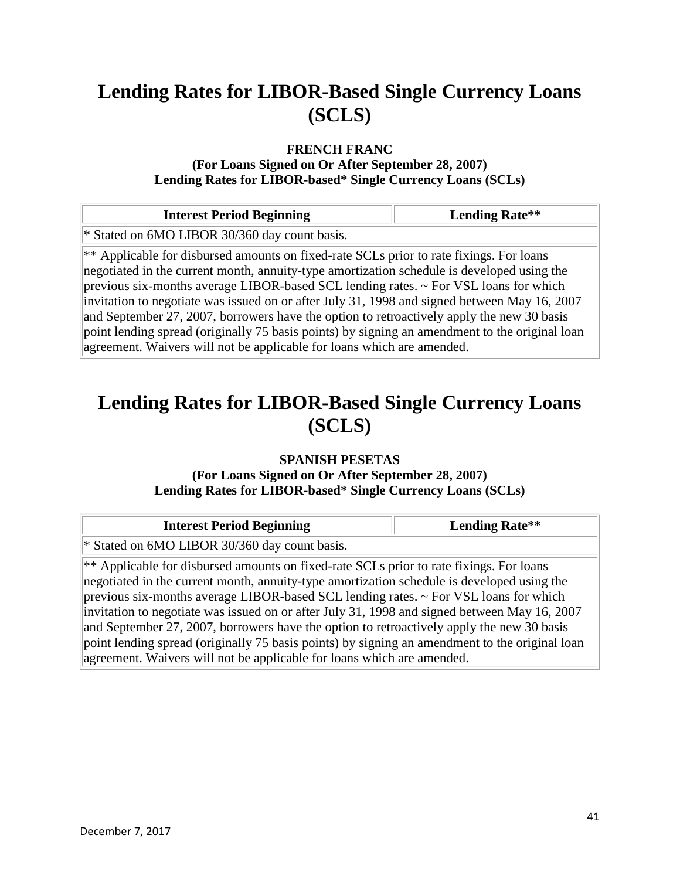#### **FRENCH FRANC**

**(For Loans Signed on Or After September 28, 2007) Lending Rates for LIBOR-based\* Single Currency Loans (SCLs)**

| <b>Interest Period Beginning</b>                                                                                                                                                                                                                                                                                                                                                                                                                                                                                                                                                                                                                            | <b>Lending Rate**</b> |
|-------------------------------------------------------------------------------------------------------------------------------------------------------------------------------------------------------------------------------------------------------------------------------------------------------------------------------------------------------------------------------------------------------------------------------------------------------------------------------------------------------------------------------------------------------------------------------------------------------------------------------------------------------------|-----------------------|
| * Stated on 6MO LIBOR 30/360 day count basis.                                                                                                                                                                                                                                                                                                                                                                                                                                                                                                                                                                                                               |                       |
| ** Applicable for disbursed amounts on fixed-rate SCLs prior to rate fixings. For loans<br>negotiated in the current month, annuity-type amortization schedule is developed using the<br>previous six-months average LIBOR-based SCL lending rates. $\sim$ For VSL loans for which<br>invitation to negotiate was issued on or after July 31, 1998 and signed between May 16, 2007<br>and September 27, 2007, borrowers have the option to retroactively apply the new 30 basis<br>point lending spread (originally 75 basis points) by signing an amendment to the original loan<br>agreement. Waivers will not be applicable for loans which are amended. |                       |

### **Lending Rates for LIBOR-Based Single Currency Loans (SCLS)**

#### **SPANISH PESETAS (For Loans Signed on Or After September 28, 2007) Lending Rates for LIBOR-based\* Single Currency Loans (SCLs)**

| <b>Interest Period Beginning</b>                                                                                                                                                                                                                                                                                                                                                                                                                                                        | <b>Lending Rate**</b> |
|-----------------------------------------------------------------------------------------------------------------------------------------------------------------------------------------------------------------------------------------------------------------------------------------------------------------------------------------------------------------------------------------------------------------------------------------------------------------------------------------|-----------------------|
| * Stated on 6MO LIBOR 30/360 day count basis.                                                                                                                                                                                                                                                                                                                                                                                                                                           |                       |
| $\ast\ast$ Applicable for disbursed amounts on fixed-rate SCLs prior to rate fixings. For loans<br>negotiated in the current month, annuity-type amortization schedule is developed using the<br>previous six-months average LIBOR-based SCL lending rates. $\sim$ For VSL loans for which<br>invitation to negotiate was issued on or after July 31, 1998 and signed between May 16, 2007<br>and September 27, 2007, borrowers have the option to retroactively apply the new 30 basis |                       |
| point lending spread (originally 75 basis points) by signing an amendment to the original loan<br>agreement. Waivers will not be applicable for loans which are amended.                                                                                                                                                                                                                                                                                                                |                       |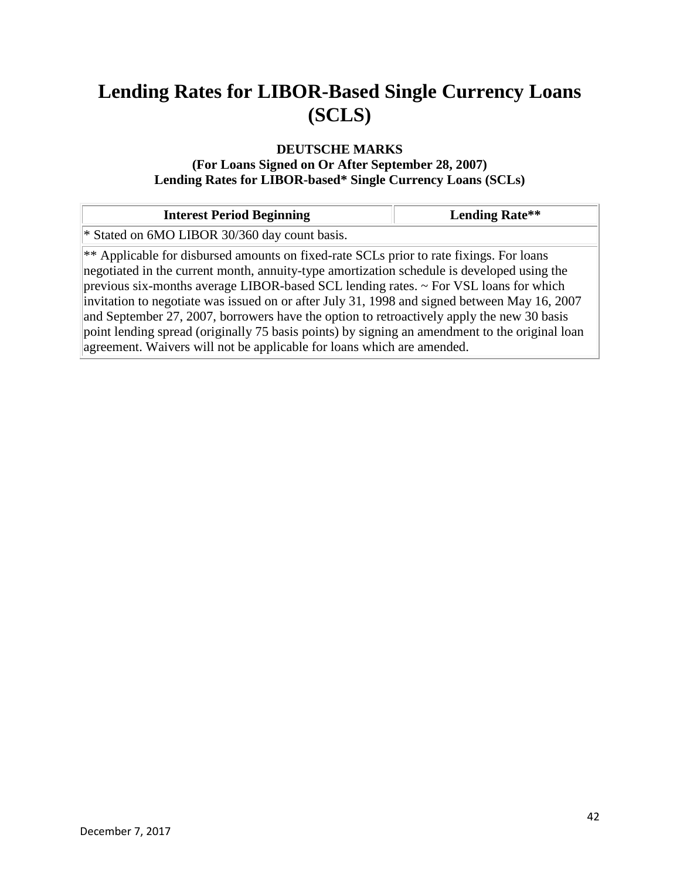### **DEUTSCHE MARKS**

#### **(For Loans Signed on Or After September 28, 2007) Lending Rates for LIBOR-based\* Single Currency Loans (SCLs)**

| <b>Interest Period Beginning</b>                                                                                                                                                                                                                                                                                                                                                                                                                                                                                                                                                                                                                            | <b>Lending Rate**</b> |
|-------------------------------------------------------------------------------------------------------------------------------------------------------------------------------------------------------------------------------------------------------------------------------------------------------------------------------------------------------------------------------------------------------------------------------------------------------------------------------------------------------------------------------------------------------------------------------------------------------------------------------------------------------------|-----------------------|
| * Stated on 6MO LIBOR 30/360 day count basis.                                                                                                                                                                                                                                                                                                                                                                                                                                                                                                                                                                                                               |                       |
| ** Applicable for disbursed amounts on fixed-rate SCLs prior to rate fixings. For loans<br>negotiated in the current month, annuity-type amortization schedule is developed using the<br>previous six-months average LIBOR-based SCL lending rates. $\sim$ For VSL loans for which<br>invitation to negotiate was issued on or after July 31, 1998 and signed between May 16, 2007<br>and September 27, 2007, borrowers have the option to retroactively apply the new 30 basis<br>point lending spread (originally 75 basis points) by signing an amendment to the original loan<br>agreement. Waivers will not be applicable for loans which are amended. |                       |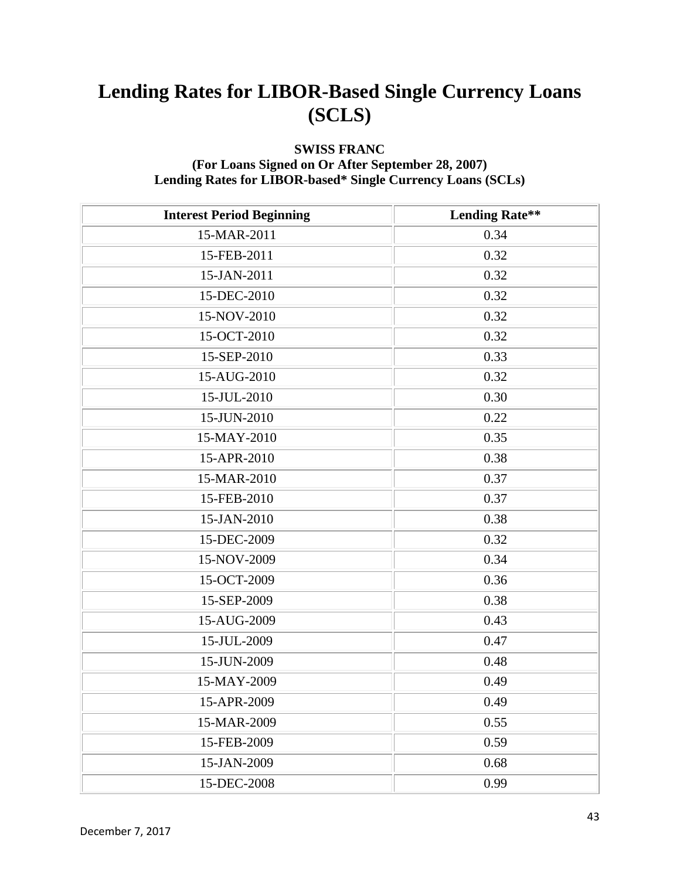### **SWISS FRANC**

#### **(For Loans Signed on Or After September 28, 2007) Lending Rates for LIBOR-based\* Single Currency Loans (SCLs)**

| <b>Interest Period Beginning</b> | <b>Lending Rate**</b> |
|----------------------------------|-----------------------|
| 15-MAR-2011                      | 0.34                  |
| 15-FEB-2011                      | 0.32                  |
| 15-JAN-2011                      | 0.32                  |
| 15-DEC-2010                      | 0.32                  |
| 15-NOV-2010                      | 0.32                  |
| 15-OCT-2010                      | 0.32                  |
| 15-SEP-2010                      | 0.33                  |
| 15-AUG-2010                      | 0.32                  |
| 15-JUL-2010                      | 0.30                  |
| 15-JUN-2010                      | 0.22                  |
| 15-MAY-2010                      | 0.35                  |
| 15-APR-2010                      | 0.38                  |
| 15-MAR-2010                      | 0.37                  |
| 15-FEB-2010                      | 0.37                  |
| 15-JAN-2010                      | 0.38                  |
| 15-DEC-2009                      | 0.32                  |
| 15-NOV-2009                      | 0.34                  |
| 15-OCT-2009                      | 0.36                  |
| 15-SEP-2009                      | 0.38                  |
| 15-AUG-2009                      | 0.43                  |
| 15-JUL-2009                      | 0.47                  |
| 15-JUN-2009                      | 0.48                  |
| 15-MAY-2009                      | 0.49                  |
| 15-APR-2009                      | 0.49                  |
| 15-MAR-2009                      | 0.55                  |
| 15-FEB-2009                      | 0.59                  |
| 15-JAN-2009                      | 0.68                  |
| 15-DEC-2008                      | 0.99                  |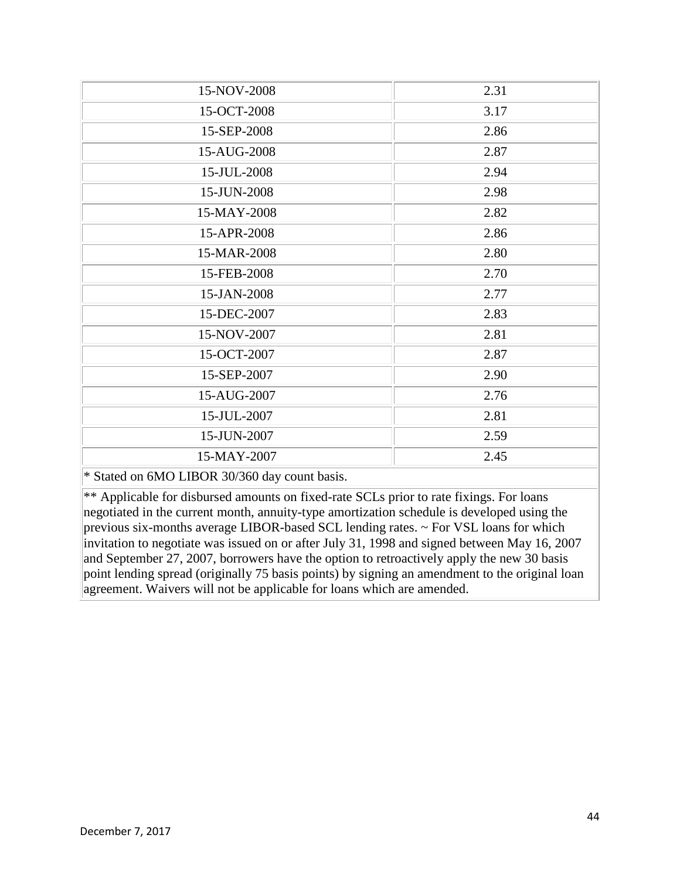| 15-NOV-2008                                                          | 2.31 |
|----------------------------------------------------------------------|------|
| 15-OCT-2008                                                          | 3.17 |
| 15-SEP-2008                                                          | 2.86 |
| 15-AUG-2008                                                          | 2.87 |
| 15-JUL-2008                                                          | 2.94 |
| 15-JUN-2008                                                          | 2.98 |
| 15-MAY-2008                                                          | 2.82 |
| 15-APR-2008                                                          | 2.86 |
| 15-MAR-2008                                                          | 2.80 |
| 15-FEB-2008                                                          | 2.70 |
| 15-JAN-2008                                                          | 2.77 |
| 15-DEC-2007                                                          | 2.83 |
| 15-NOV-2007                                                          | 2.81 |
| 15-OCT-2007                                                          | 2.87 |
| 15-SEP-2007                                                          | 2.90 |
| 15-AUG-2007                                                          | 2.76 |
| 15-JUL-2007                                                          | 2.81 |
| 15-JUN-2007                                                          | 2.59 |
| 15-MAY-2007                                                          | 2.45 |
| $*$ Stated on $\epsilon M$ Q I IDQD $20/2\epsilon 0$ day count boais |      |

\* Stated on 6MO LIBOR 30/360 day count basis.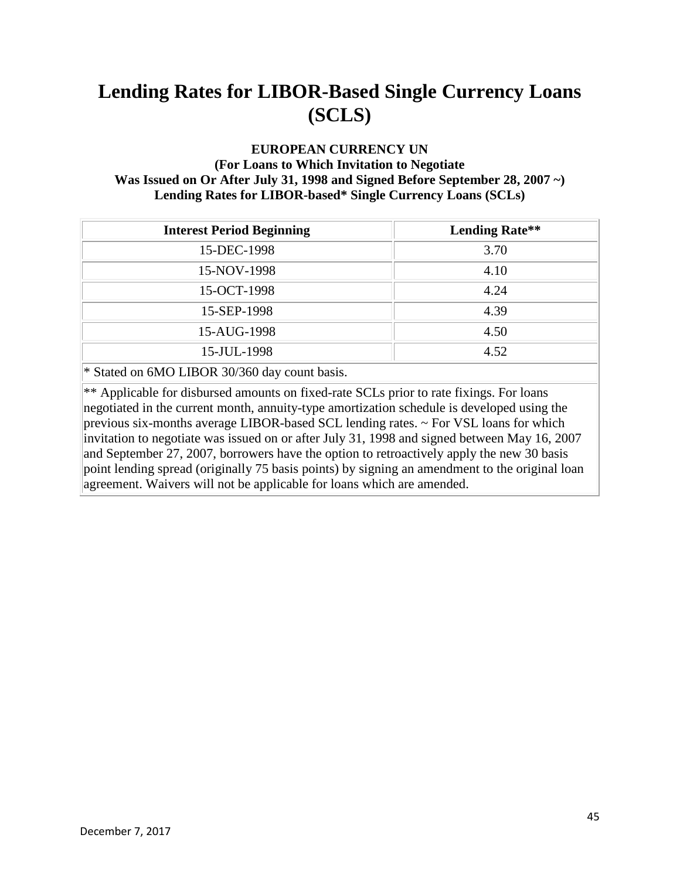#### **EUROPEAN CURRENCY UN (For Loans to Which Invitation to Negotiate Was Issued on Or After July 31, 1998 and Signed Before September 28, 2007 ~) Lending Rates for LIBOR-based\* Single Currency Loans (SCLs)**

| <b>Interest Period Beginning</b>              | <b>Lending Rate**</b> |
|-----------------------------------------------|-----------------------|
| 15-DEC-1998                                   | 3.70                  |
| 15-NOV-1998                                   | 4.10                  |
| 15-OCT-1998                                   | 4.24                  |
| 15-SEP-1998                                   | 4.39                  |
| 15-AUG-1998                                   | 4.50                  |
| 15-JUL-1998                                   | 4.52                  |
| * Stated on 6MO LIBOR 30/360 day count basis. |                       |

\*\* Applicable for disbursed amounts on fixed-rate SCLs prior to rate fixings. For loans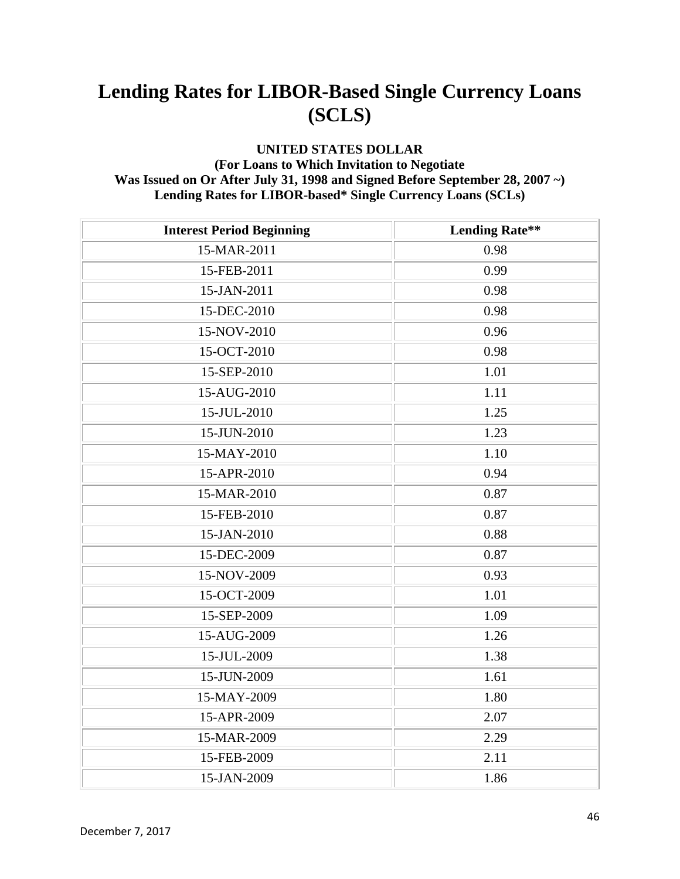#### **UNITED STATES DOLLAR (For Loans to Which Invitation to Negotiate Was Issued on Or After July 31, 1998 and Signed Before September 28, 2007 ~) Lending Rates for LIBOR-based\* Single Currency Loans (SCLs)**

| <b>Interest Period Beginning</b> | <b>Lending Rate**</b> |
|----------------------------------|-----------------------|
| 15-MAR-2011                      | 0.98                  |
| 15-FEB-2011                      | 0.99                  |
| 15-JAN-2011                      | 0.98                  |
| 15-DEC-2010                      | 0.98                  |
| 15-NOV-2010                      | 0.96                  |
| 15-OCT-2010                      | 0.98                  |
| 15-SEP-2010                      | 1.01                  |
| 15-AUG-2010                      | 1.11                  |
| 15-JUL-2010                      | 1.25                  |
| 15-JUN-2010                      | 1.23                  |
| 15-MAY-2010                      | 1.10                  |
| 15-APR-2010                      | 0.94                  |
| 15-MAR-2010                      | 0.87                  |
| 15-FEB-2010                      | 0.87                  |
| 15-JAN-2010                      | 0.88                  |
| 15-DEC-2009                      | 0.87                  |
| 15-NOV-2009                      | 0.93                  |
| 15-OCT-2009                      | 1.01                  |
| 15-SEP-2009                      | 1.09                  |
| 15-AUG-2009                      | 1.26                  |
| 15-JUL-2009                      | 1.38                  |
| 15-JUN-2009                      | 1.61                  |
| 15-MAY-2009                      | 1.80                  |
| 15-APR-2009                      | 2.07                  |
| 15-MAR-2009                      | 2.29                  |
| 15-FEB-2009                      | 2.11                  |
| 15-JAN-2009                      | 1.86                  |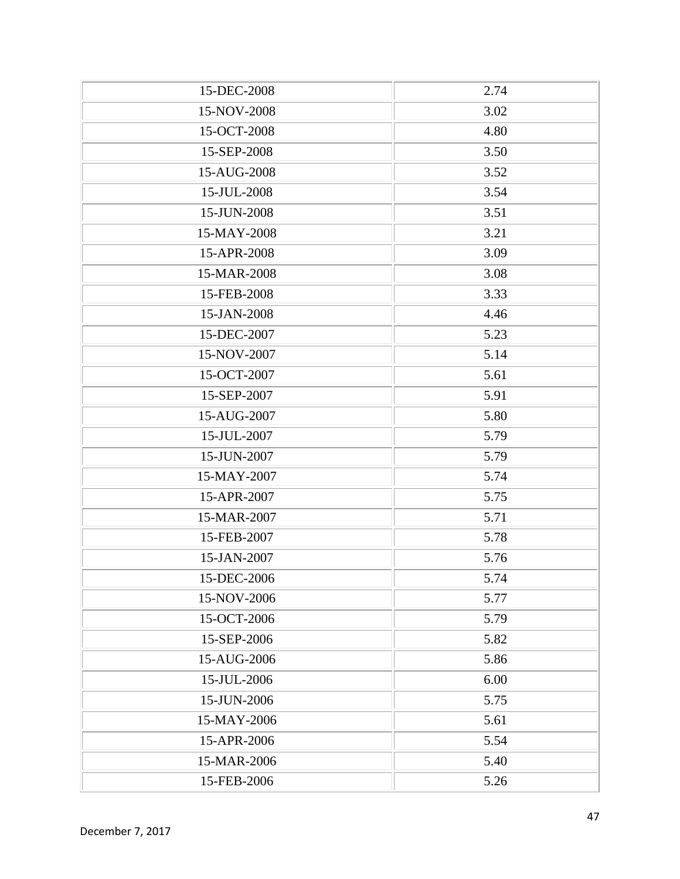| 15-DEC-2008 | 2.74 |
|-------------|------|
| 15-NOV-2008 | 3.02 |
| 15-OCT-2008 | 4.80 |
| 15-SEP-2008 | 3.50 |
| 15-AUG-2008 | 3.52 |
| 15-JUL-2008 | 3.54 |
| 15-JUN-2008 | 3.51 |
| 15-MAY-2008 | 3.21 |
| 15-APR-2008 | 3.09 |
| 15-MAR-2008 | 3.08 |
| 15-FEB-2008 | 3.33 |
| 15-JAN-2008 | 4.46 |
| 15-DEC-2007 | 5.23 |
| 15-NOV-2007 | 5.14 |
| 15-OCT-2007 | 5.61 |
| 15-SEP-2007 | 5.91 |
| 15-AUG-2007 | 5.80 |
| 15-JUL-2007 | 5.79 |
| 15-JUN-2007 | 5.79 |
| 15-MAY-2007 | 5.74 |
| 15-APR-2007 | 5.75 |
| 15-MAR-2007 | 5.71 |
| 15-FEB-2007 | 5.78 |
| 15-JAN-2007 | 5.76 |
| 15-DEC-2006 | 5.74 |
| 15-NOV-2006 | 5.77 |
| 15-OCT-2006 | 5.79 |
| 15-SEP-2006 | 5.82 |
| 15-AUG-2006 | 5.86 |
| 15-JUL-2006 | 6.00 |
| 15-JUN-2006 | 5.75 |
| 15-MAY-2006 | 5.61 |
| 15-APR-2006 | 5.54 |
| 15-MAR-2006 | 5.40 |
| 15-FEB-2006 | 5.26 |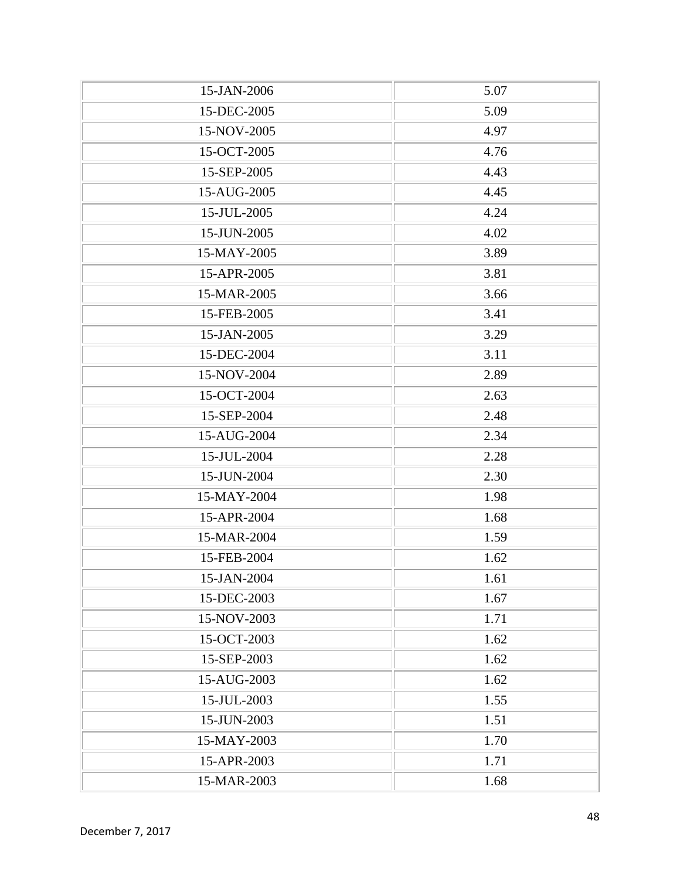| 15-JAN-2006 | 5.07 |
|-------------|------|
| 15-DEC-2005 | 5.09 |
| 15-NOV-2005 | 4.97 |
| 15-OCT-2005 | 4.76 |
| 15-SEP-2005 | 4.43 |
| 15-AUG-2005 | 4.45 |
| 15-JUL-2005 | 4.24 |
| 15-JUN-2005 | 4.02 |
| 15-MAY-2005 | 3.89 |
| 15-APR-2005 | 3.81 |
| 15-MAR-2005 | 3.66 |
| 15-FEB-2005 | 3.41 |
| 15-JAN-2005 | 3.29 |
| 15-DEC-2004 | 3.11 |
| 15-NOV-2004 | 2.89 |
| 15-OCT-2004 | 2.63 |
| 15-SEP-2004 | 2.48 |
| 15-AUG-2004 | 2.34 |
| 15-JUL-2004 | 2.28 |
| 15-JUN-2004 | 2.30 |
| 15-MAY-2004 | 1.98 |
| 15-APR-2004 | 1.68 |
| 15-MAR-2004 | 1.59 |
| 15-FEB-2004 | 1.62 |
| 15-JAN-2004 | 1.61 |
| 15-DEC-2003 | 1.67 |
| 15-NOV-2003 | 1.71 |
| 15-OCT-2003 | 1.62 |
| 15-SEP-2003 | 1.62 |
| 15-AUG-2003 | 1.62 |
| 15-JUL-2003 | 1.55 |
| 15-JUN-2003 | 1.51 |
| 15-MAY-2003 | 1.70 |
| 15-APR-2003 | 1.71 |
| 15-MAR-2003 | 1.68 |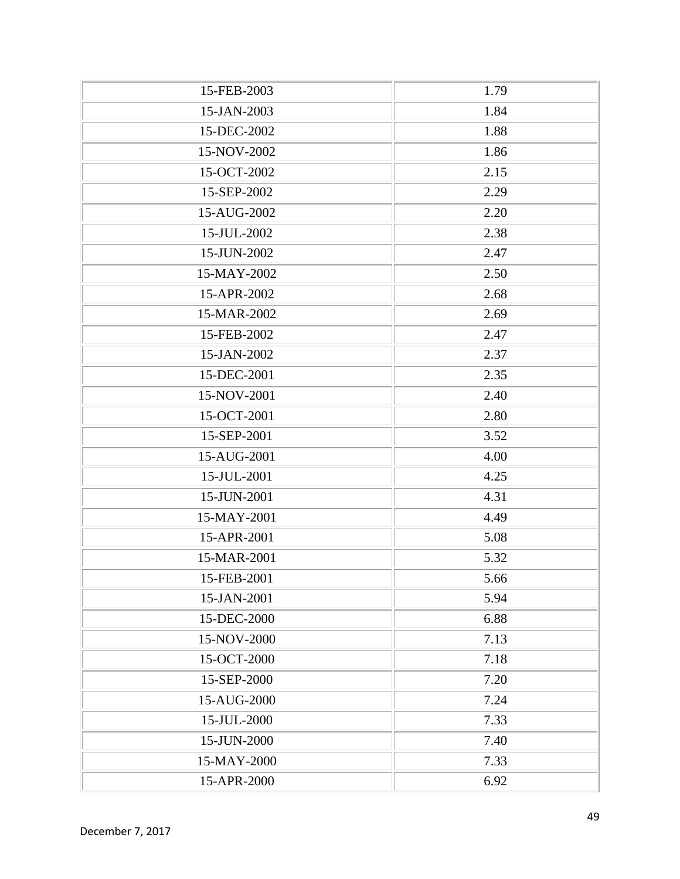| 15-FEB-2003 | 1.79 |
|-------------|------|
| 15-JAN-2003 | 1.84 |
| 15-DEC-2002 | 1.88 |
| 15-NOV-2002 | 1.86 |
| 15-OCT-2002 | 2.15 |
| 15-SEP-2002 | 2.29 |
| 15-AUG-2002 | 2.20 |
| 15-JUL-2002 | 2.38 |
| 15-JUN-2002 | 2.47 |
| 15-MAY-2002 | 2.50 |
| 15-APR-2002 | 2.68 |
| 15-MAR-2002 | 2.69 |
| 15-FEB-2002 | 2.47 |
| 15-JAN-2002 | 2.37 |
| 15-DEC-2001 | 2.35 |
| 15-NOV-2001 | 2.40 |
| 15-OCT-2001 | 2.80 |
| 15-SEP-2001 | 3.52 |
| 15-AUG-2001 | 4.00 |
| 15-JUL-2001 | 4.25 |
| 15-JUN-2001 | 4.31 |
| 15-MAY-2001 | 4.49 |
| 15-APR-2001 | 5.08 |
| 15-MAR-2001 | 5.32 |
| 15-FEB-2001 | 5.66 |
| 15-JAN-2001 | 5.94 |
| 15-DEC-2000 | 6.88 |
| 15-NOV-2000 | 7.13 |
| 15-OCT-2000 | 7.18 |
| 15-SEP-2000 | 7.20 |
| 15-AUG-2000 | 7.24 |
| 15-JUL-2000 | 7.33 |
| 15-JUN-2000 | 7.40 |
| 15-MAY-2000 | 7.33 |
| 15-APR-2000 | 6.92 |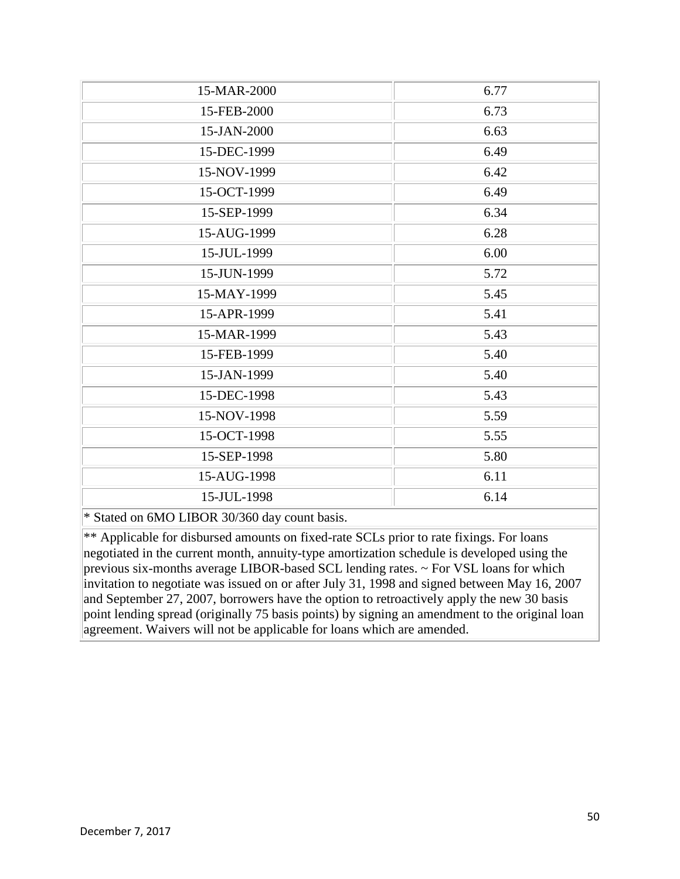| 15-MAR-2000                                   | 6.77 |
|-----------------------------------------------|------|
| 15-FEB-2000                                   | 6.73 |
| 15-JAN-2000                                   | 6.63 |
| 15-DEC-1999                                   | 6.49 |
| 15-NOV-1999                                   | 6.42 |
| 15-OCT-1999                                   | 6.49 |
| 15-SEP-1999                                   | 6.34 |
| 15-AUG-1999                                   | 6.28 |
| 15-JUL-1999                                   | 6.00 |
| 15-JUN-1999                                   | 5.72 |
| 15-MAY-1999                                   | 5.45 |
| 15-APR-1999                                   | 5.41 |
| 15-MAR-1999                                   | 5.43 |
| 15-FEB-1999                                   | 5.40 |
| 15-JAN-1999                                   | 5.40 |
| 15-DEC-1998                                   | 5.43 |
| 15-NOV-1998                                   | 5.59 |
| 15-OCT-1998                                   | 5.55 |
| 15-SEP-1998                                   | 5.80 |
| 15-AUG-1998                                   | 6.11 |
| 15-JUL-1998                                   | 6.14 |
| * Stated on 6MO LIBOR 30/360 day count basis. |      |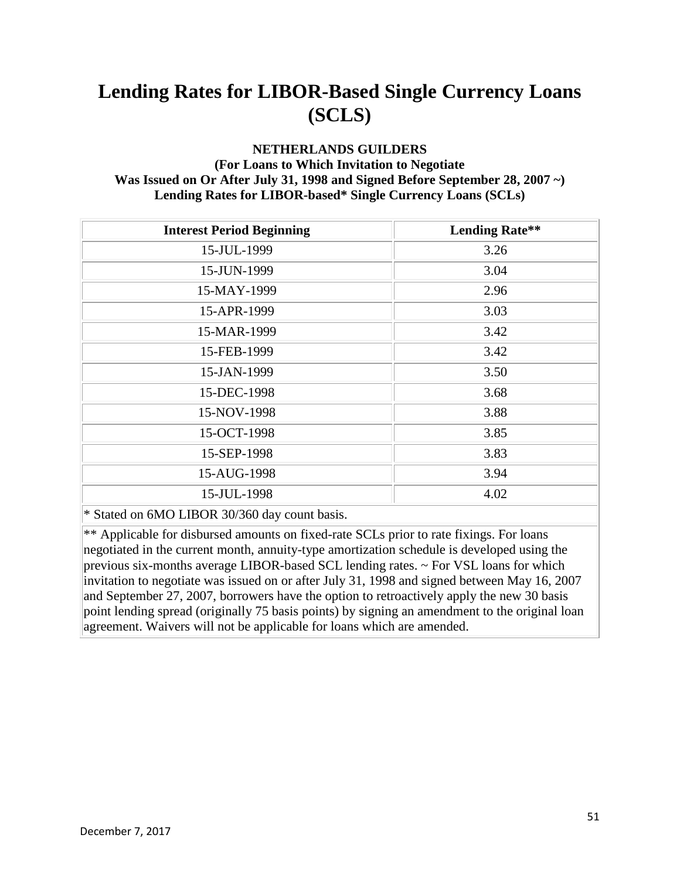### **NETHERLANDS GUILDERS**

#### **(For Loans to Which Invitation to Negotiate Was Issued on Or After July 31, 1998 and Signed Before September 28, 2007 ~) Lending Rates for LIBOR-based\* Single Currency Loans (SCLs)**

| <b>Interest Period Beginning</b>              | <b>Lending Rate**</b> |
|-----------------------------------------------|-----------------------|
| 15-JUL-1999                                   | 3.26                  |
| 15-JUN-1999                                   | 3.04                  |
| 15-MAY-1999                                   | 2.96                  |
| 15-APR-1999                                   | 3.03                  |
| 15-MAR-1999                                   | 3.42                  |
| 15-FEB-1999                                   | 3.42                  |
| 15-JAN-1999                                   | 3.50                  |
| 15-DEC-1998                                   | 3.68                  |
| 15-NOV-1998                                   | 3.88                  |
| 15-OCT-1998                                   | 3.85                  |
| 15-SEP-1998                                   | 3.83                  |
| 15-AUG-1998                                   | 3.94                  |
| 15-JUL-1998                                   | 4.02                  |
| * Stated on 6MO LIBOR 30/360 day count basis. |                       |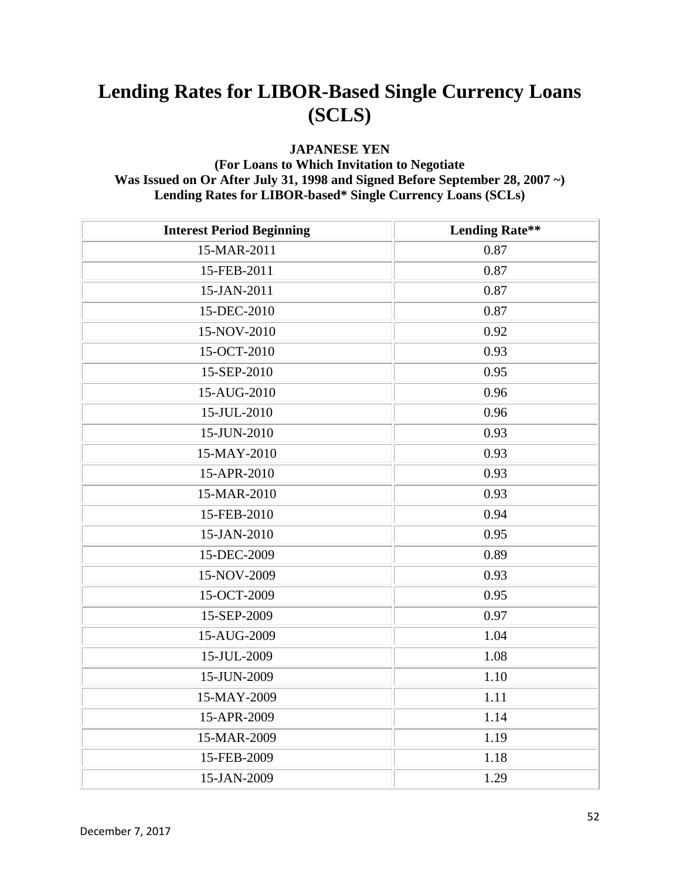#### **JAPANESE YEN**

#### **(For Loans to Which Invitation to Negotiate Was Issued on Or After July 31, 1998 and Signed Before September 28, 2007 ~) Lending Rates for LIBOR-based\* Single Currency Loans (SCLs)**

| <b>Interest Period Beginning</b> | <b>Lending Rate**</b> |
|----------------------------------|-----------------------|
| 15-MAR-2011                      | 0.87                  |
| 15-FEB-2011                      | 0.87                  |
| 15-JAN-2011                      | 0.87                  |
| 15-DEC-2010                      | 0.87                  |
| 15-NOV-2010                      | 0.92                  |
| 15-OCT-2010                      | 0.93                  |
| 15-SEP-2010                      | 0.95                  |
| 15-AUG-2010                      | 0.96                  |
| 15-JUL-2010                      | 0.96                  |
| 15-JUN-2010                      | 0.93                  |
| 15-MAY-2010                      | 0.93                  |
| 15-APR-2010                      | 0.93                  |
| 15-MAR-2010                      | 0.93                  |
| 15-FEB-2010                      | 0.94                  |
| 15-JAN-2010                      | 0.95                  |
| 15-DEC-2009                      | 0.89                  |
| 15-NOV-2009                      | 0.93                  |
| 15-OCT-2009                      | 0.95                  |
| 15-SEP-2009                      | 0.97                  |
| 15-AUG-2009                      | 1.04                  |
| 15-JUL-2009                      | 1.08                  |
| 15-JUN-2009                      | 1.10                  |
| 15-MAY-2009                      | 1.11                  |
| 15-APR-2009                      | 1.14                  |
| 15-MAR-2009                      | 1.19                  |
| 15-FEB-2009                      | 1.18                  |
| 15-JAN-2009                      | 1.29                  |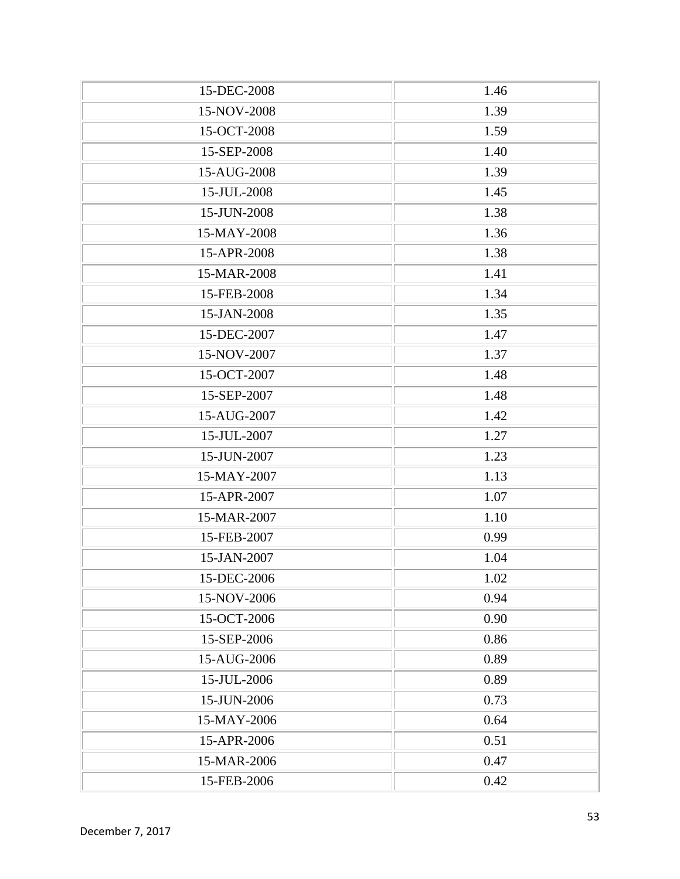| 15-DEC-2008 | 1.46 |
|-------------|------|
| 15-NOV-2008 | 1.39 |
| 15-OCT-2008 | 1.59 |
| 15-SEP-2008 | 1.40 |
| 15-AUG-2008 | 1.39 |
| 15-JUL-2008 | 1.45 |
| 15-JUN-2008 | 1.38 |
| 15-MAY-2008 | 1.36 |
| 15-APR-2008 | 1.38 |
| 15-MAR-2008 | 1.41 |
| 15-FEB-2008 | 1.34 |
| 15-JAN-2008 | 1.35 |
| 15-DEC-2007 | 1.47 |
| 15-NOV-2007 | 1.37 |
| 15-OCT-2007 | 1.48 |
| 15-SEP-2007 | 1.48 |
| 15-AUG-2007 | 1.42 |
| 15-JUL-2007 | 1.27 |
| 15-JUN-2007 | 1.23 |
| 15-MAY-2007 | 1.13 |
| 15-APR-2007 | 1.07 |
| 15-MAR-2007 | 1.10 |
| 15-FEB-2007 | 0.99 |
| 15-JAN-2007 | 1.04 |
| 15-DEC-2006 | 1.02 |
| 15-NOV-2006 | 0.94 |
| 15-OCT-2006 | 0.90 |
| 15-SEP-2006 | 0.86 |
| 15-AUG-2006 | 0.89 |
| 15-JUL-2006 | 0.89 |
| 15-JUN-2006 | 0.73 |
| 15-MAY-2006 | 0.64 |
| 15-APR-2006 | 0.51 |
| 15-MAR-2006 | 0.47 |
| 15-FEB-2006 | 0.42 |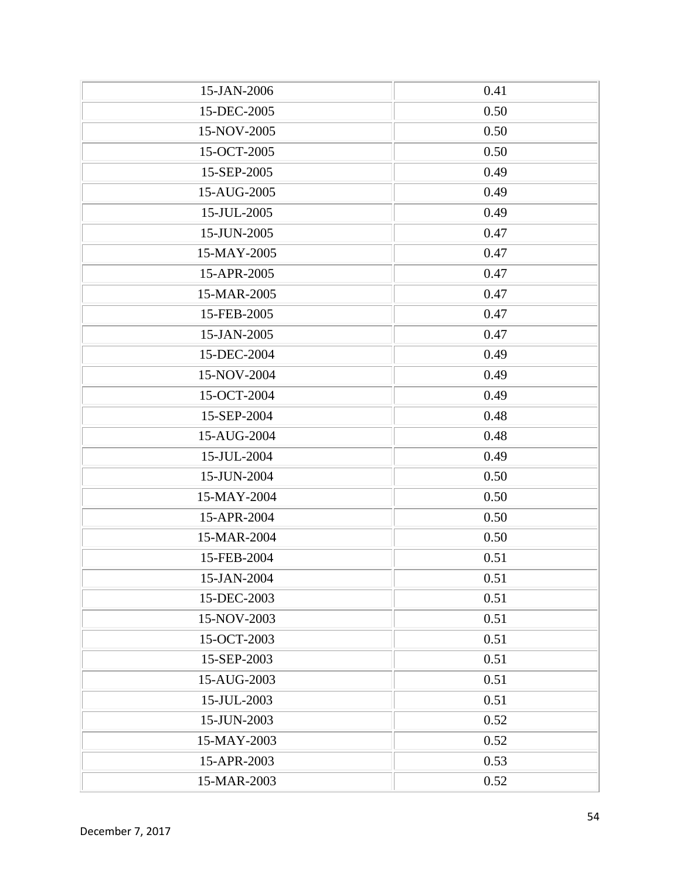| 15-JAN-2006 | 0.41 |
|-------------|------|
| 15-DEC-2005 | 0.50 |
| 15-NOV-2005 | 0.50 |
| 15-OCT-2005 | 0.50 |
| 15-SEP-2005 | 0.49 |
| 15-AUG-2005 | 0.49 |
| 15-JUL-2005 | 0.49 |
| 15-JUN-2005 | 0.47 |
| 15-MAY-2005 | 0.47 |
| 15-APR-2005 | 0.47 |
| 15-MAR-2005 | 0.47 |
| 15-FEB-2005 | 0.47 |
| 15-JAN-2005 | 0.47 |
| 15-DEC-2004 | 0.49 |
| 15-NOV-2004 | 0.49 |
| 15-OCT-2004 | 0.49 |
| 15-SEP-2004 | 0.48 |
| 15-AUG-2004 | 0.48 |
| 15-JUL-2004 | 0.49 |
| 15-JUN-2004 | 0.50 |
| 15-MAY-2004 | 0.50 |
| 15-APR-2004 | 0.50 |
| 15-MAR-2004 | 0.50 |
| 15-FEB-2004 | 0.51 |
| 15-JAN-2004 | 0.51 |
| 15-DEC-2003 | 0.51 |
| 15-NOV-2003 | 0.51 |
| 15-OCT-2003 | 0.51 |
| 15-SEP-2003 | 0.51 |
| 15-AUG-2003 | 0.51 |
| 15-JUL-2003 | 0.51 |
| 15-JUN-2003 | 0.52 |
| 15-MAY-2003 | 0.52 |
| 15-APR-2003 | 0.53 |
| 15-MAR-2003 | 0.52 |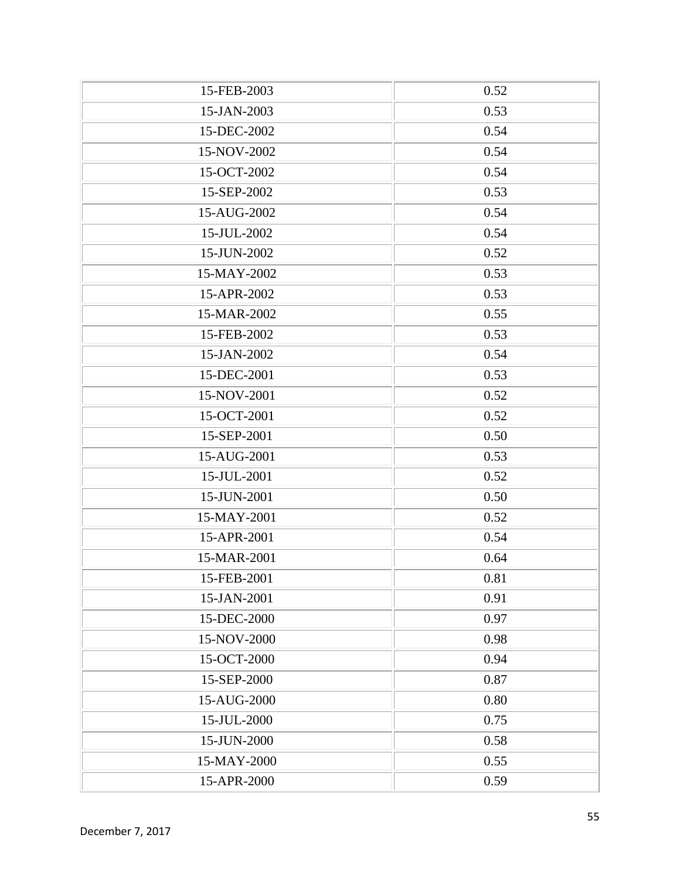| 15-FEB-2003 | 0.52 |
|-------------|------|
| 15-JAN-2003 | 0.53 |
| 15-DEC-2002 | 0.54 |
| 15-NOV-2002 | 0.54 |
| 15-OCT-2002 | 0.54 |
| 15-SEP-2002 | 0.53 |
| 15-AUG-2002 | 0.54 |
| 15-JUL-2002 | 0.54 |
| 15-JUN-2002 | 0.52 |
| 15-MAY-2002 | 0.53 |
| 15-APR-2002 | 0.53 |
| 15-MAR-2002 | 0.55 |
| 15-FEB-2002 | 0.53 |
| 15-JAN-2002 | 0.54 |
| 15-DEC-2001 | 0.53 |
| 15-NOV-2001 | 0.52 |
| 15-OCT-2001 | 0.52 |
| 15-SEP-2001 | 0.50 |
| 15-AUG-2001 | 0.53 |
| 15-JUL-2001 | 0.52 |
| 15-JUN-2001 | 0.50 |
| 15-MAY-2001 | 0.52 |
| 15-APR-2001 | 0.54 |
| 15-MAR-2001 | 0.64 |
| 15-FEB-2001 | 0.81 |
| 15-JAN-2001 | 0.91 |
| 15-DEC-2000 | 0.97 |
| 15-NOV-2000 | 0.98 |
| 15-OCT-2000 | 0.94 |
| 15-SEP-2000 | 0.87 |
| 15-AUG-2000 | 0.80 |
| 15-JUL-2000 | 0.75 |
| 15-JUN-2000 | 0.58 |
| 15-MAY-2000 | 0.55 |
| 15-APR-2000 | 0.59 |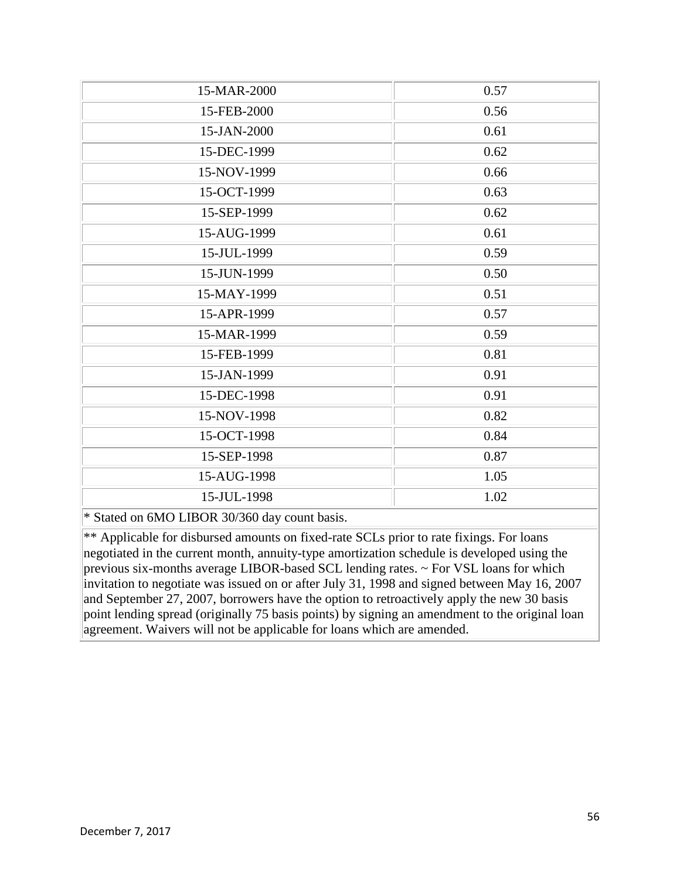| 15-MAR-2000                                   | 0.57 |
|-----------------------------------------------|------|
| 15-FEB-2000                                   | 0.56 |
| 15-JAN-2000                                   | 0.61 |
| 15-DEC-1999                                   | 0.62 |
| 15-NOV-1999                                   | 0.66 |
| 15-OCT-1999                                   | 0.63 |
| 15-SEP-1999                                   | 0.62 |
| 15-AUG-1999                                   | 0.61 |
| 15-JUL-1999                                   | 0.59 |
| 15-JUN-1999                                   | 0.50 |
| 15-MAY-1999                                   | 0.51 |
| 15-APR-1999                                   | 0.57 |
| 15-MAR-1999                                   | 0.59 |
| 15-FEB-1999                                   | 0.81 |
| 15-JAN-1999                                   | 0.91 |
| 15-DEC-1998                                   | 0.91 |
| 15-NOV-1998                                   | 0.82 |
| 15-OCT-1998                                   | 0.84 |
| 15-SEP-1998                                   | 0.87 |
| 15-AUG-1998                                   | 1.05 |
| 15-JUL-1998                                   | 1.02 |
| * Stated on 6MO LIBOR 30/360 day count basis. |      |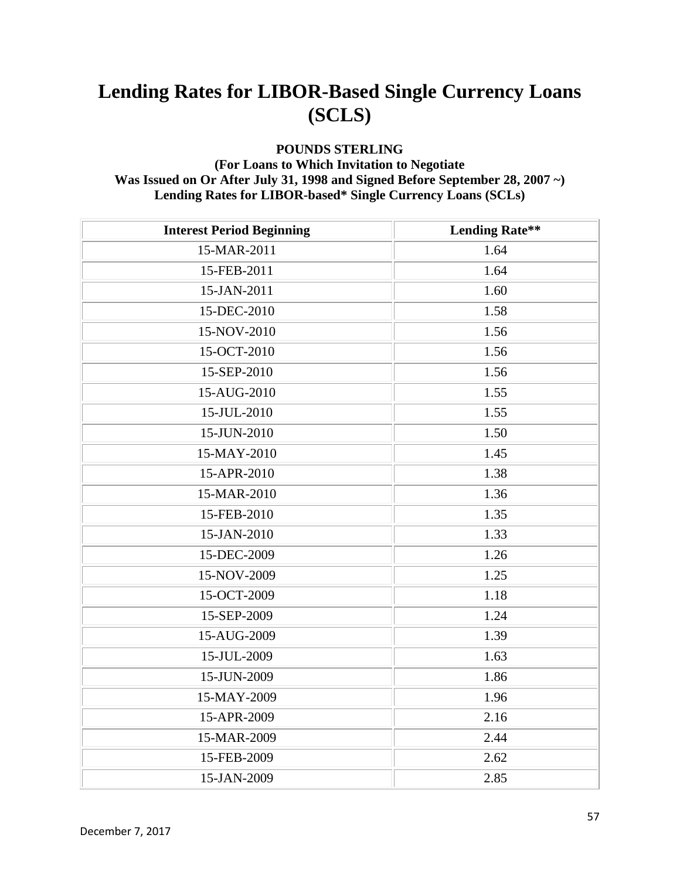#### **POUNDS STERLING**

#### **(For Loans to Which Invitation to Negotiate Was Issued on Or After July 31, 1998 and Signed Before September 28, 2007 ~) Lending Rates for LIBOR-based\* Single Currency Loans (SCLs)**

| <b>Interest Period Beginning</b> | <b>Lending Rate**</b> |
|----------------------------------|-----------------------|
| 15-MAR-2011                      | 1.64                  |
| 15-FEB-2011                      | 1.64                  |
| 15-JAN-2011                      | 1.60                  |
| 15-DEC-2010                      | 1.58                  |
| 15-NOV-2010                      | 1.56                  |
| 15-OCT-2010                      | 1.56                  |
| 15-SEP-2010                      | 1.56                  |
| 15-AUG-2010                      | 1.55                  |
| 15-JUL-2010                      | 1.55                  |
| 15-JUN-2010                      | 1.50                  |
| 15-MAY-2010                      | 1.45                  |
| 15-APR-2010                      | 1.38                  |
| 15-MAR-2010                      | 1.36                  |
| 15-FEB-2010                      | 1.35                  |
| 15-JAN-2010                      | 1.33                  |
| 15-DEC-2009                      | 1.26                  |
| 15-NOV-2009                      | 1.25                  |
| 15-OCT-2009                      | 1.18                  |
| 15-SEP-2009                      | 1.24                  |
| 15-AUG-2009                      | 1.39                  |
| 15-JUL-2009                      | 1.63                  |
| 15-JUN-2009                      | 1.86                  |
| 15-MAY-2009                      | 1.96                  |
| 15-APR-2009                      | 2.16                  |
| 15-MAR-2009                      | 2.44                  |
| 15-FEB-2009                      | 2.62                  |
| 15-JAN-2009                      | 2.85                  |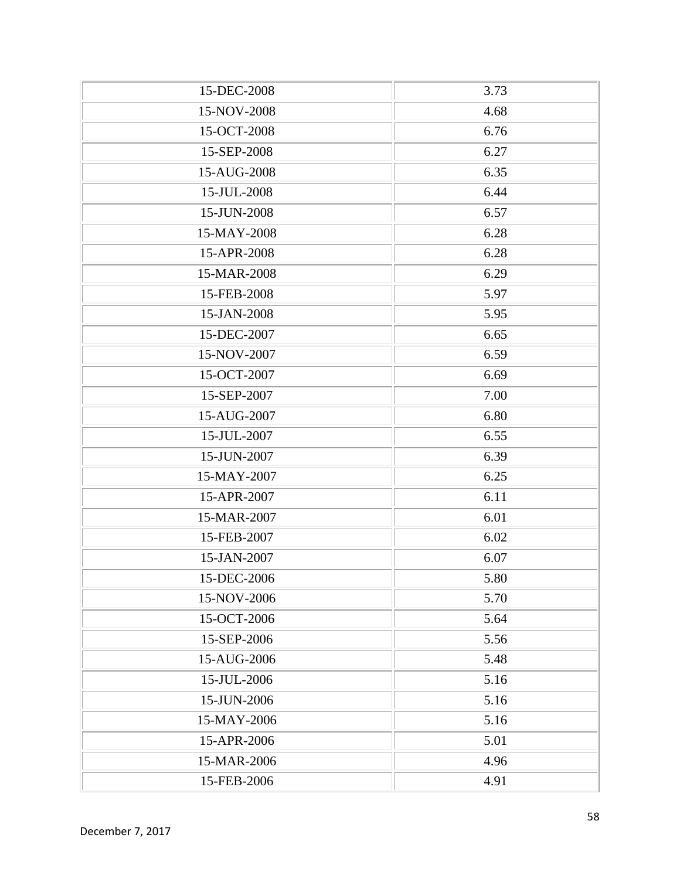| 15-DEC-2008 | 3.73 |
|-------------|------|
| 15-NOV-2008 | 4.68 |
| 15-OCT-2008 | 6.76 |
| 15-SEP-2008 | 6.27 |
| 15-AUG-2008 | 6.35 |
| 15-JUL-2008 | 6.44 |
| 15-JUN-2008 | 6.57 |
| 15-MAY-2008 | 6.28 |
| 15-APR-2008 | 6.28 |
| 15-MAR-2008 | 6.29 |
| 15-FEB-2008 | 5.97 |
| 15-JAN-2008 | 5.95 |
| 15-DEC-2007 | 6.65 |
| 15-NOV-2007 | 6.59 |
| 15-OCT-2007 | 6.69 |
| 15-SEP-2007 | 7.00 |
| 15-AUG-2007 | 6.80 |
| 15-JUL-2007 | 6.55 |
| 15-JUN-2007 | 6.39 |
| 15-MAY-2007 | 6.25 |
| 15-APR-2007 | 6.11 |
| 15-MAR-2007 | 6.01 |
| 15-FEB-2007 | 6.02 |
| 15-JAN-2007 | 6.07 |
| 15-DEC-2006 | 5.80 |
| 15-NOV-2006 | 5.70 |
| 15-OCT-2006 | 5.64 |
| 15-SEP-2006 | 5.56 |
| 15-AUG-2006 | 5.48 |
| 15-JUL-2006 | 5.16 |
| 15-JUN-2006 | 5.16 |
| 15-MAY-2006 | 5.16 |
| 15-APR-2006 | 5.01 |
| 15-MAR-2006 | 4.96 |
| 15-FEB-2006 | 4.91 |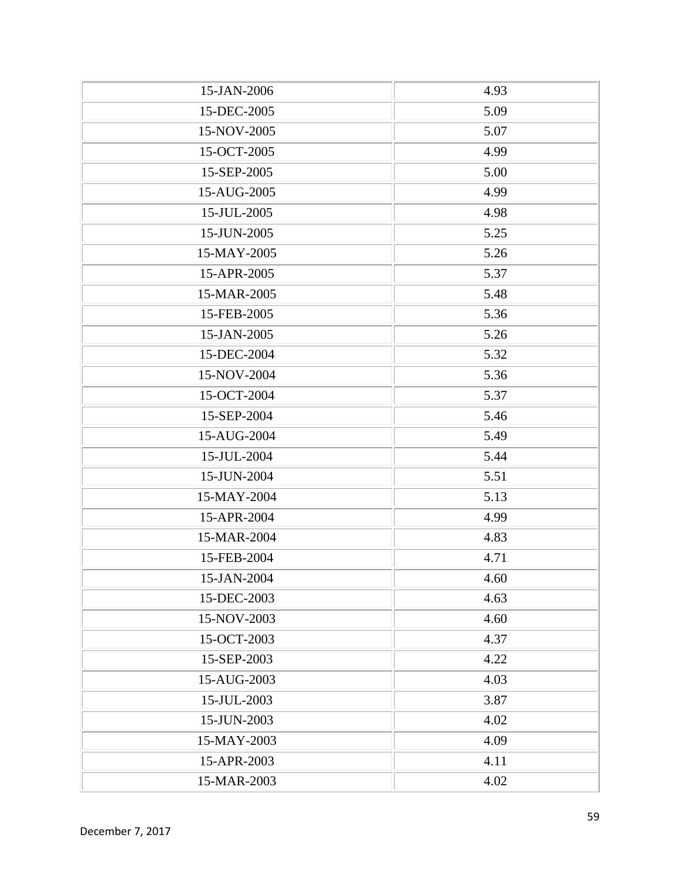| 15-JAN-2006 | 4.93 |
|-------------|------|
| 15-DEC-2005 | 5.09 |
| 15-NOV-2005 | 5.07 |
| 15-OCT-2005 | 4.99 |
| 15-SEP-2005 | 5.00 |
| 15-AUG-2005 | 4.99 |
| 15-JUL-2005 | 4.98 |
| 15-JUN-2005 | 5.25 |
| 15-MAY-2005 | 5.26 |
| 15-APR-2005 | 5.37 |
| 15-MAR-2005 | 5.48 |
| 15-FEB-2005 | 5.36 |
| 15-JAN-2005 | 5.26 |
| 15-DEC-2004 | 5.32 |
| 15-NOV-2004 | 5.36 |
| 15-OCT-2004 | 5.37 |
| 15-SEP-2004 | 5.46 |
| 15-AUG-2004 | 5.49 |
| 15-JUL-2004 | 5.44 |
| 15-JUN-2004 | 5.51 |
| 15-MAY-2004 | 5.13 |
| 15-APR-2004 | 4.99 |
| 15-MAR-2004 | 4.83 |
| 15-FEB-2004 | 4.71 |
| 15-JAN-2004 | 4.60 |
| 15-DEC-2003 | 4.63 |
| 15-NOV-2003 | 4.60 |
| 15-OCT-2003 | 4.37 |
| 15-SEP-2003 | 4.22 |
| 15-AUG-2003 | 4.03 |
| 15-JUL-2003 | 3.87 |
| 15-JUN-2003 | 4.02 |
| 15-MAY-2003 | 4.09 |
| 15-APR-2003 | 4.11 |
| 15-MAR-2003 | 4.02 |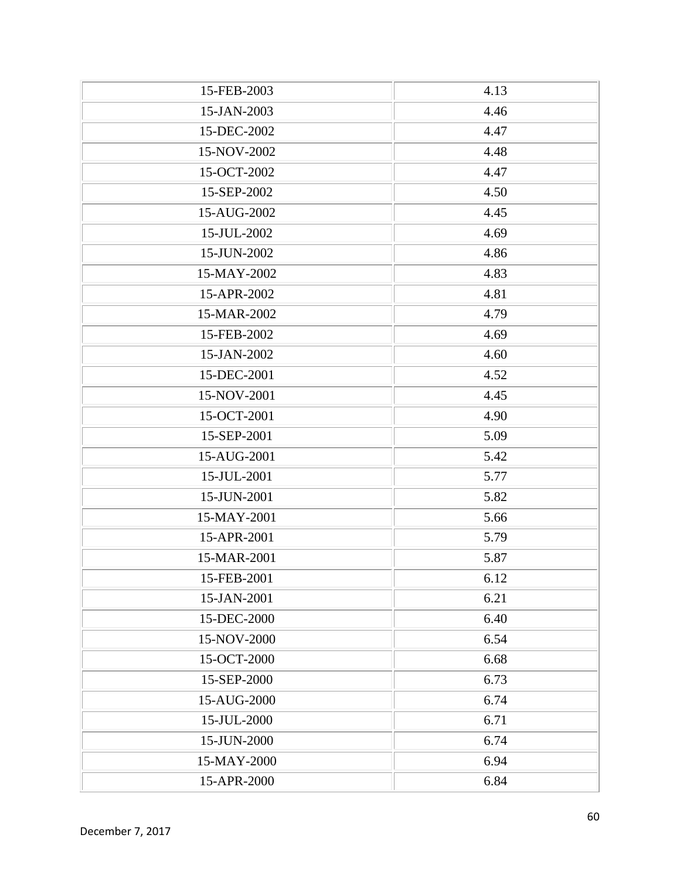| 15-FEB-2003 | 4.13 |
|-------------|------|
| 15-JAN-2003 | 4.46 |
| 15-DEC-2002 | 4.47 |
| 15-NOV-2002 | 4.48 |
| 15-OCT-2002 | 4.47 |
| 15-SEP-2002 | 4.50 |
| 15-AUG-2002 | 4.45 |
| 15-JUL-2002 | 4.69 |
| 15-JUN-2002 | 4.86 |
| 15-MAY-2002 | 4.83 |
| 15-APR-2002 | 4.81 |
| 15-MAR-2002 | 4.79 |
| 15-FEB-2002 | 4.69 |
| 15-JAN-2002 | 4.60 |
| 15-DEC-2001 | 4.52 |
| 15-NOV-2001 | 4.45 |
| 15-OCT-2001 | 4.90 |
| 15-SEP-2001 | 5.09 |
| 15-AUG-2001 | 5.42 |
| 15-JUL-2001 | 5.77 |
| 15-JUN-2001 | 5.82 |
| 15-MAY-2001 | 5.66 |
| 15-APR-2001 | 5.79 |
| 15-MAR-2001 | 5.87 |
| 15-FEB-2001 | 6.12 |
| 15-JAN-2001 | 6.21 |
| 15-DEC-2000 | 6.40 |
| 15-NOV-2000 | 6.54 |
| 15-OCT-2000 | 6.68 |
| 15-SEP-2000 | 6.73 |
| 15-AUG-2000 | 6.74 |
| 15-JUL-2000 | 6.71 |
| 15-JUN-2000 | 6.74 |
| 15-MAY-2000 | 6.94 |
| 15-APR-2000 | 6.84 |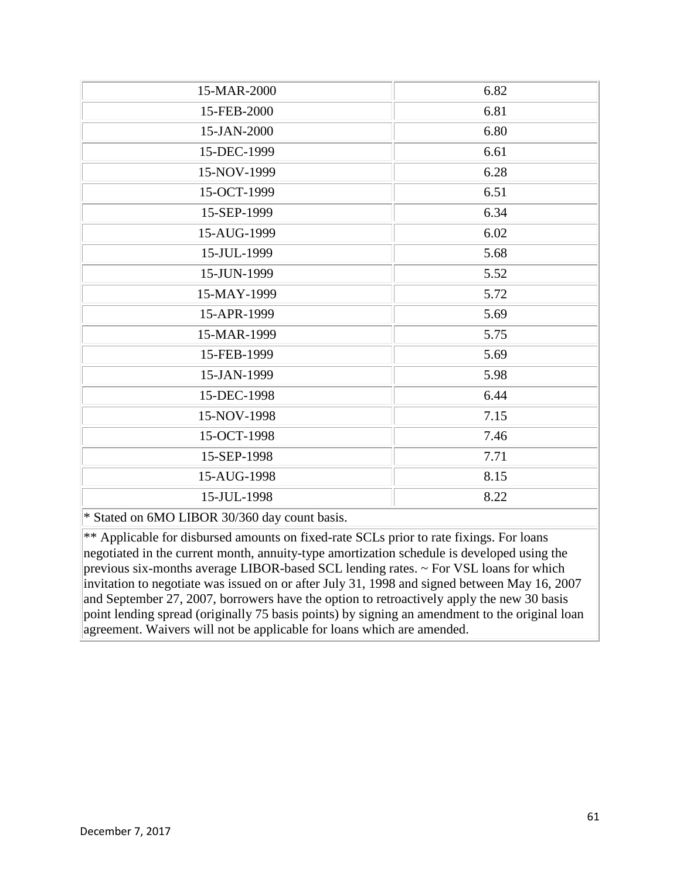| 15-MAR-2000                                   | 6.82 |
|-----------------------------------------------|------|
| 15-FEB-2000                                   | 6.81 |
| 15-JAN-2000                                   | 6.80 |
| 15-DEC-1999                                   | 6.61 |
| 15-NOV-1999                                   | 6.28 |
| 15-OCT-1999                                   | 6.51 |
| 15-SEP-1999                                   | 6.34 |
| 15-AUG-1999                                   | 6.02 |
| 15-JUL-1999                                   | 5.68 |
| 15-JUN-1999                                   | 5.52 |
| 15-MAY-1999                                   | 5.72 |
| 15-APR-1999                                   | 5.69 |
| 15-MAR-1999                                   | 5.75 |
| 15-FEB-1999                                   | 5.69 |
| 15-JAN-1999                                   | 5.98 |
| 15-DEC-1998                                   | 6.44 |
| 15-NOV-1998                                   | 7.15 |
| 15-OCT-1998                                   | 7.46 |
| 15-SEP-1998                                   | 7.71 |
| 15-AUG-1998                                   | 8.15 |
| 15-JUL-1998                                   | 8.22 |
| * Stated on 6MO LIBOR 30/360 day count basis. |      |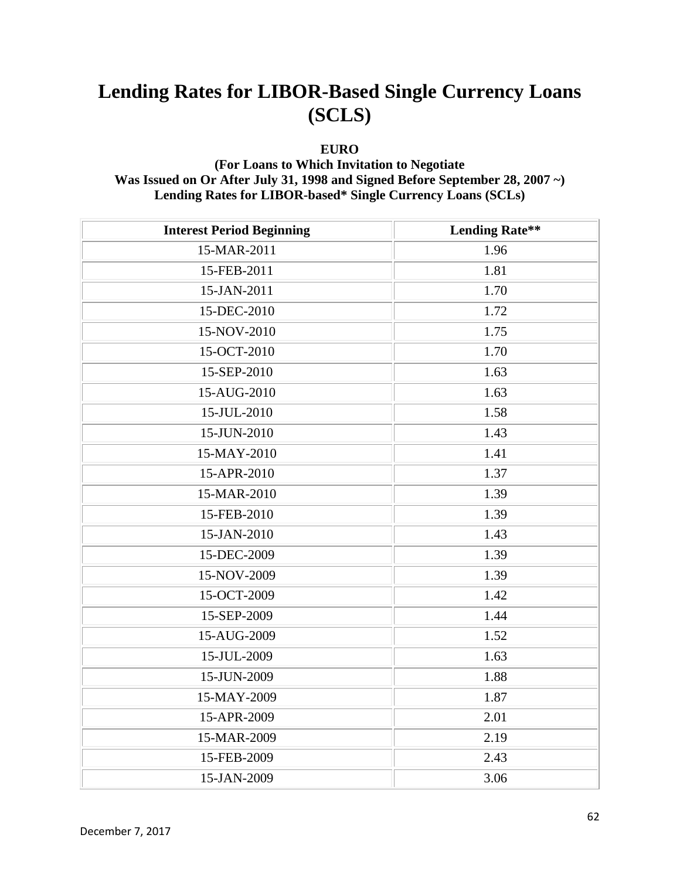#### **EURO**

#### **(For Loans to Which Invitation to Negotiate Was Issued on Or After July 31, 1998 and Signed Before September 28, 2007 ~) Lending Rates for LIBOR-based\* Single Currency Loans (SCLs)**

| <b>Interest Period Beginning</b> | <b>Lending Rate**</b> |
|----------------------------------|-----------------------|
| 15-MAR-2011                      | 1.96                  |
| 15-FEB-2011                      | 1.81                  |
| 15-JAN-2011                      | 1.70                  |
| 15-DEC-2010                      | 1.72                  |
| 15-NOV-2010                      | 1.75                  |
| 15-OCT-2010                      | 1.70                  |
| 15-SEP-2010                      | 1.63                  |
| 15-AUG-2010                      | 1.63                  |
| 15-JUL-2010                      | 1.58                  |
| 15-JUN-2010                      | 1.43                  |
| 15-MAY-2010                      | 1.41                  |
| 15-APR-2010                      | 1.37                  |
| 15-MAR-2010                      | 1.39                  |
| 15-FEB-2010                      | 1.39                  |
| 15-JAN-2010                      | 1.43                  |
| 15-DEC-2009                      | 1.39                  |
| 15-NOV-2009                      | 1.39                  |
| 15-OCT-2009                      | 1.42                  |
| 15-SEP-2009                      | 1.44                  |
| 15-AUG-2009                      | 1.52                  |
| 15-JUL-2009                      | 1.63                  |
| 15-JUN-2009                      | 1.88                  |
| 15-MAY-2009                      | 1.87                  |
| 15-APR-2009                      | 2.01                  |
| 15-MAR-2009                      | 2.19                  |
| 15-FEB-2009                      | 2.43                  |
| 15-JAN-2009                      | 3.06                  |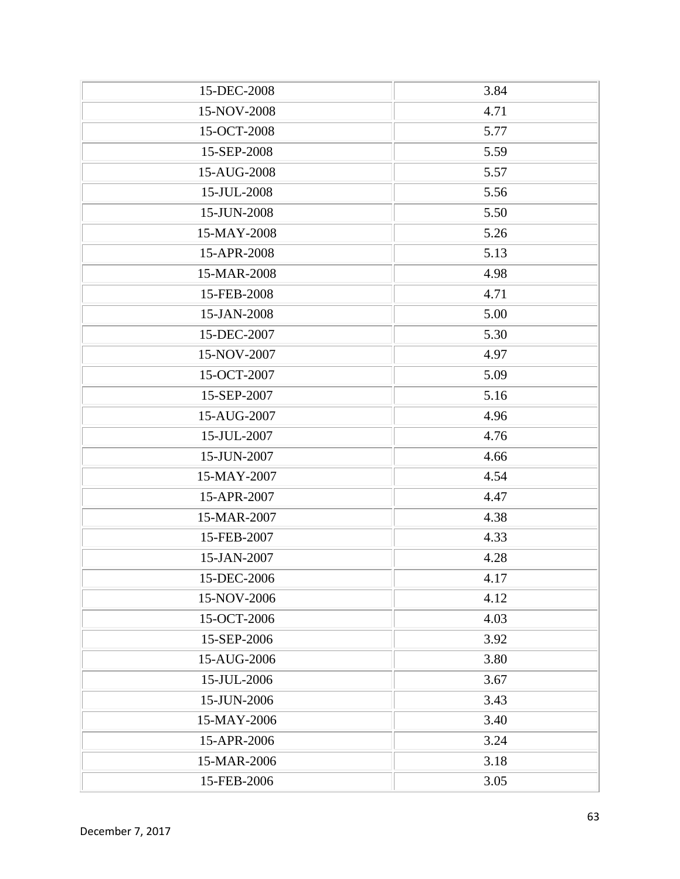| 15-DEC-2008 | 3.84 |
|-------------|------|
| 15-NOV-2008 | 4.71 |
| 15-OCT-2008 | 5.77 |
| 15-SEP-2008 | 5.59 |
| 15-AUG-2008 | 5.57 |
| 15-JUL-2008 | 5.56 |
| 15-JUN-2008 | 5.50 |
| 15-MAY-2008 | 5.26 |
| 15-APR-2008 | 5.13 |
| 15-MAR-2008 | 4.98 |
| 15-FEB-2008 | 4.71 |
| 15-JAN-2008 | 5.00 |
| 15-DEC-2007 | 5.30 |
| 15-NOV-2007 | 4.97 |
| 15-OCT-2007 | 5.09 |
| 15-SEP-2007 | 5.16 |
| 15-AUG-2007 | 4.96 |
| 15-JUL-2007 | 4.76 |
| 15-JUN-2007 | 4.66 |
| 15-MAY-2007 | 4.54 |
| 15-APR-2007 | 4.47 |
| 15-MAR-2007 | 4.38 |
| 15-FEB-2007 | 4.33 |
| 15-JAN-2007 | 4.28 |
| 15-DEC-2006 | 4.17 |
| 15-NOV-2006 | 4.12 |
| 15-OCT-2006 | 4.03 |
| 15-SEP-2006 | 3.92 |
| 15-AUG-2006 | 3.80 |
| 15-JUL-2006 | 3.67 |
| 15-JUN-2006 | 3.43 |
| 15-MAY-2006 | 3.40 |
| 15-APR-2006 | 3.24 |
| 15-MAR-2006 | 3.18 |
| 15-FEB-2006 | 3.05 |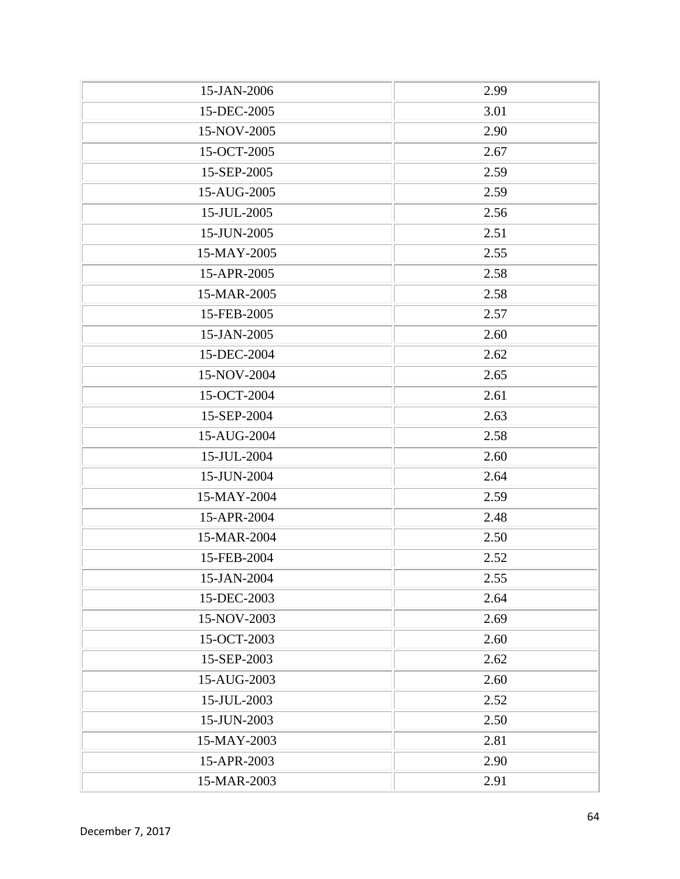| 15-JAN-2006 | 2.99 |
|-------------|------|
| 15-DEC-2005 | 3.01 |
| 15-NOV-2005 | 2.90 |
| 15-OCT-2005 | 2.67 |
| 15-SEP-2005 | 2.59 |
| 15-AUG-2005 | 2.59 |
| 15-JUL-2005 | 2.56 |
| 15-JUN-2005 | 2.51 |
| 15-MAY-2005 | 2.55 |
| 15-APR-2005 | 2.58 |
| 15-MAR-2005 | 2.58 |
| 15-FEB-2005 | 2.57 |
| 15-JAN-2005 | 2.60 |
| 15-DEC-2004 | 2.62 |
| 15-NOV-2004 | 2.65 |
| 15-OCT-2004 | 2.61 |
| 15-SEP-2004 | 2.63 |
| 15-AUG-2004 | 2.58 |
| 15-JUL-2004 | 2.60 |
| 15-JUN-2004 | 2.64 |
| 15-MAY-2004 | 2.59 |
| 15-APR-2004 | 2.48 |
| 15-MAR-2004 | 2.50 |
| 15-FEB-2004 | 2.52 |
| 15-JAN-2004 | 2.55 |
| 15-DEC-2003 | 2.64 |
| 15-NOV-2003 | 2.69 |
| 15-OCT-2003 | 2.60 |
| 15-SEP-2003 | 2.62 |
| 15-AUG-2003 | 2.60 |
| 15-JUL-2003 | 2.52 |
| 15-JUN-2003 | 2.50 |
| 15-MAY-2003 | 2.81 |
| 15-APR-2003 | 2.90 |
| 15-MAR-2003 | 2.91 |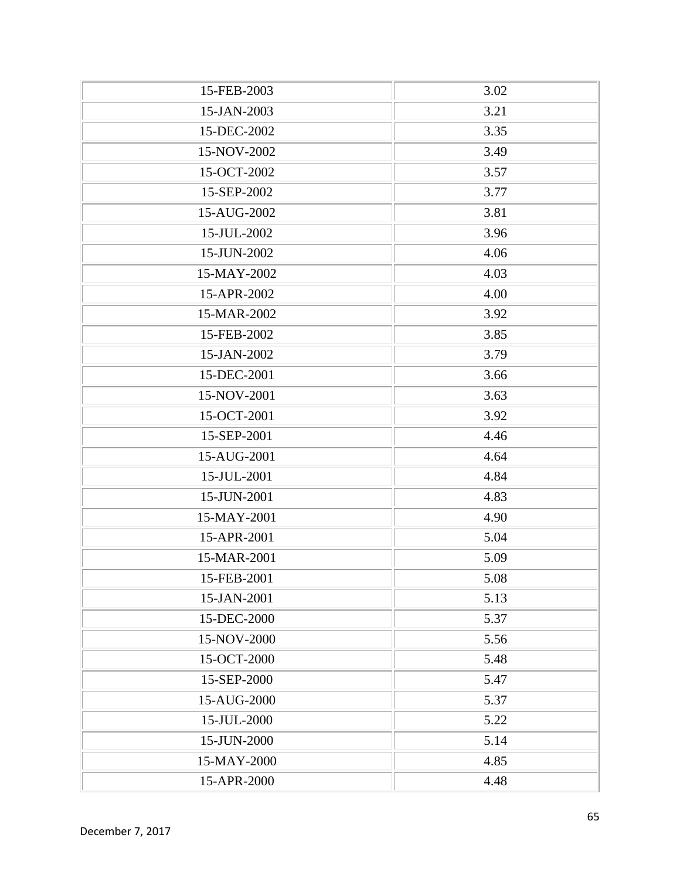| 15-FEB-2003 | 3.02 |
|-------------|------|
| 15-JAN-2003 | 3.21 |
| 15-DEC-2002 | 3.35 |
| 15-NOV-2002 | 3.49 |
| 15-OCT-2002 | 3.57 |
| 15-SEP-2002 | 3.77 |
| 15-AUG-2002 | 3.81 |
| 15-JUL-2002 | 3.96 |
| 15-JUN-2002 | 4.06 |
| 15-MAY-2002 | 4.03 |
| 15-APR-2002 | 4.00 |
| 15-MAR-2002 | 3.92 |
| 15-FEB-2002 | 3.85 |
| 15-JAN-2002 | 3.79 |
| 15-DEC-2001 | 3.66 |
| 15-NOV-2001 | 3.63 |
| 15-OCT-2001 | 3.92 |
| 15-SEP-2001 | 4.46 |
| 15-AUG-2001 | 4.64 |
| 15-JUL-2001 | 4.84 |
| 15-JUN-2001 | 4.83 |
| 15-MAY-2001 | 4.90 |
| 15-APR-2001 | 5.04 |
| 15-MAR-2001 | 5.09 |
| 15-FEB-2001 | 5.08 |
| 15-JAN-2001 | 5.13 |
| 15-DEC-2000 | 5.37 |
| 15-NOV-2000 | 5.56 |
| 15-OCT-2000 | 5.48 |
| 15-SEP-2000 | 5.47 |
| 15-AUG-2000 | 5.37 |
| 15-JUL-2000 | 5.22 |
| 15-JUN-2000 | 5.14 |
| 15-MAY-2000 | 4.85 |
| 15-APR-2000 | 4.48 |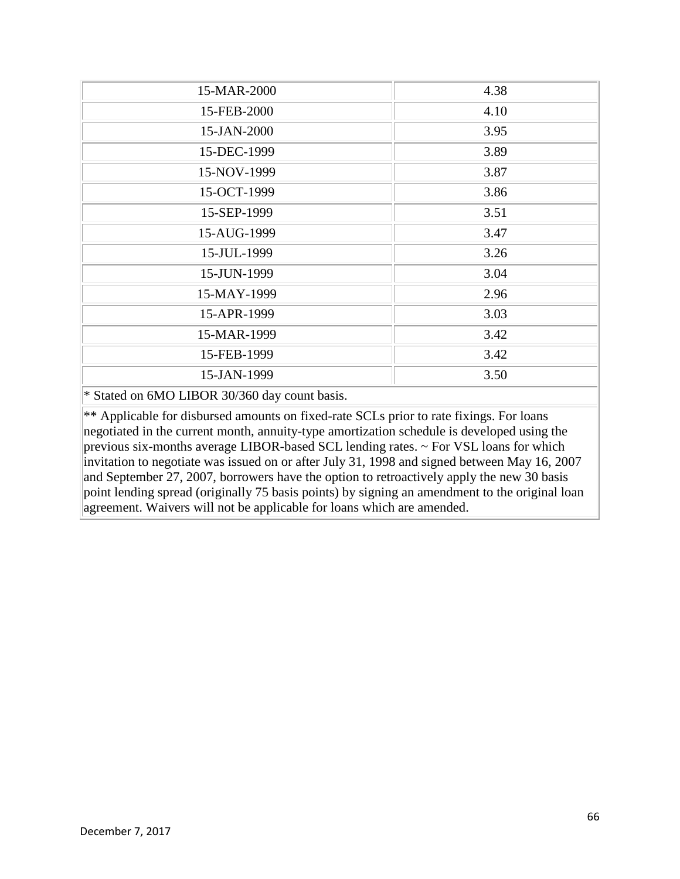| 15-MAR-2000   | 4.38 |
|---------------|------|
| 15-FEB-2000   | 4.10 |
| 15-JAN-2000   | 3.95 |
| 15-DEC-1999   | 3.89 |
| 15-NOV-1999   | 3.87 |
| 15-OCT-1999   | 3.86 |
| 15-SEP-1999   | 3.51 |
| 15-AUG-1999   | 3.47 |
| 15-JUL-1999   | 3.26 |
| 15-JUN-1999   | 3.04 |
| 15-MAY-1999   | 2.96 |
| 15-APR-1999   | 3.03 |
| 15-MAR-1999   | 3.42 |
| 15-FEB-1999   | 3.42 |
| 15-JAN-1999   | 3.50 |
| $\sim$ $\sim$ |      |

\* Stated on 6MO LIBOR 30/360 day count basis.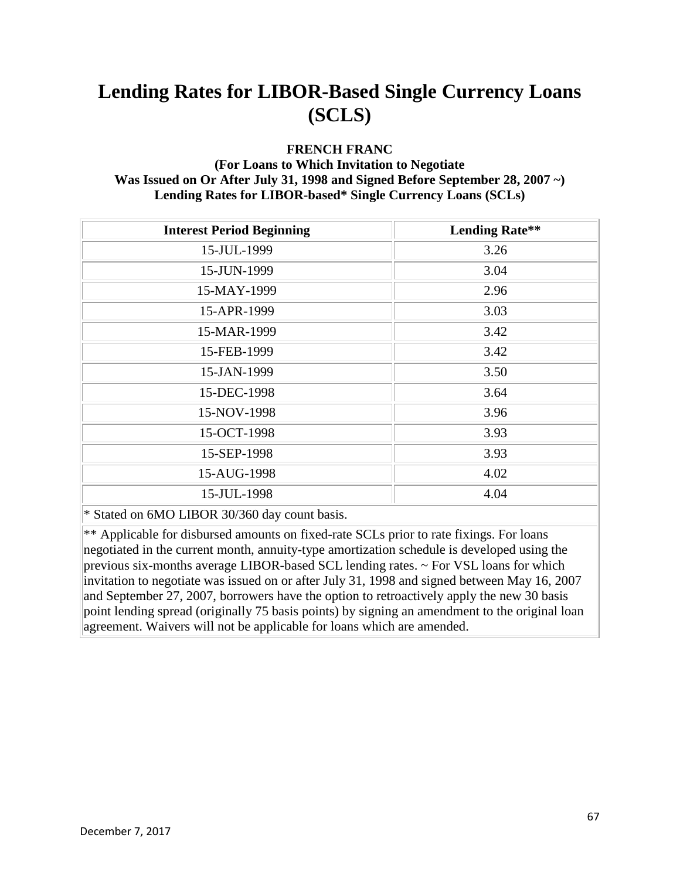#### **FRENCH FRANC**

#### **(For Loans to Which Invitation to Negotiate Was Issued on Or After July 31, 1998 and Signed Before September 28, 2007 ~) Lending Rates for LIBOR-based\* Single Currency Loans (SCLs)**

| <b>Interest Period Beginning</b>              | <b>Lending Rate**</b> |
|-----------------------------------------------|-----------------------|
| 15-JUL-1999                                   | 3.26                  |
| 15-JUN-1999                                   | 3.04                  |
| 15-MAY-1999                                   | 2.96                  |
| 15-APR-1999                                   | 3.03                  |
| 15-MAR-1999                                   | 3.42                  |
| 15-FEB-1999                                   | 3.42                  |
| 15-JAN-1999                                   | 3.50                  |
| 15-DEC-1998                                   | 3.64                  |
| 15-NOV-1998                                   | 3.96                  |
| 15-OCT-1998                                   | 3.93                  |
| 15-SEP-1998                                   | 3.93                  |
| 15-AUG-1998                                   | 4.02                  |
| 15-JUL-1998                                   | 4.04                  |
| * Stated on 6MO LIBOR 30/360 day count basis. |                       |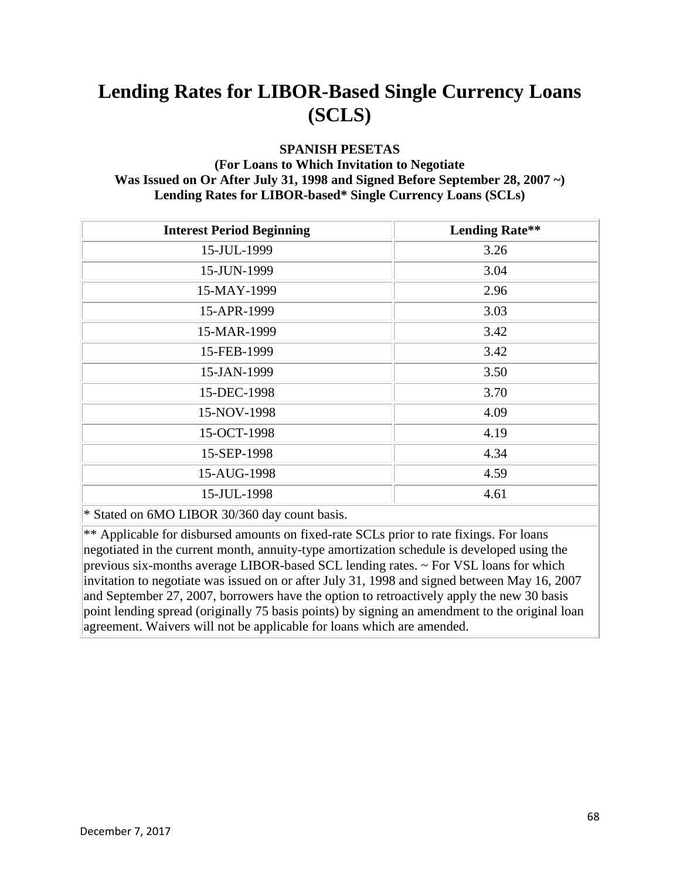#### **SPANISH PESETAS**

#### **(For Loans to Which Invitation to Negotiate Was Issued on Or After July 31, 1998 and Signed Before September 28, 2007 ~) Lending Rates for LIBOR-based\* Single Currency Loans (SCLs)**

| <b>Interest Period Beginning</b>              | <b>Lending Rate**</b> |
|-----------------------------------------------|-----------------------|
| 15-JUL-1999                                   | 3.26                  |
| 15-JUN-1999                                   | 3.04                  |
| 15-MAY-1999                                   | 2.96                  |
| 15-APR-1999                                   | 3.03                  |
| 15-MAR-1999                                   | 3.42                  |
| 15-FEB-1999                                   | 3.42                  |
| 15-JAN-1999                                   | 3.50                  |
| 15-DEC-1998                                   | 3.70                  |
| 15-NOV-1998                                   | 4.09                  |
| 15-OCT-1998                                   | 4.19                  |
| 15-SEP-1998                                   | 4.34                  |
| 15-AUG-1998                                   | 4.59                  |
| 15-JUL-1998                                   | 4.61                  |
| * Stated on 6MO LIBOR 30/360 day count basis. |                       |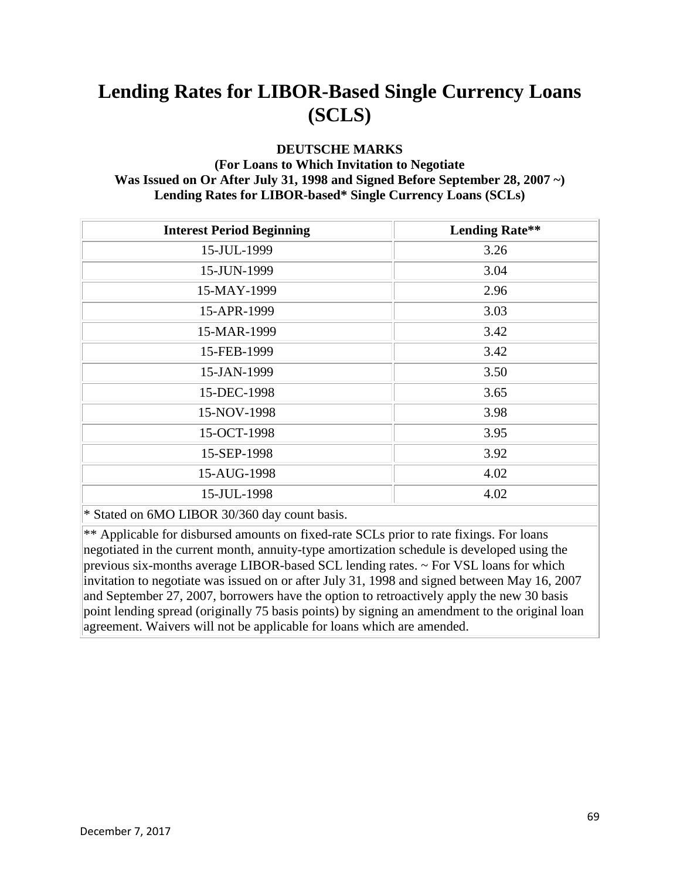#### **DEUTSCHE MARKS**

#### **(For Loans to Which Invitation to Negotiate Was Issued on Or After July 31, 1998 and Signed Before September 28, 2007 ~) Lending Rates for LIBOR-based\* Single Currency Loans (SCLs)**

| <b>Interest Period Beginning</b>              | <b>Lending Rate**</b> |
|-----------------------------------------------|-----------------------|
| 15-JUL-1999                                   | 3.26                  |
| 15-JUN-1999                                   | 3.04                  |
| 15-MAY-1999                                   | 2.96                  |
| 15-APR-1999                                   | 3.03                  |
| 15-MAR-1999                                   | 3.42                  |
| 15-FEB-1999                                   | 3.42                  |
| 15-JAN-1999                                   | 3.50                  |
| 15-DEC-1998                                   | 3.65                  |
| 15-NOV-1998                                   | 3.98                  |
| 15-OCT-1998                                   | 3.95                  |
| 15-SEP-1998                                   | 3.92                  |
| 15-AUG-1998                                   | 4.02                  |
| 15-JUL-1998                                   | 4.02                  |
| * Stated on 6MO LIBOR 30/360 day count basis. |                       |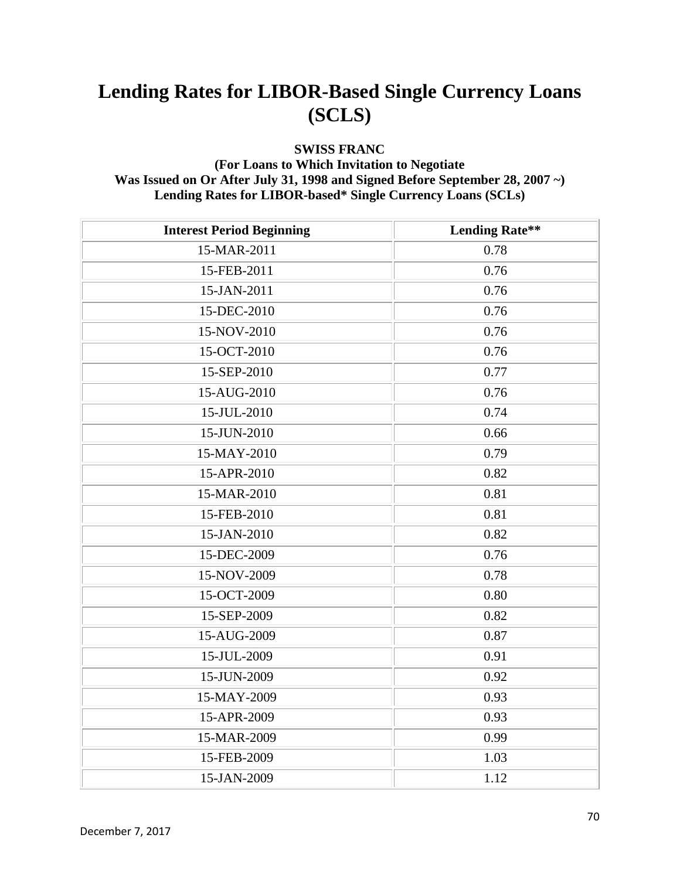#### **SWISS FRANC**

#### **(For Loans to Which Invitation to Negotiate Was Issued on Or After July 31, 1998 and Signed Before September 28, 2007 ~) Lending Rates for LIBOR-based\* Single Currency Loans (SCLs)**

| <b>Interest Period Beginning</b> | <b>Lending Rate**</b> |
|----------------------------------|-----------------------|
| 15-MAR-2011                      | 0.78                  |
| 15-FEB-2011                      | 0.76                  |
| 15-JAN-2011                      | 0.76                  |
| 15-DEC-2010                      | 0.76                  |
| 15-NOV-2010                      | 0.76                  |
| 15-OCT-2010                      | 0.76                  |
| 15-SEP-2010                      | 0.77                  |
| 15-AUG-2010                      | 0.76                  |
| 15-JUL-2010                      | 0.74                  |
| 15-JUN-2010                      | 0.66                  |
| 15-MAY-2010                      | 0.79                  |
| 15-APR-2010                      | 0.82                  |
| 15-MAR-2010                      | 0.81                  |
| 15-FEB-2010                      | 0.81                  |
| 15-JAN-2010                      | 0.82                  |
| 15-DEC-2009                      | 0.76                  |
| 15-NOV-2009                      | 0.78                  |
| 15-OCT-2009                      | 0.80                  |
| 15-SEP-2009                      | 0.82                  |
| 15-AUG-2009                      | 0.87                  |
| 15-JUL-2009                      | 0.91                  |
| 15-JUN-2009                      | 0.92                  |
| 15-MAY-2009                      | 0.93                  |
| 15-APR-2009                      | 0.93                  |
| 15-MAR-2009                      | 0.99                  |
| 15-FEB-2009                      | 1.03                  |
| 15-JAN-2009                      | 1.12                  |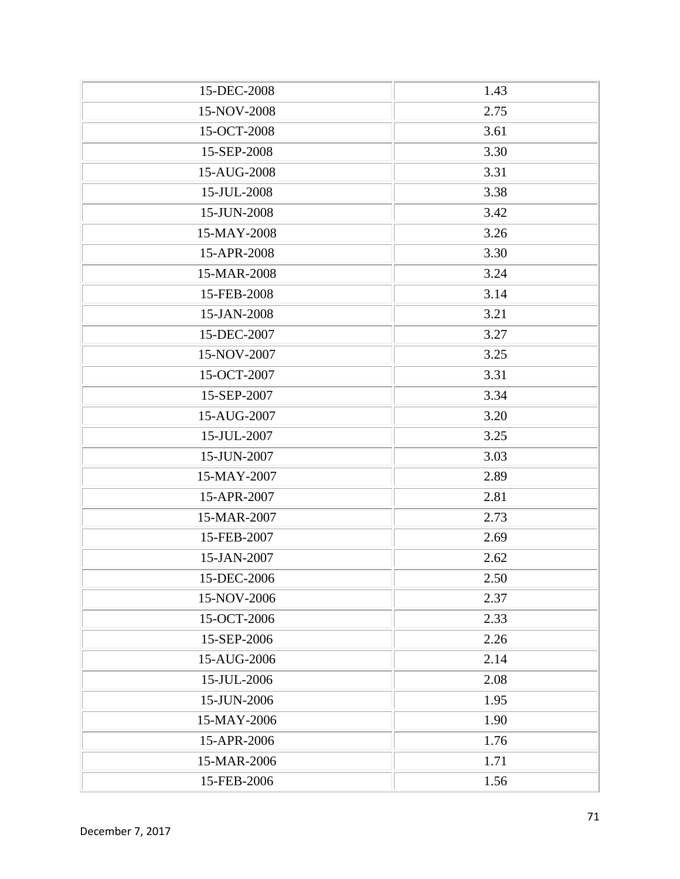| 15-DEC-2008 | 1.43 |
|-------------|------|
| 15-NOV-2008 | 2.75 |
| 15-OCT-2008 | 3.61 |
| 15-SEP-2008 | 3.30 |
| 15-AUG-2008 | 3.31 |
| 15-JUL-2008 | 3.38 |
| 15-JUN-2008 | 3.42 |
| 15-MAY-2008 | 3.26 |
| 15-APR-2008 | 3.30 |
| 15-MAR-2008 | 3.24 |
| 15-FEB-2008 | 3.14 |
| 15-JAN-2008 | 3.21 |
| 15-DEC-2007 | 3.27 |
| 15-NOV-2007 | 3.25 |
| 15-OCT-2007 | 3.31 |
| 15-SEP-2007 | 3.34 |
| 15-AUG-2007 | 3.20 |
| 15-JUL-2007 | 3.25 |
| 15-JUN-2007 | 3.03 |
| 15-MAY-2007 | 2.89 |
| 15-APR-2007 | 2.81 |
| 15-MAR-2007 | 2.73 |
| 15-FEB-2007 | 2.69 |
| 15-JAN-2007 | 2.62 |
| 15-DEC-2006 | 2.50 |
| 15-NOV-2006 | 2.37 |
| 15-OCT-2006 | 2.33 |
| 15-SEP-2006 | 2.26 |
| 15-AUG-2006 | 2.14 |
| 15-JUL-2006 | 2.08 |
| 15-JUN-2006 | 1.95 |
| 15-MAY-2006 | 1.90 |
| 15-APR-2006 | 1.76 |
| 15-MAR-2006 | 1.71 |
| 15-FEB-2006 | 1.56 |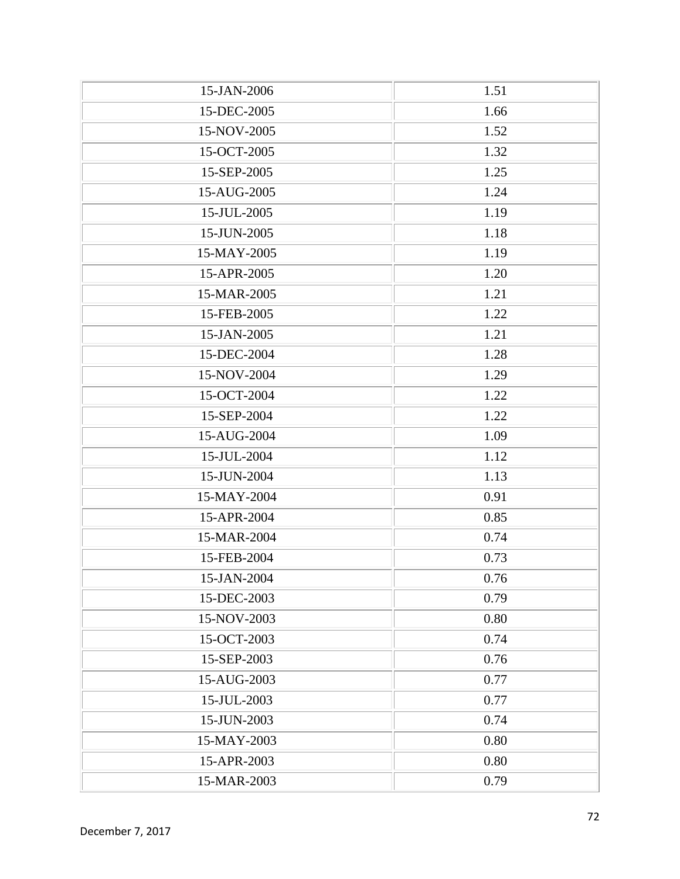| 15-JAN-2006 | 1.51 |
|-------------|------|
| 15-DEC-2005 | 1.66 |
| 15-NOV-2005 | 1.52 |
| 15-OCT-2005 | 1.32 |
| 15-SEP-2005 | 1.25 |
| 15-AUG-2005 | 1.24 |
| 15-JUL-2005 | 1.19 |
| 15-JUN-2005 | 1.18 |
| 15-MAY-2005 | 1.19 |
| 15-APR-2005 | 1.20 |
| 15-MAR-2005 | 1.21 |
| 15-FEB-2005 | 1.22 |
| 15-JAN-2005 | 1.21 |
| 15-DEC-2004 | 1.28 |
| 15-NOV-2004 | 1.29 |
| 15-OCT-2004 | 1.22 |
| 15-SEP-2004 | 1.22 |
| 15-AUG-2004 | 1.09 |
| 15-JUL-2004 | 1.12 |
| 15-JUN-2004 | 1.13 |
| 15-MAY-2004 | 0.91 |
| 15-APR-2004 | 0.85 |
| 15-MAR-2004 | 0.74 |
| 15-FEB-2004 | 0.73 |
| 15-JAN-2004 | 0.76 |
| 15-DEC-2003 | 0.79 |
| 15-NOV-2003 | 0.80 |
| 15-OCT-2003 | 0.74 |
| 15-SEP-2003 | 0.76 |
| 15-AUG-2003 | 0.77 |
| 15-JUL-2003 | 0.77 |
| 15-JUN-2003 | 0.74 |
| 15-MAY-2003 | 0.80 |
| 15-APR-2003 | 0.80 |
| 15-MAR-2003 | 0.79 |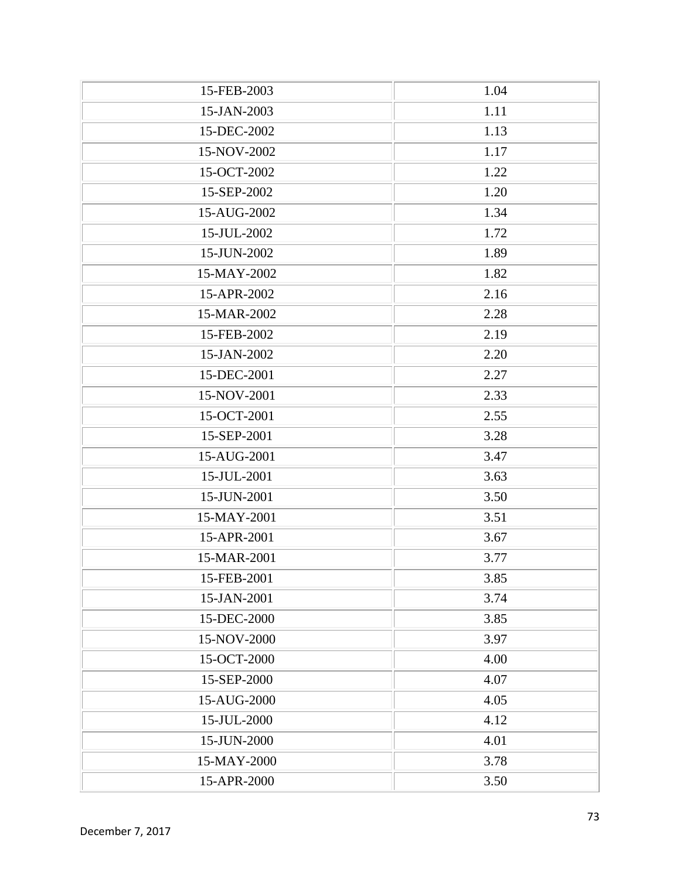| 15-FEB-2003 | 1.04 |
|-------------|------|
| 15-JAN-2003 | 1.11 |
| 15-DEC-2002 | 1.13 |
| 15-NOV-2002 | 1.17 |
| 15-OCT-2002 | 1.22 |
| 15-SEP-2002 | 1.20 |
| 15-AUG-2002 | 1.34 |
| 15-JUL-2002 | 1.72 |
| 15-JUN-2002 | 1.89 |
| 15-MAY-2002 | 1.82 |
| 15-APR-2002 | 2.16 |
| 15-MAR-2002 | 2.28 |
| 15-FEB-2002 | 2.19 |
| 15-JAN-2002 | 2.20 |
| 15-DEC-2001 | 2.27 |
| 15-NOV-2001 | 2.33 |
| 15-OCT-2001 | 2.55 |
| 15-SEP-2001 | 3.28 |
| 15-AUG-2001 | 3.47 |
| 15-JUL-2001 | 3.63 |
| 15-JUN-2001 | 3.50 |
| 15-MAY-2001 | 3.51 |
| 15-APR-2001 | 3.67 |
| 15-MAR-2001 | 3.77 |
| 15-FEB-2001 | 3.85 |
| 15-JAN-2001 | 3.74 |
| 15-DEC-2000 | 3.85 |
| 15-NOV-2000 | 3.97 |
| 15-OCT-2000 | 4.00 |
| 15-SEP-2000 | 4.07 |
| 15-AUG-2000 | 4.05 |
| 15-JUL-2000 | 4.12 |
| 15-JUN-2000 | 4.01 |
| 15-MAY-2000 | 3.78 |
| 15-APR-2000 | 3.50 |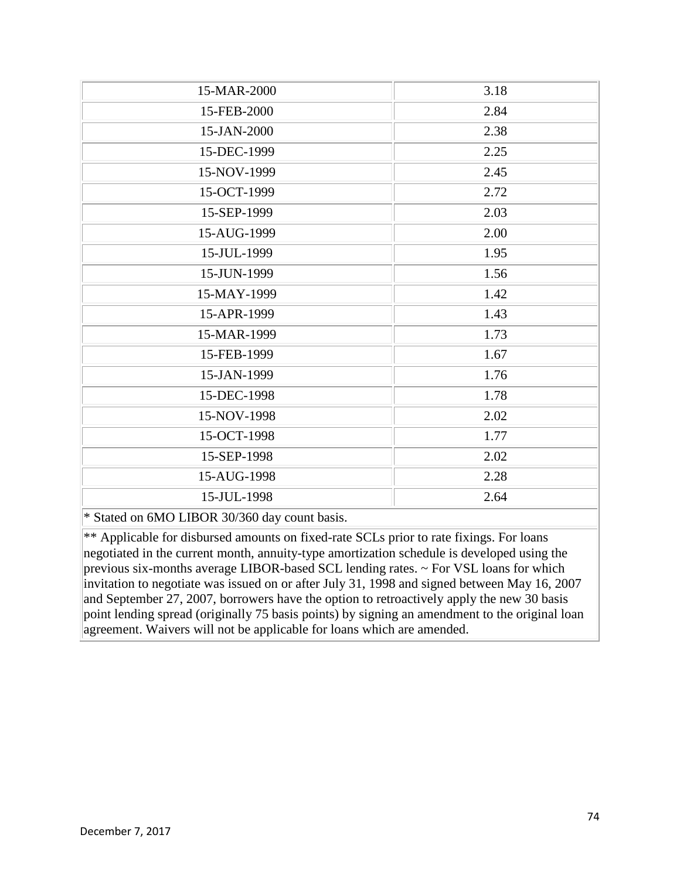| 15-MAR-2000                                   | 3.18 |
|-----------------------------------------------|------|
| 15-FEB-2000                                   | 2.84 |
| 15-JAN-2000                                   | 2.38 |
| 15-DEC-1999                                   | 2.25 |
| 15-NOV-1999                                   | 2.45 |
| 15-OCT-1999                                   | 2.72 |
| 15-SEP-1999                                   | 2.03 |
| 15-AUG-1999                                   | 2.00 |
| 15-JUL-1999                                   | 1.95 |
| 15-JUN-1999                                   | 1.56 |
| 15-MAY-1999                                   | 1.42 |
| 15-APR-1999                                   | 1.43 |
| 15-MAR-1999                                   | 1.73 |
| 15-FEB-1999                                   | 1.67 |
| 15-JAN-1999                                   | 1.76 |
| 15-DEC-1998                                   | 1.78 |
| 15-NOV-1998                                   | 2.02 |
| 15-OCT-1998                                   | 1.77 |
| 15-SEP-1998                                   | 2.02 |
| 15-AUG-1998                                   | 2.28 |
| 15-JUL-1998                                   | 2.64 |
| * Stated on 6MO LIBOR 30/360 day count basis. |      |

 $**$  Applicable for disbursed amounts on fixed-rate SCLs prior to rate fixings. For loans negotiated in the current month, annuity-type amortization schedule is developed using the previous six-months average LIBOR-based SCL lending rates. ~ For VSL loans for which invitation to negotiate was issued on or after July 31, 1998 and signed between May 16, 2007 and September 27, 2007, borrowers have the option to retroactively apply the new 30 basis point lending spread (originally 75 basis points) by signing an amendment to the original loan agreement. Waivers will not be applicable for loans which are amended.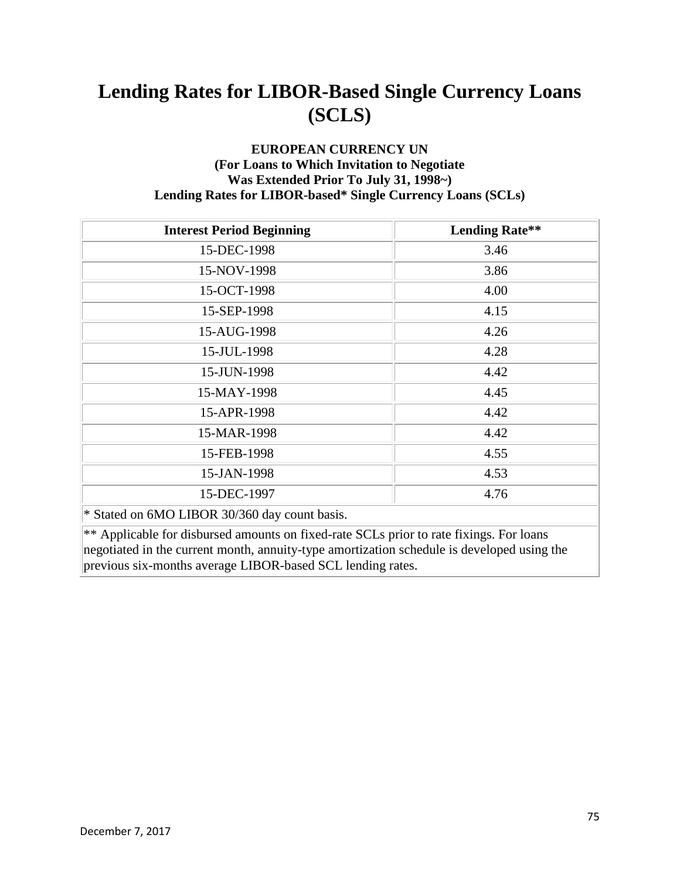#### **EUROPEAN CURRENCY UN (For Loans to Which Invitation to Negotiate Was Extended Prior To July 31, 1998~) Lending Rates for LIBOR-based\* Single Currency Loans (SCLs)**

| <b>Interest Period Beginning</b>              | <b>Lending Rate**</b> |
|-----------------------------------------------|-----------------------|
| 15-DEC-1998                                   | 3.46                  |
| 15-NOV-1998                                   | 3.86                  |
| 15-OCT-1998                                   | 4.00                  |
| 15-SEP-1998                                   | 4.15                  |
| 15-AUG-1998                                   | 4.26                  |
| 15-JUL-1998                                   | 4.28                  |
| 15-JUN-1998                                   | 4.42                  |
| 15-MAY-1998                                   | 4.45                  |
| 15-APR-1998                                   | 4.42                  |
| 15-MAR-1998                                   | 4.42                  |
| 15-FEB-1998                                   | 4.55                  |
| 15-JAN-1998                                   | 4.53                  |
| 15-DEC-1997                                   | 4.76                  |
| * Stated on 6MO LIBOR 30/360 day count basis. |                       |

 $**$  Applicable for disbursed amounts on fixed-rate SCLs prior to rate fixings. For loans negotiated in the current month, annuity-type amortization schedule is developed using the previous six-months average LIBOR-based SCL lending rates.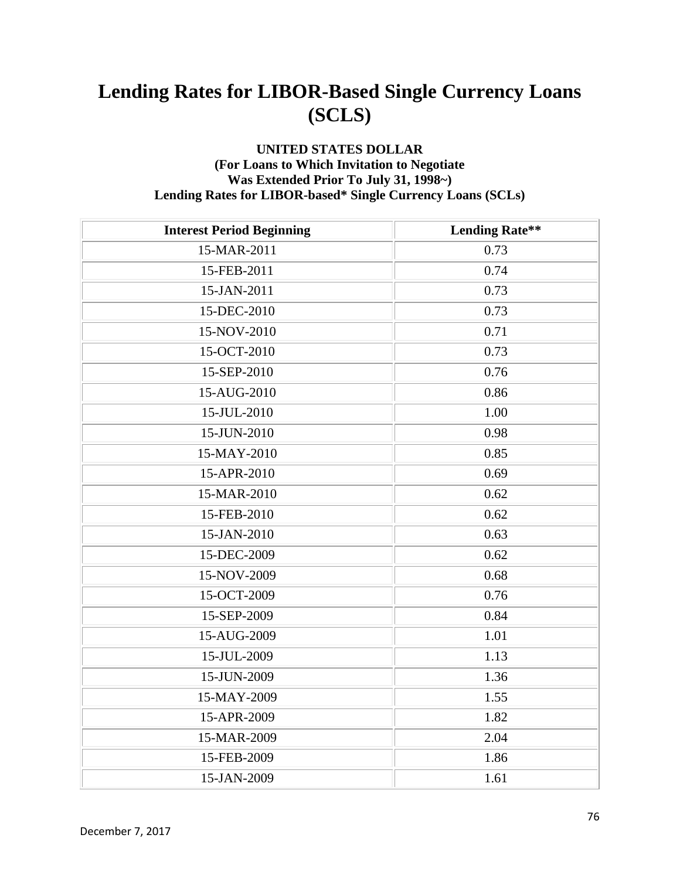#### **UNITED STATES DOLLAR (For Loans to Which Invitation to Negotiate Was Extended Prior To July 31, 1998~) Lending Rates for LIBOR-based\* Single Currency Loans (SCLs)**

| <b>Interest Period Beginning</b> | <b>Lending Rate**</b> |
|----------------------------------|-----------------------|
| 15-MAR-2011                      | 0.73                  |
| 15-FEB-2011                      | 0.74                  |
| 15-JAN-2011                      | 0.73                  |
| 15-DEC-2010                      | 0.73                  |
| 15-NOV-2010                      | 0.71                  |
| 15-OCT-2010                      | 0.73                  |
| 15-SEP-2010                      | 0.76                  |
| 15-AUG-2010                      | 0.86                  |
| 15-JUL-2010                      | 1.00                  |
| 15-JUN-2010                      | 0.98                  |
| 15-MAY-2010                      | 0.85                  |
| 15-APR-2010                      | 0.69                  |
| 15-MAR-2010                      | 0.62                  |
| 15-FEB-2010                      | 0.62                  |
| 15-JAN-2010                      | 0.63                  |
| 15-DEC-2009                      | 0.62                  |
| 15-NOV-2009                      | 0.68                  |
| 15-OCT-2009                      | 0.76                  |
| 15-SEP-2009                      | 0.84                  |
| 15-AUG-2009                      | 1.01                  |
| 15-JUL-2009                      | 1.13                  |
| 15-JUN-2009                      | 1.36                  |
| 15-MAY-2009                      | 1.55                  |
| 15-APR-2009                      | 1.82                  |
| 15-MAR-2009                      | 2.04                  |
| 15-FEB-2009                      | 1.86                  |
| 15-JAN-2009                      | 1.61                  |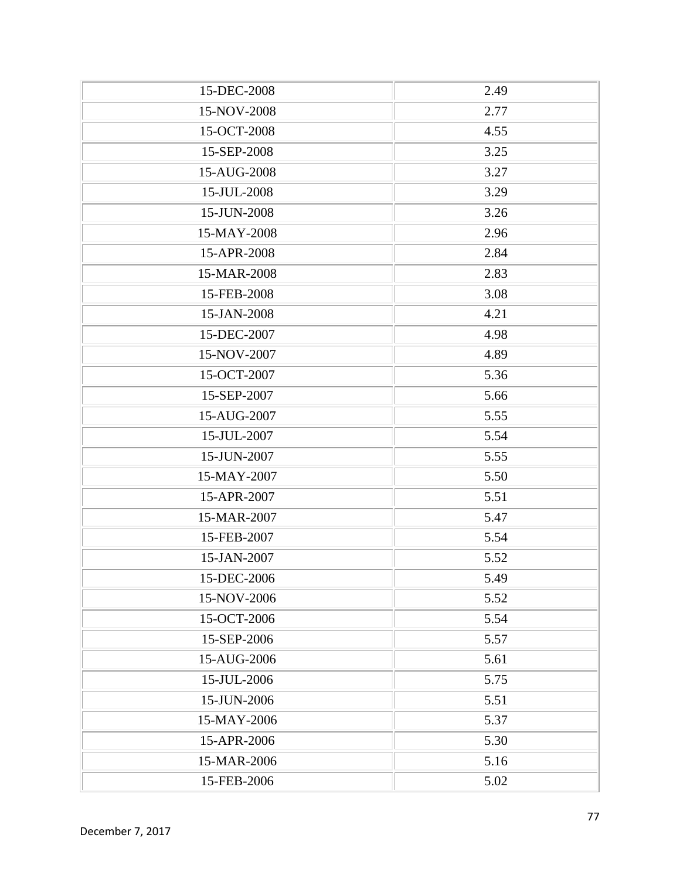| 15-DEC-2008 | 2.49 |
|-------------|------|
| 15-NOV-2008 | 2.77 |
| 15-OCT-2008 | 4.55 |
| 15-SEP-2008 | 3.25 |
| 15-AUG-2008 | 3.27 |
| 15-JUL-2008 | 3.29 |
| 15-JUN-2008 | 3.26 |
| 15-MAY-2008 | 2.96 |
| 15-APR-2008 | 2.84 |
| 15-MAR-2008 | 2.83 |
| 15-FEB-2008 | 3.08 |
| 15-JAN-2008 | 4.21 |
| 15-DEC-2007 | 4.98 |
| 15-NOV-2007 | 4.89 |
| 15-OCT-2007 | 5.36 |
| 15-SEP-2007 | 5.66 |
| 15-AUG-2007 | 5.55 |
| 15-JUL-2007 | 5.54 |
| 15-JUN-2007 | 5.55 |
| 15-MAY-2007 | 5.50 |
| 15-APR-2007 | 5.51 |
| 15-MAR-2007 | 5.47 |
| 15-FEB-2007 | 5.54 |
| 15-JAN-2007 | 5.52 |
| 15-DEC-2006 | 5.49 |
| 15-NOV-2006 | 5.52 |
| 15-OCT-2006 | 5.54 |
| 15-SEP-2006 | 5.57 |
| 15-AUG-2006 | 5.61 |
| 15-JUL-2006 | 5.75 |
| 15-JUN-2006 | 5.51 |
| 15-MAY-2006 | 5.37 |
| 15-APR-2006 | 5.30 |
| 15-MAR-2006 | 5.16 |
| 15-FEB-2006 | 5.02 |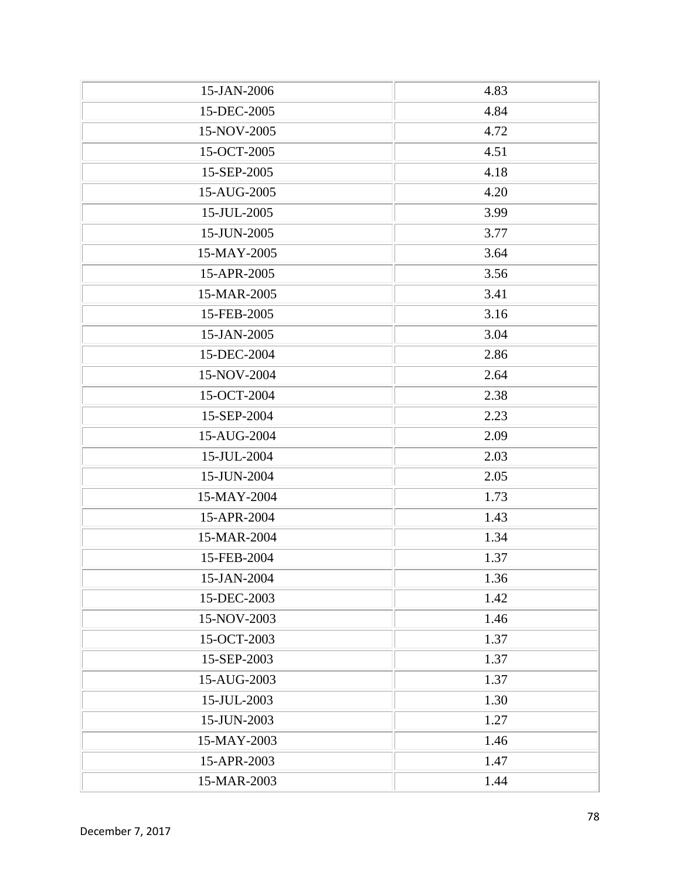| 15-JAN-2006 | 4.83 |
|-------------|------|
| 15-DEC-2005 | 4.84 |
| 15-NOV-2005 | 4.72 |
| 15-OCT-2005 | 4.51 |
| 15-SEP-2005 | 4.18 |
| 15-AUG-2005 | 4.20 |
| 15-JUL-2005 | 3.99 |
| 15-JUN-2005 | 3.77 |
| 15-MAY-2005 | 3.64 |
| 15-APR-2005 | 3.56 |
| 15-MAR-2005 | 3.41 |
| 15-FEB-2005 | 3.16 |
| 15-JAN-2005 | 3.04 |
| 15-DEC-2004 | 2.86 |
| 15-NOV-2004 | 2.64 |
| 15-OCT-2004 | 2.38 |
| 15-SEP-2004 | 2.23 |
| 15-AUG-2004 | 2.09 |
| 15-JUL-2004 | 2.03 |
| 15-JUN-2004 | 2.05 |
| 15-MAY-2004 | 1.73 |
| 15-APR-2004 | 1.43 |
| 15-MAR-2004 | 1.34 |
| 15-FEB-2004 | 1.37 |
| 15-JAN-2004 | 1.36 |
| 15-DEC-2003 | 1.42 |
| 15-NOV-2003 | 1.46 |
| 15-OCT-2003 | 1.37 |
| 15-SEP-2003 | 1.37 |
| 15-AUG-2003 | 1.37 |
| 15-JUL-2003 | 1.30 |
| 15-JUN-2003 | 1.27 |
| 15-MAY-2003 | 1.46 |
| 15-APR-2003 | 1.47 |
| 15-MAR-2003 | 1.44 |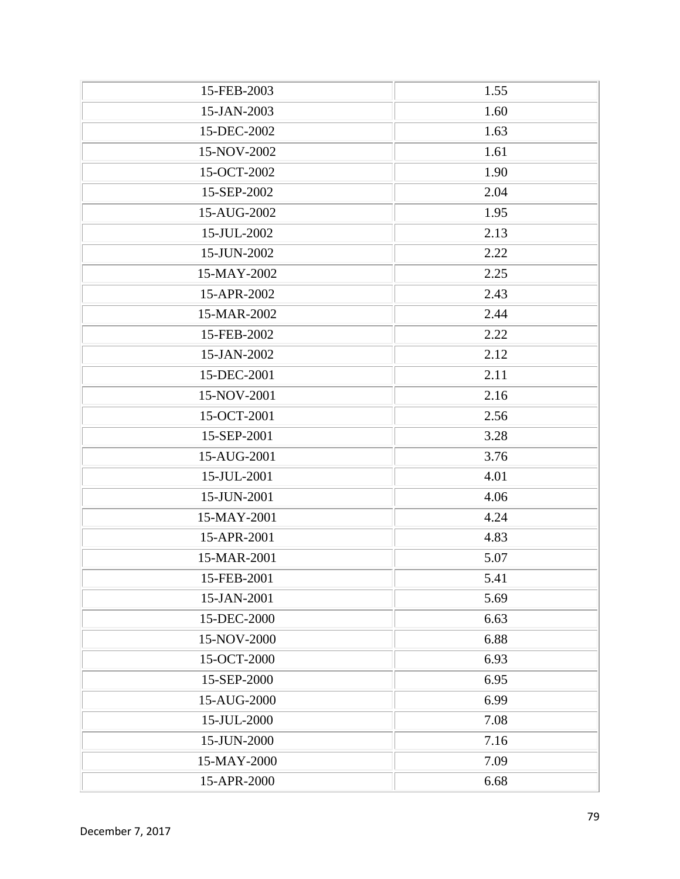| 15-FEB-2003 | 1.55 |
|-------------|------|
| 15-JAN-2003 | 1.60 |
| 15-DEC-2002 | 1.63 |
| 15-NOV-2002 | 1.61 |
| 15-OCT-2002 | 1.90 |
| 15-SEP-2002 | 2.04 |
| 15-AUG-2002 | 1.95 |
| 15-JUL-2002 | 2.13 |
| 15-JUN-2002 | 2.22 |
| 15-MAY-2002 | 2.25 |
| 15-APR-2002 | 2.43 |
| 15-MAR-2002 | 2.44 |
| 15-FEB-2002 | 2.22 |
| 15-JAN-2002 | 2.12 |
| 15-DEC-2001 | 2.11 |
| 15-NOV-2001 | 2.16 |
| 15-OCT-2001 | 2.56 |
| 15-SEP-2001 | 3.28 |
| 15-AUG-2001 | 3.76 |
| 15-JUL-2001 | 4.01 |
| 15-JUN-2001 | 4.06 |
| 15-MAY-2001 | 4.24 |
| 15-APR-2001 | 4.83 |
| 15-MAR-2001 | 5.07 |
| 15-FEB-2001 | 5.41 |
| 15-JAN-2001 | 5.69 |
| 15-DEC-2000 | 6.63 |
| 15-NOV-2000 | 6.88 |
| 15-OCT-2000 | 6.93 |
| 15-SEP-2000 | 6.95 |
| 15-AUG-2000 | 6.99 |
| 15-JUL-2000 | 7.08 |
| 15-JUN-2000 | 7.16 |
| 15-MAY-2000 | 7.09 |
| 15-APR-2000 | 6.68 |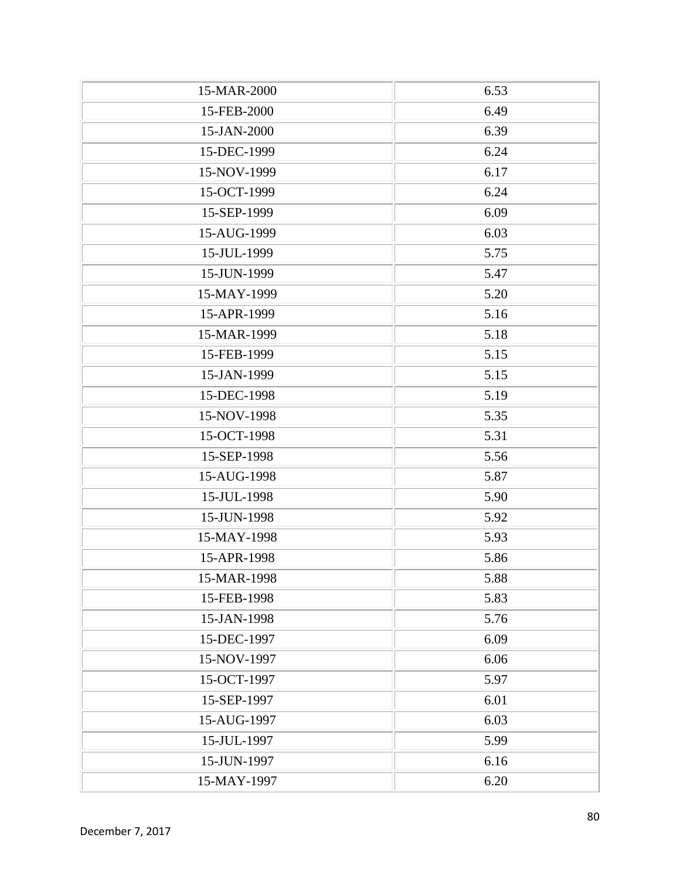| 15-MAR-2000 | 6.53 |
|-------------|------|
| 15-FEB-2000 | 6.49 |
| 15-JAN-2000 | 6.39 |
| 15-DEC-1999 | 6.24 |
| 15-NOV-1999 | 6.17 |
| 15-OCT-1999 | 6.24 |
| 15-SEP-1999 | 6.09 |
| 15-AUG-1999 | 6.03 |
| 15-JUL-1999 | 5.75 |
| 15-JUN-1999 | 5.47 |
| 15-MAY-1999 | 5.20 |
| 15-APR-1999 | 5.16 |
| 15-MAR-1999 | 5.18 |
| 15-FEB-1999 | 5.15 |
| 15-JAN-1999 | 5.15 |
| 15-DEC-1998 | 5.19 |
| 15-NOV-1998 | 5.35 |
| 15-OCT-1998 | 5.31 |
| 15-SEP-1998 | 5.56 |
| 15-AUG-1998 | 5.87 |
| 15-JUL-1998 | 5.90 |
| 15-JUN-1998 | 5.92 |
| 15-MAY-1998 | 5.93 |
| 15-APR-1998 | 5.86 |
| 15-MAR-1998 | 5.88 |
| 15-FEB-1998 | 5.83 |
| 15-JAN-1998 | 5.76 |
| 15-DEC-1997 | 6.09 |
| 15-NOV-1997 | 6.06 |
| 15-OCT-1997 | 5.97 |
| 15-SEP-1997 | 6.01 |
| 15-AUG-1997 | 6.03 |
| 15-JUL-1997 | 5.99 |
| 15-JUN-1997 | 6.16 |
| 15-MAY-1997 | 6.20 |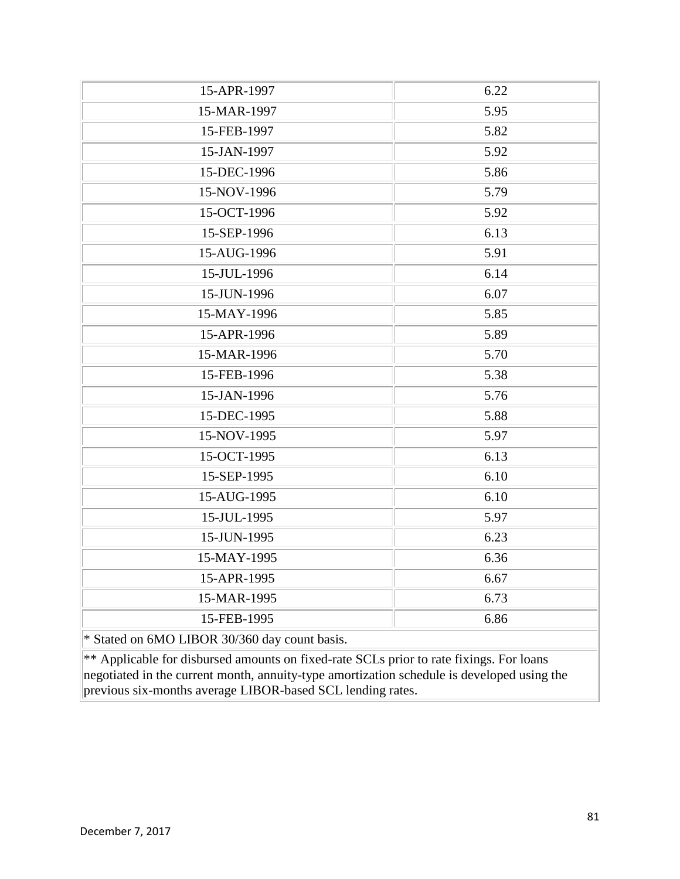| 15-APR-1997                                                                                | 6.22 |
|--------------------------------------------------------------------------------------------|------|
| 15-MAR-1997                                                                                | 5.95 |
| 15-FEB-1997                                                                                | 5.82 |
| 15-JAN-1997                                                                                | 5.92 |
| 15-DEC-1996                                                                                | 5.86 |
| 15-NOV-1996                                                                                | 5.79 |
| 15-OCT-1996                                                                                | 5.92 |
| 15-SEP-1996                                                                                | 6.13 |
| 15-AUG-1996                                                                                | 5.91 |
| 15-JUL-1996                                                                                | 6.14 |
| 15-JUN-1996                                                                                | 6.07 |
| 15-MAY-1996                                                                                | 5.85 |
| 15-APR-1996                                                                                | 5.89 |
| 15-MAR-1996                                                                                | 5.70 |
| 15-FEB-1996                                                                                | 5.38 |
| 15-JAN-1996                                                                                | 5.76 |
| 15-DEC-1995                                                                                | 5.88 |
| 15-NOV-1995                                                                                | 5.97 |
| 15-OCT-1995                                                                                | 6.13 |
| 15-SEP-1995                                                                                | 6.10 |
| 15-AUG-1995                                                                                | 6.10 |
| 15-JUL-1995                                                                                | 5.97 |
| 15-JUN-1995                                                                                | 6.23 |
| 15-MAY-1995                                                                                | 6.36 |
| 15-APR-1995                                                                                | 6.67 |
| 15-MAR-1995                                                                                | 6.73 |
| 15-FEB-1995                                                                                | 6.86 |
| * Stated on 6MO LIBOR 30/360 day count basis.                                              |      |
| ** Applicable for disbursed amounts on fixed-rate SCLs prior to rate fixings. For loans    |      |
| negotiated in the current month, annuity-type amortization schedule is developed using the |      |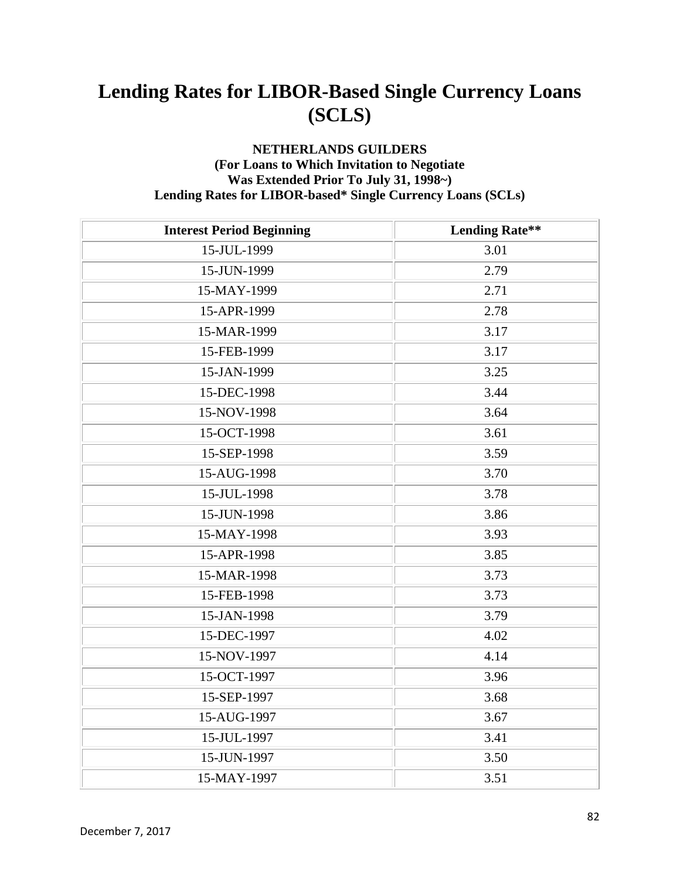#### **NETHERLANDS GUILDERS (For Loans to Which Invitation to Negotiate Was Extended Prior To July 31, 1998~) Lending Rates for LIBOR-based\* Single Currency Loans (SCLs)**

| <b>Interest Period Beginning</b> | <b>Lending Rate**</b> |
|----------------------------------|-----------------------|
| 15-JUL-1999                      | 3.01                  |
| 15-JUN-1999                      | 2.79                  |
| 15-MAY-1999                      | 2.71                  |
| 15-APR-1999                      | 2.78                  |
| 15-MAR-1999                      | 3.17                  |
| 15-FEB-1999                      | 3.17                  |
| 15-JAN-1999                      | 3.25                  |
| 15-DEC-1998                      | 3.44                  |
| 15-NOV-1998                      | 3.64                  |
| 15-OCT-1998                      | 3.61                  |
| 15-SEP-1998                      | 3.59                  |
| 15-AUG-1998                      | 3.70                  |
| 15-JUL-1998                      | 3.78                  |
| 15-JUN-1998                      | 3.86                  |
| 15-MAY-1998                      | 3.93                  |
| 15-APR-1998                      | 3.85                  |
| 15-MAR-1998                      | 3.73                  |
| 15-FEB-1998                      | 3.73                  |
| 15-JAN-1998                      | 3.79                  |
| 15-DEC-1997                      | 4.02                  |
| 15-NOV-1997                      | 4.14                  |
| 15-OCT-1997                      | 3.96                  |
| 15-SEP-1997                      | 3.68                  |
| 15-AUG-1997                      | 3.67                  |
| 15-JUL-1997                      | 3.41                  |
| 15-JUN-1997                      | 3.50                  |
| 15-MAY-1997                      | 3.51                  |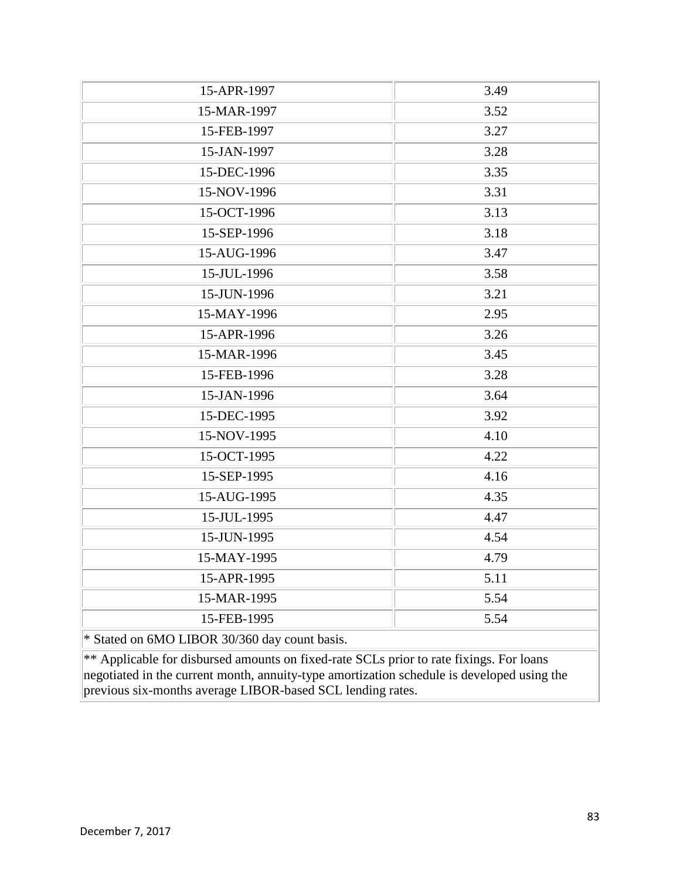| 15-APR-1997                                                                                | 3.49 |
|--------------------------------------------------------------------------------------------|------|
| 15-MAR-1997                                                                                | 3.52 |
| 15-FEB-1997                                                                                | 3.27 |
| 15-JAN-1997                                                                                | 3.28 |
| 15-DEC-1996                                                                                | 3.35 |
| 15-NOV-1996                                                                                | 3.31 |
| 15-OCT-1996                                                                                | 3.13 |
| 15-SEP-1996                                                                                | 3.18 |
| 15-AUG-1996                                                                                | 3.47 |
| 15-JUL-1996                                                                                | 3.58 |
| 15-JUN-1996                                                                                | 3.21 |
| 15-MAY-1996                                                                                | 2.95 |
| 15-APR-1996                                                                                | 3.26 |
| 15-MAR-1996                                                                                | 3.45 |
| 15-FEB-1996                                                                                | 3.28 |
| 15-JAN-1996                                                                                | 3.64 |
| 15-DEC-1995                                                                                | 3.92 |
| 15-NOV-1995                                                                                | 4.10 |
| 15-OCT-1995                                                                                | 4.22 |
| 15-SEP-1995                                                                                | 4.16 |
| 15-AUG-1995                                                                                | 4.35 |
| 15-JUL-1995                                                                                | 4.47 |
| 15-JUN-1995                                                                                | 4.54 |
| 15-MAY-1995                                                                                | 4.79 |
| 15-APR-1995                                                                                | 5.11 |
| 15-MAR-1995                                                                                | 5.54 |
| 15-FEB-1995                                                                                | 5.54 |
| * Stated on 6MO LIBOR 30/360 day count basis.                                              |      |
| ** Applicable for disbursed amounts on fixed-rate SCLs prior to rate fixings. For loans    |      |
| negotiated in the current month, annuity-type amortization schedule is developed using the |      |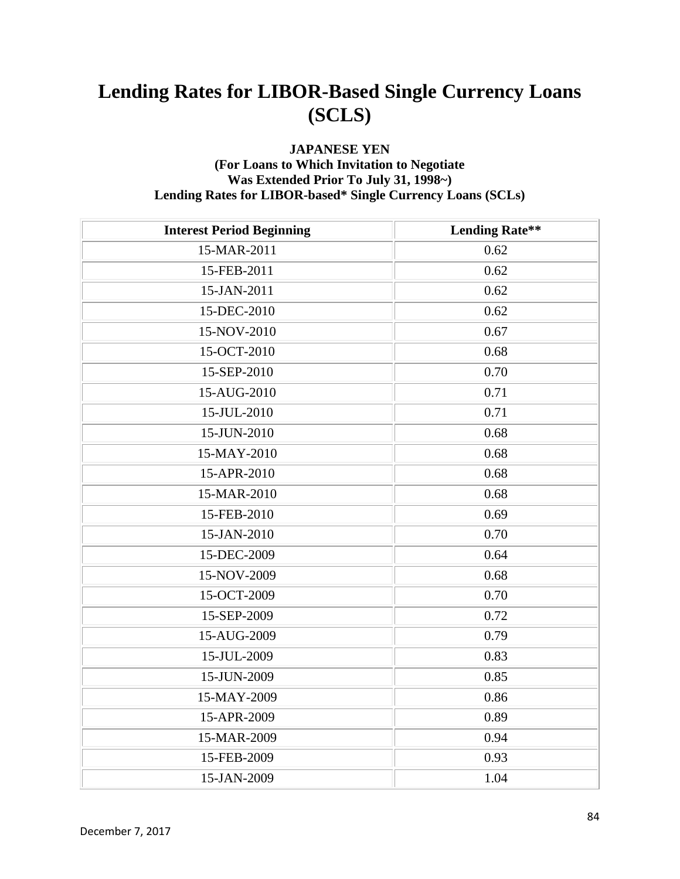#### **JAPANESE YEN (For Loans to Which Invitation to Negotiate Was Extended Prior To July 31, 1998~) Lending Rates for LIBOR-based\* Single Currency Loans (SCLs)**

| <b>Interest Period Beginning</b> | <b>Lending Rate**</b> |
|----------------------------------|-----------------------|
| 15-MAR-2011                      | 0.62                  |
| 15-FEB-2011                      | 0.62                  |
| 15-JAN-2011                      | 0.62                  |
| 15-DEC-2010                      | 0.62                  |
| 15-NOV-2010                      | 0.67                  |
| 15-OCT-2010                      | 0.68                  |
| 15-SEP-2010                      | 0.70                  |
| 15-AUG-2010                      | 0.71                  |
| 15-JUL-2010                      | 0.71                  |
| 15-JUN-2010                      | 0.68                  |
| 15-MAY-2010                      | 0.68                  |
| 15-APR-2010                      | 0.68                  |
| 15-MAR-2010                      | 0.68                  |
| 15-FEB-2010                      | 0.69                  |
| 15-JAN-2010                      | 0.70                  |
| 15-DEC-2009                      | 0.64                  |
| 15-NOV-2009                      | 0.68                  |
| 15-OCT-2009                      | 0.70                  |
| 15-SEP-2009                      | 0.72                  |
| 15-AUG-2009                      | 0.79                  |
| 15-JUL-2009                      | 0.83                  |
| 15-JUN-2009                      | 0.85                  |
| 15-MAY-2009                      | 0.86                  |
| 15-APR-2009                      | 0.89                  |
| 15-MAR-2009                      | 0.94                  |
| 15-FEB-2009                      | 0.93                  |
| 15-JAN-2009                      | 1.04                  |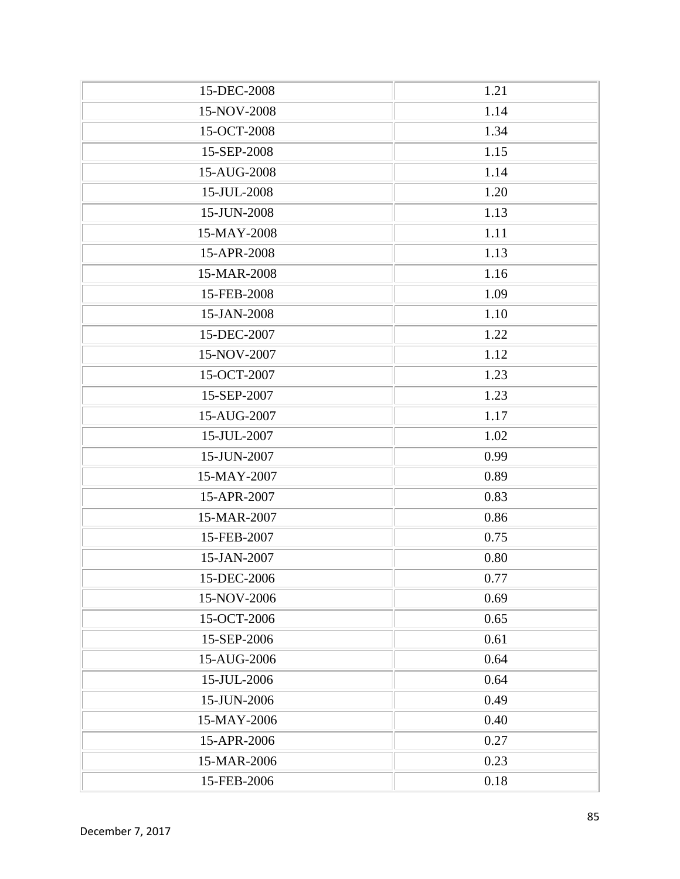| 15-DEC-2008 | 1.21 |
|-------------|------|
| 15-NOV-2008 | 1.14 |
| 15-OCT-2008 | 1.34 |
| 15-SEP-2008 | 1.15 |
| 15-AUG-2008 | 1.14 |
| 15-JUL-2008 | 1.20 |
| 15-JUN-2008 | 1.13 |
| 15-MAY-2008 | 1.11 |
| 15-APR-2008 | 1.13 |
| 15-MAR-2008 | 1.16 |
| 15-FEB-2008 | 1.09 |
| 15-JAN-2008 | 1.10 |
| 15-DEC-2007 | 1.22 |
| 15-NOV-2007 | 1.12 |
| 15-OCT-2007 | 1.23 |
| 15-SEP-2007 | 1.23 |
| 15-AUG-2007 | 1.17 |
| 15-JUL-2007 | 1.02 |
| 15-JUN-2007 | 0.99 |
| 15-MAY-2007 | 0.89 |
| 15-APR-2007 | 0.83 |
| 15-MAR-2007 | 0.86 |
| 15-FEB-2007 | 0.75 |
| 15-JAN-2007 | 0.80 |
| 15-DEC-2006 | 0.77 |
| 15-NOV-2006 | 0.69 |
| 15-OCT-2006 | 0.65 |
| 15-SEP-2006 | 0.61 |
| 15-AUG-2006 | 0.64 |
| 15-JUL-2006 | 0.64 |
| 15-JUN-2006 | 0.49 |
| 15-MAY-2006 | 0.40 |
| 15-APR-2006 | 0.27 |
| 15-MAR-2006 | 0.23 |
| 15-FEB-2006 | 0.18 |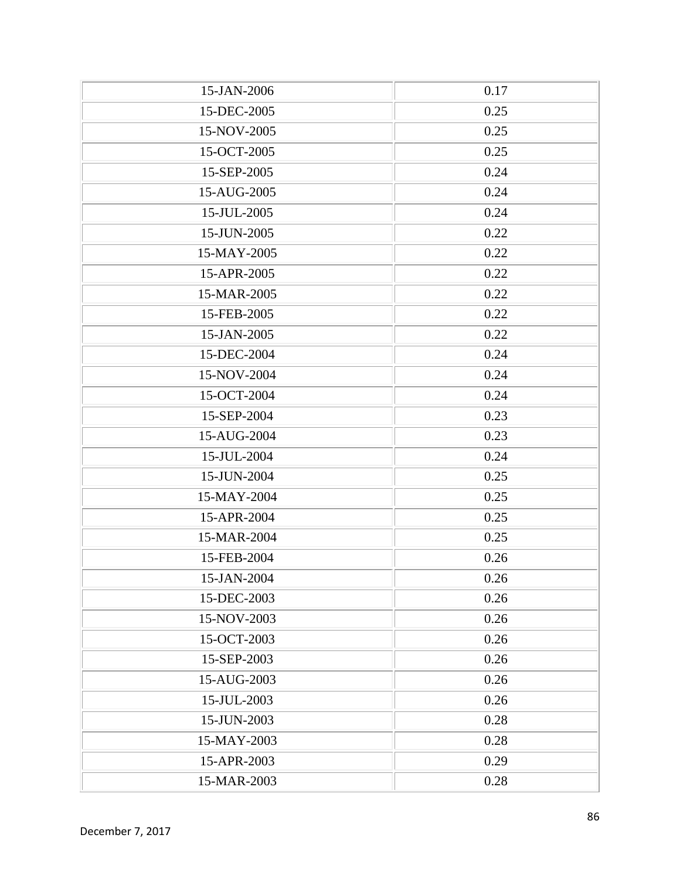| 15-JAN-2006 | 0.17 |
|-------------|------|
| 15-DEC-2005 | 0.25 |
| 15-NOV-2005 | 0.25 |
| 15-OCT-2005 | 0.25 |
| 15-SEP-2005 | 0.24 |
| 15-AUG-2005 | 0.24 |
| 15-JUL-2005 | 0.24 |
| 15-JUN-2005 | 0.22 |
| 15-MAY-2005 | 0.22 |
| 15-APR-2005 | 0.22 |
| 15-MAR-2005 | 0.22 |
| 15-FEB-2005 | 0.22 |
| 15-JAN-2005 | 0.22 |
| 15-DEC-2004 | 0.24 |
| 15-NOV-2004 | 0.24 |
| 15-OCT-2004 | 0.24 |
| 15-SEP-2004 | 0.23 |
| 15-AUG-2004 | 0.23 |
| 15-JUL-2004 | 0.24 |
| 15-JUN-2004 | 0.25 |
| 15-MAY-2004 | 0.25 |
| 15-APR-2004 | 0.25 |
| 15-MAR-2004 | 0.25 |
| 15-FEB-2004 | 0.26 |
| 15-JAN-2004 | 0.26 |
| 15-DEC-2003 | 0.26 |
| 15-NOV-2003 | 0.26 |
| 15-OCT-2003 | 0.26 |
| 15-SEP-2003 | 0.26 |
| 15-AUG-2003 | 0.26 |
| 15-JUL-2003 | 0.26 |
| 15-JUN-2003 | 0.28 |
| 15-MAY-2003 | 0.28 |
| 15-APR-2003 | 0.29 |
| 15-MAR-2003 | 0.28 |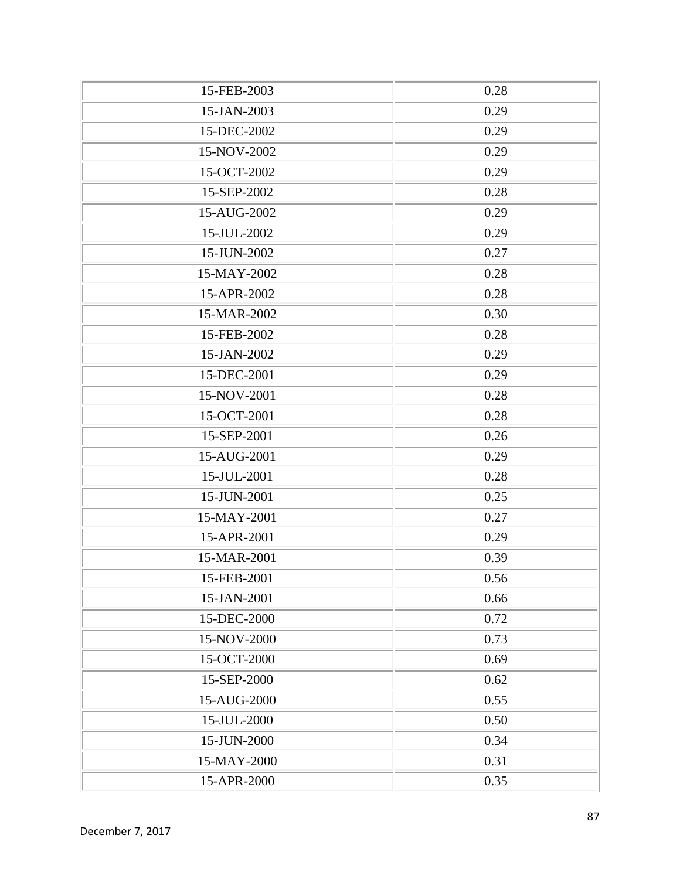| 15-FEB-2003 | 0.28 |
|-------------|------|
| 15-JAN-2003 | 0.29 |
| 15-DEC-2002 | 0.29 |
| 15-NOV-2002 | 0.29 |
| 15-OCT-2002 | 0.29 |
| 15-SEP-2002 | 0.28 |
| 15-AUG-2002 | 0.29 |
| 15-JUL-2002 | 0.29 |
| 15-JUN-2002 | 0.27 |
| 15-MAY-2002 | 0.28 |
| 15-APR-2002 | 0.28 |
| 15-MAR-2002 | 0.30 |
| 15-FEB-2002 | 0.28 |
| 15-JAN-2002 | 0.29 |
| 15-DEC-2001 | 0.29 |
| 15-NOV-2001 | 0.28 |
| 15-OCT-2001 | 0.28 |
| 15-SEP-2001 | 0.26 |
| 15-AUG-2001 | 0.29 |
| 15-JUL-2001 | 0.28 |
| 15-JUN-2001 | 0.25 |
| 15-MAY-2001 | 0.27 |
| 15-APR-2001 | 0.29 |
| 15-MAR-2001 | 0.39 |
| 15-FEB-2001 | 0.56 |
| 15-JAN-2001 | 0.66 |
| 15-DEC-2000 | 0.72 |
| 15-NOV-2000 | 0.73 |
| 15-OCT-2000 | 0.69 |
| 15-SEP-2000 | 0.62 |
| 15-AUG-2000 | 0.55 |
| 15-JUL-2000 | 0.50 |
| 15-JUN-2000 | 0.34 |
| 15-MAY-2000 | 0.31 |
| 15-APR-2000 | 0.35 |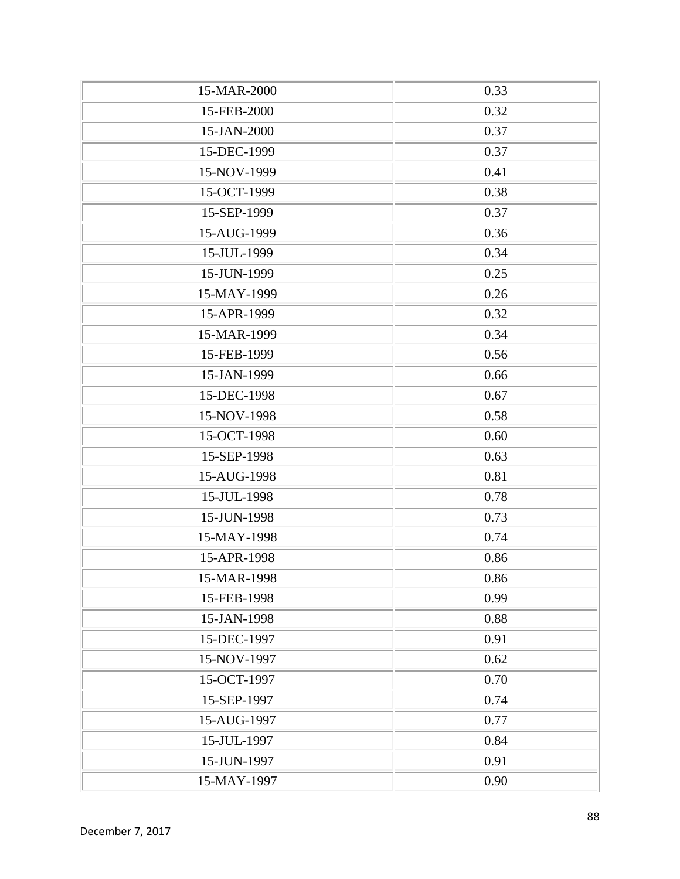| 15-MAR-2000 | 0.33 |
|-------------|------|
| 15-FEB-2000 | 0.32 |
| 15-JAN-2000 | 0.37 |
| 15-DEC-1999 | 0.37 |
| 15-NOV-1999 | 0.41 |
| 15-OCT-1999 | 0.38 |
| 15-SEP-1999 | 0.37 |
| 15-AUG-1999 | 0.36 |
| 15-JUL-1999 | 0.34 |
| 15-JUN-1999 | 0.25 |
| 15-MAY-1999 | 0.26 |
| 15-APR-1999 | 0.32 |
| 15-MAR-1999 | 0.34 |
| 15-FEB-1999 | 0.56 |
| 15-JAN-1999 | 0.66 |
| 15-DEC-1998 | 0.67 |
| 15-NOV-1998 | 0.58 |
| 15-OCT-1998 | 0.60 |
| 15-SEP-1998 | 0.63 |
| 15-AUG-1998 | 0.81 |
| 15-JUL-1998 | 0.78 |
| 15-JUN-1998 | 0.73 |
| 15-MAY-1998 | 0.74 |
| 15-APR-1998 | 0.86 |
| 15-MAR-1998 | 0.86 |
| 15-FEB-1998 | 0.99 |
| 15-JAN-1998 | 0.88 |
| 15-DEC-1997 | 0.91 |
| 15-NOV-1997 | 0.62 |
| 15-OCT-1997 | 0.70 |
| 15-SEP-1997 | 0.74 |
| 15-AUG-1997 | 0.77 |
| 15-JUL-1997 | 0.84 |
| 15-JUN-1997 | 0.91 |
| 15-MAY-1997 | 0.90 |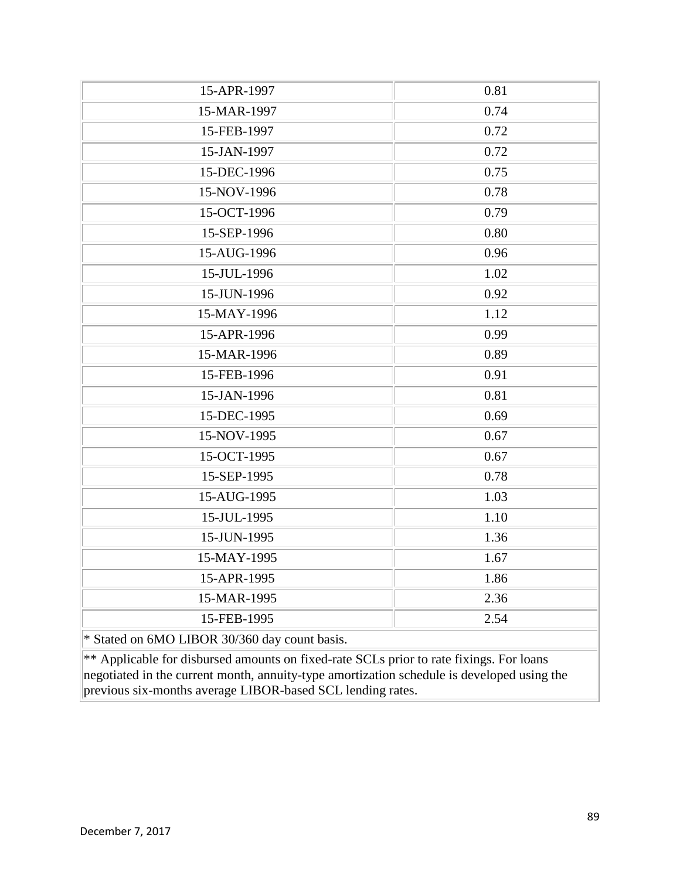| 15-APR-1997                                                                                | 0.81 |
|--------------------------------------------------------------------------------------------|------|
| 15-MAR-1997                                                                                | 0.74 |
| 15-FEB-1997                                                                                | 0.72 |
| 15-JAN-1997                                                                                | 0.72 |
| 15-DEC-1996                                                                                | 0.75 |
| 15-NOV-1996                                                                                | 0.78 |
| 15-OCT-1996                                                                                | 0.79 |
| 15-SEP-1996                                                                                | 0.80 |
| 15-AUG-1996                                                                                | 0.96 |
| 15-JUL-1996                                                                                | 1.02 |
| 15-JUN-1996                                                                                | 0.92 |
| 15-MAY-1996                                                                                | 1.12 |
| 15-APR-1996                                                                                | 0.99 |
| 15-MAR-1996                                                                                | 0.89 |
| 15-FEB-1996                                                                                | 0.91 |
| 15-JAN-1996                                                                                | 0.81 |
| 15-DEC-1995                                                                                | 0.69 |
| 15-NOV-1995                                                                                | 0.67 |
| 15-OCT-1995                                                                                | 0.67 |
| 15-SEP-1995                                                                                | 0.78 |
| 15-AUG-1995                                                                                | 1.03 |
| 15-JUL-1995                                                                                | 1.10 |
| 15-JUN-1995                                                                                | 1.36 |
| 15-MAY-1995                                                                                | 1.67 |
| 15-APR-1995                                                                                | 1.86 |
| 15-MAR-1995                                                                                | 2.36 |
| 15-FEB-1995                                                                                | 2.54 |
| * Stated on 6MO LIBOR 30/360 day count basis.                                              |      |
| ** Applicable for disbursed amounts on fixed-rate SCLs prior to rate fixings. For loans    |      |
| negotiated in the current month, annuity-type amortization schedule is developed using the |      |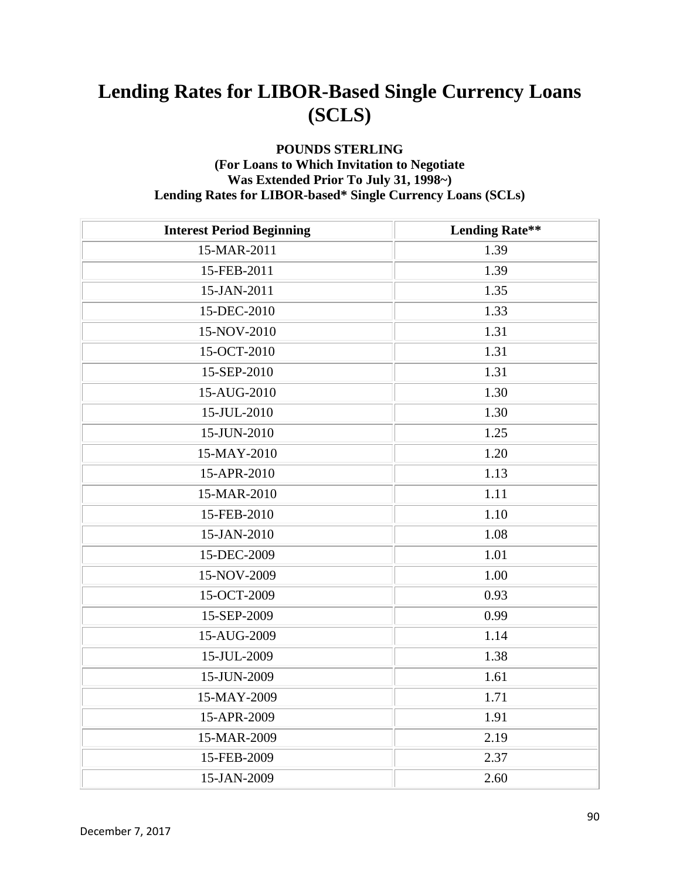#### **POUNDS STERLING (For Loans to Which Invitation to Negotiate Was Extended Prior To July 31, 1998~) Lending Rates for LIBOR-based\* Single Currency Loans (SCLs)**

| <b>Interest Period Beginning</b> | <b>Lending Rate**</b> |
|----------------------------------|-----------------------|
| 15-MAR-2011                      | 1.39                  |
| 15-FEB-2011                      | 1.39                  |
| 15-JAN-2011                      | 1.35                  |
| 15-DEC-2010                      | 1.33                  |
| 15-NOV-2010                      | 1.31                  |
| 15-OCT-2010                      | 1.31                  |
| 15-SEP-2010                      | 1.31                  |
| 15-AUG-2010                      | 1.30                  |
| 15-JUL-2010                      | 1.30                  |
| 15-JUN-2010                      | 1.25                  |
| 15-MAY-2010                      | 1.20                  |
| 15-APR-2010                      | 1.13                  |
| 15-MAR-2010                      | 1.11                  |
| 15-FEB-2010                      | 1.10                  |
| 15-JAN-2010                      | 1.08                  |
| 15-DEC-2009                      | 1.01                  |
| 15-NOV-2009                      | 1.00                  |
| 15-OCT-2009                      | 0.93                  |
| 15-SEP-2009                      | 0.99                  |
| 15-AUG-2009                      | 1.14                  |
| 15-JUL-2009                      | 1.38                  |
| 15-JUN-2009                      | 1.61                  |
| 15-MAY-2009                      | 1.71                  |
| 15-APR-2009                      | 1.91                  |
| 15-MAR-2009                      | 2.19                  |
| 15-FEB-2009                      | 2.37                  |
| 15-JAN-2009                      | 2.60                  |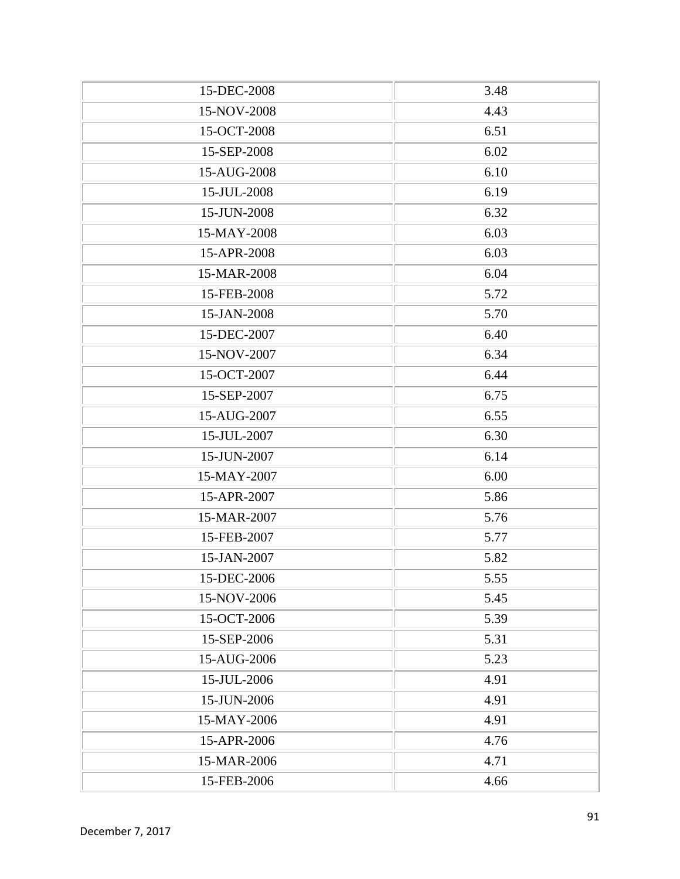| 15-DEC-2008 | 3.48 |
|-------------|------|
| 15-NOV-2008 | 4.43 |
| 15-OCT-2008 | 6.51 |
| 15-SEP-2008 | 6.02 |
| 15-AUG-2008 | 6.10 |
| 15-JUL-2008 | 6.19 |
| 15-JUN-2008 | 6.32 |
| 15-MAY-2008 | 6.03 |
| 15-APR-2008 | 6.03 |
| 15-MAR-2008 | 6.04 |
| 15-FEB-2008 | 5.72 |
| 15-JAN-2008 | 5.70 |
| 15-DEC-2007 | 6.40 |
| 15-NOV-2007 | 6.34 |
| 15-OCT-2007 | 6.44 |
| 15-SEP-2007 | 6.75 |
| 15-AUG-2007 | 6.55 |
| 15-JUL-2007 | 6.30 |
| 15-JUN-2007 | 6.14 |
| 15-MAY-2007 | 6.00 |
| 15-APR-2007 | 5.86 |
| 15-MAR-2007 | 5.76 |
| 15-FEB-2007 | 5.77 |
| 15-JAN-2007 | 5.82 |
| 15-DEC-2006 | 5.55 |
| 15-NOV-2006 | 5.45 |
| 15-OCT-2006 | 5.39 |
| 15-SEP-2006 | 5.31 |
| 15-AUG-2006 | 5.23 |
| 15-JUL-2006 | 4.91 |
| 15-JUN-2006 | 4.91 |
| 15-MAY-2006 | 4.91 |
| 15-APR-2006 | 4.76 |
| 15-MAR-2006 | 4.71 |
| 15-FEB-2006 | 4.66 |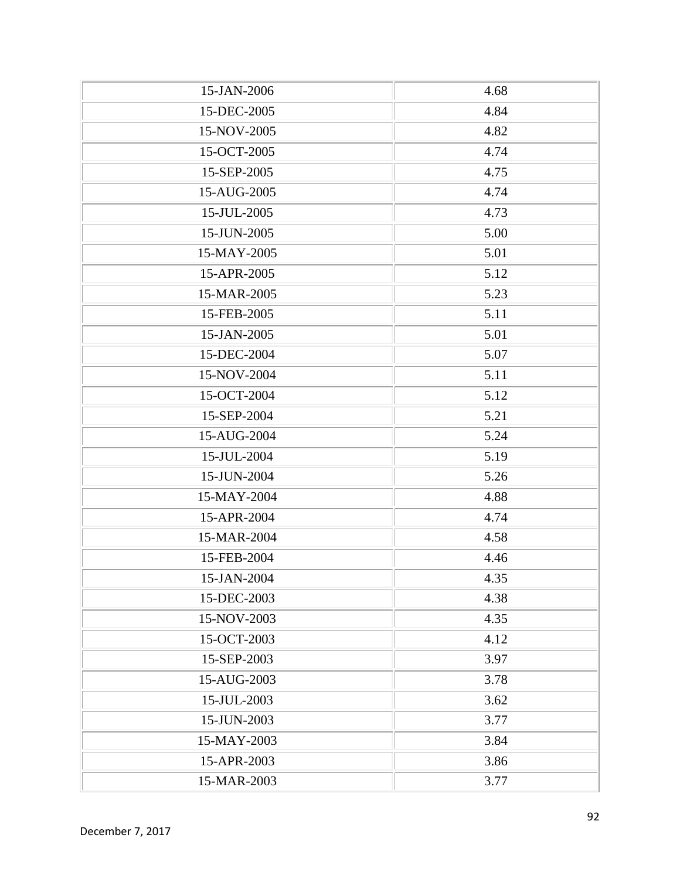| 15-JAN-2006 | 4.68 |
|-------------|------|
| 15-DEC-2005 | 4.84 |
| 15-NOV-2005 | 4.82 |
| 15-OCT-2005 | 4.74 |
| 15-SEP-2005 | 4.75 |
| 15-AUG-2005 | 4.74 |
| 15-JUL-2005 | 4.73 |
| 15-JUN-2005 | 5.00 |
| 15-MAY-2005 | 5.01 |
| 15-APR-2005 | 5.12 |
| 15-MAR-2005 | 5.23 |
| 15-FEB-2005 | 5.11 |
| 15-JAN-2005 | 5.01 |
| 15-DEC-2004 | 5.07 |
| 15-NOV-2004 | 5.11 |
| 15-OCT-2004 | 5.12 |
| 15-SEP-2004 | 5.21 |
| 15-AUG-2004 | 5.24 |
| 15-JUL-2004 | 5.19 |
| 15-JUN-2004 | 5.26 |
| 15-MAY-2004 | 4.88 |
| 15-APR-2004 | 4.74 |
| 15-MAR-2004 | 4.58 |
| 15-FEB-2004 | 4.46 |
| 15-JAN-2004 | 4.35 |
| 15-DEC-2003 | 4.38 |
| 15-NOV-2003 | 4.35 |
| 15-OCT-2003 | 4.12 |
| 15-SEP-2003 | 3.97 |
| 15-AUG-2003 | 3.78 |
| 15-JUL-2003 | 3.62 |
| 15-JUN-2003 | 3.77 |
| 15-MAY-2003 | 3.84 |
| 15-APR-2003 | 3.86 |
| 15-MAR-2003 | 3.77 |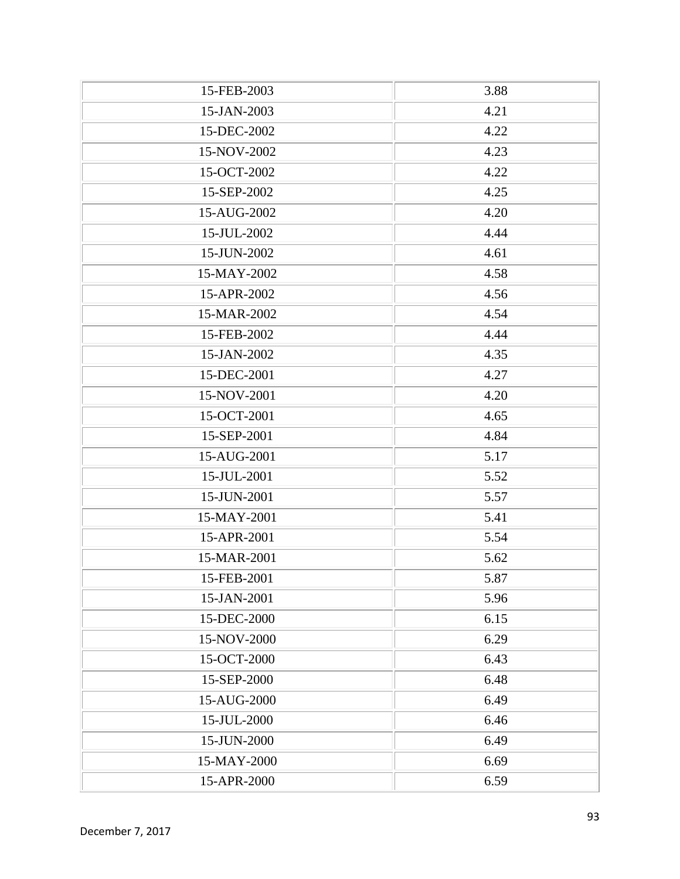| 15-FEB-2003 | 3.88 |
|-------------|------|
| 15-JAN-2003 | 4.21 |
| 15-DEC-2002 | 4.22 |
| 15-NOV-2002 | 4.23 |
| 15-OCT-2002 | 4.22 |
| 15-SEP-2002 | 4.25 |
| 15-AUG-2002 | 4.20 |
| 15-JUL-2002 | 4.44 |
| 15-JUN-2002 | 4.61 |
| 15-MAY-2002 | 4.58 |
| 15-APR-2002 | 4.56 |
| 15-MAR-2002 | 4.54 |
| 15-FEB-2002 | 4.44 |
| 15-JAN-2002 | 4.35 |
| 15-DEC-2001 | 4.27 |
| 15-NOV-2001 | 4.20 |
| 15-OCT-2001 | 4.65 |
| 15-SEP-2001 | 4.84 |
| 15-AUG-2001 | 5.17 |
| 15-JUL-2001 | 5.52 |
| 15-JUN-2001 | 5.57 |
| 15-MAY-2001 | 5.41 |
| 15-APR-2001 | 5.54 |
| 15-MAR-2001 | 5.62 |
| 15-FEB-2001 | 5.87 |
| 15-JAN-2001 | 5.96 |
| 15-DEC-2000 | 6.15 |
| 15-NOV-2000 | 6.29 |
| 15-OCT-2000 | 6.43 |
| 15-SEP-2000 | 6.48 |
| 15-AUG-2000 | 6.49 |
| 15-JUL-2000 | 6.46 |
| 15-JUN-2000 | 6.49 |
| 15-MAY-2000 | 6.69 |
| 15-APR-2000 | 6.59 |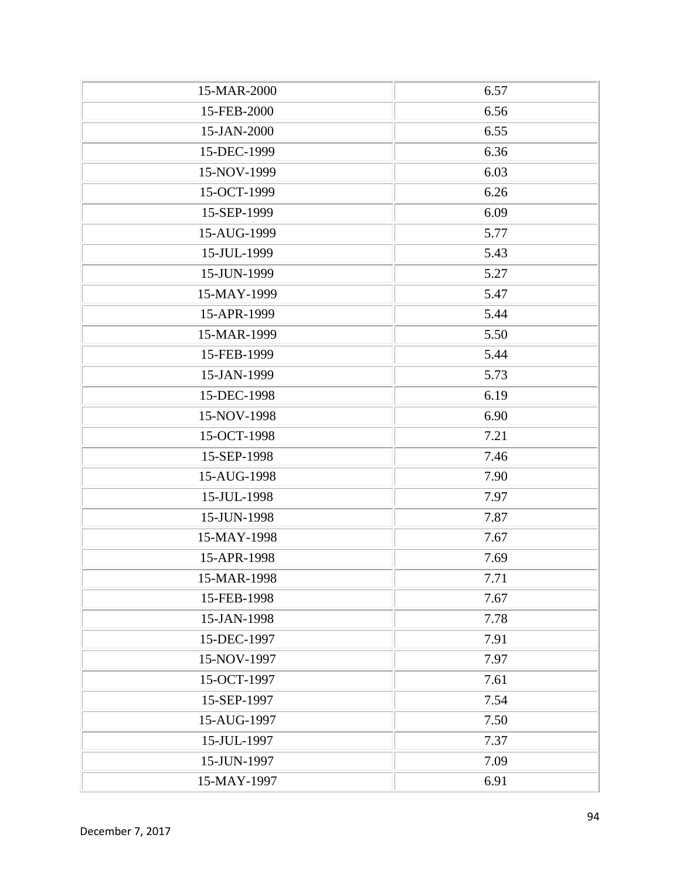| 15-MAR-2000 | 6.57 |
|-------------|------|
| 15-FEB-2000 | 6.56 |
| 15-JAN-2000 | 6.55 |
| 15-DEC-1999 | 6.36 |
| 15-NOV-1999 | 6.03 |
| 15-OCT-1999 | 6.26 |
| 15-SEP-1999 | 6.09 |
| 15-AUG-1999 | 5.77 |
| 15-JUL-1999 | 5.43 |
| 15-JUN-1999 | 5.27 |
| 15-MAY-1999 | 5.47 |
| 15-APR-1999 | 5.44 |
| 15-MAR-1999 | 5.50 |
| 15-FEB-1999 | 5.44 |
| 15-JAN-1999 | 5.73 |
| 15-DEC-1998 | 6.19 |
| 15-NOV-1998 | 6.90 |
| 15-OCT-1998 | 7.21 |
| 15-SEP-1998 | 7.46 |
| 15-AUG-1998 | 7.90 |
| 15-JUL-1998 | 7.97 |
| 15-JUN-1998 | 7.87 |
| 15-MAY-1998 | 7.67 |
| 15-APR-1998 | 7.69 |
| 15-MAR-1998 | 7.71 |
| 15-FEB-1998 | 7.67 |
| 15-JAN-1998 | 7.78 |
| 15-DEC-1997 | 7.91 |
| 15-NOV-1997 | 7.97 |
| 15-OCT-1997 | 7.61 |
| 15-SEP-1997 | 7.54 |
| 15-AUG-1997 | 7.50 |
| 15-JUL-1997 | 7.37 |
| 15-JUN-1997 | 7.09 |
| 15-MAY-1997 | 6.91 |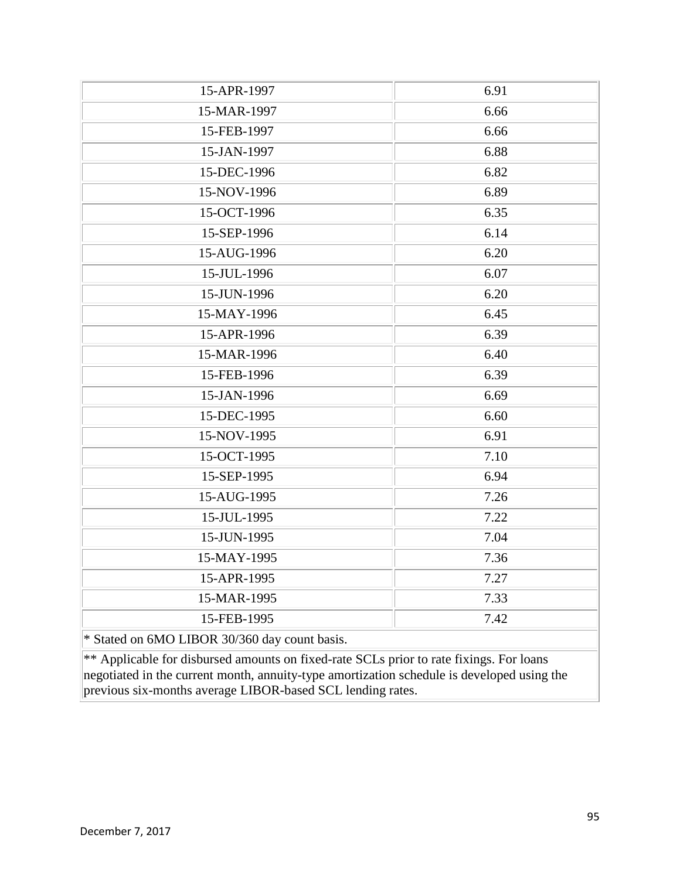| 15-APR-1997                                                                                | 6.91 |
|--------------------------------------------------------------------------------------------|------|
| 15-MAR-1997                                                                                | 6.66 |
| 15-FEB-1997                                                                                | 6.66 |
| 15-JAN-1997                                                                                | 6.88 |
| 15-DEC-1996                                                                                | 6.82 |
| 15-NOV-1996                                                                                | 6.89 |
| 15-OCT-1996                                                                                | 6.35 |
| 15-SEP-1996                                                                                | 6.14 |
| 15-AUG-1996                                                                                | 6.20 |
| 15-JUL-1996                                                                                | 6.07 |
| 15-JUN-1996                                                                                | 6.20 |
| 15-MAY-1996                                                                                | 6.45 |
| 15-APR-1996                                                                                | 6.39 |
| 15-MAR-1996                                                                                | 6.40 |
| 15-FEB-1996                                                                                | 6.39 |
| 15-JAN-1996                                                                                | 6.69 |
| 15-DEC-1995                                                                                | 6.60 |
| 15-NOV-1995                                                                                | 6.91 |
| 15-OCT-1995                                                                                | 7.10 |
| 15-SEP-1995                                                                                | 6.94 |
| 15-AUG-1995                                                                                | 7.26 |
| 15-JUL-1995                                                                                | 7.22 |
| 15-JUN-1995                                                                                | 7.04 |
| 15-MAY-1995                                                                                | 7.36 |
| 15-APR-1995                                                                                | 7.27 |
| 15-MAR-1995                                                                                | 7.33 |
| 15-FEB-1995                                                                                | 7.42 |
| * Stated on 6MO LIBOR 30/360 day count basis.                                              |      |
| ** Applicable for disbursed amounts on fixed-rate SCLs prior to rate fixings. For loans    |      |
| negotiated in the current month, annuity-type amortization schedule is developed using the |      |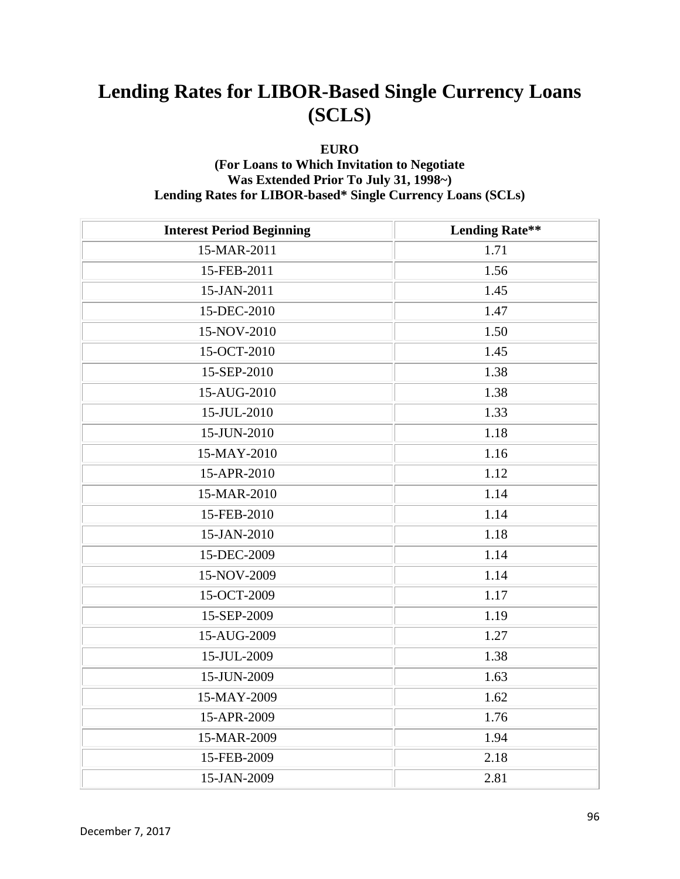#### **EURO**

### **(For Loans to Which Invitation to Negotiate Was Extended Prior To July 31, 1998~) Lending Rates for LIBOR-based\* Single Currency Loans (SCLs)**

| <b>Interest Period Beginning</b> | <b>Lending Rate**</b> |
|----------------------------------|-----------------------|
| 15-MAR-2011                      | 1.71                  |
| 15-FEB-2011                      | 1.56                  |
| 15-JAN-2011                      | 1.45                  |
| 15-DEC-2010                      | 1.47                  |
| 15-NOV-2010                      | 1.50                  |
| 15-OCT-2010                      | 1.45                  |
| 15-SEP-2010                      | 1.38                  |
| 15-AUG-2010                      | 1.38                  |
| 15-JUL-2010                      | 1.33                  |
| 15-JUN-2010                      | 1.18                  |
| 15-MAY-2010                      | 1.16                  |
| 15-APR-2010                      | 1.12                  |
| 15-MAR-2010                      | 1.14                  |
| 15-FEB-2010                      | 1.14                  |
| 15-JAN-2010                      | 1.18                  |
| 15-DEC-2009                      | 1.14                  |
| 15-NOV-2009                      | 1.14                  |
| 15-OCT-2009                      | 1.17                  |
| 15-SEP-2009                      | 1.19                  |
| 15-AUG-2009                      | 1.27                  |
| 15-JUL-2009                      | 1.38                  |
| 15-JUN-2009                      | 1.63                  |
| 15-MAY-2009                      | 1.62                  |
| 15-APR-2009                      | 1.76                  |
| 15-MAR-2009                      | 1.94                  |
| 15-FEB-2009                      | 2.18                  |
| 15-JAN-2009                      | 2.81                  |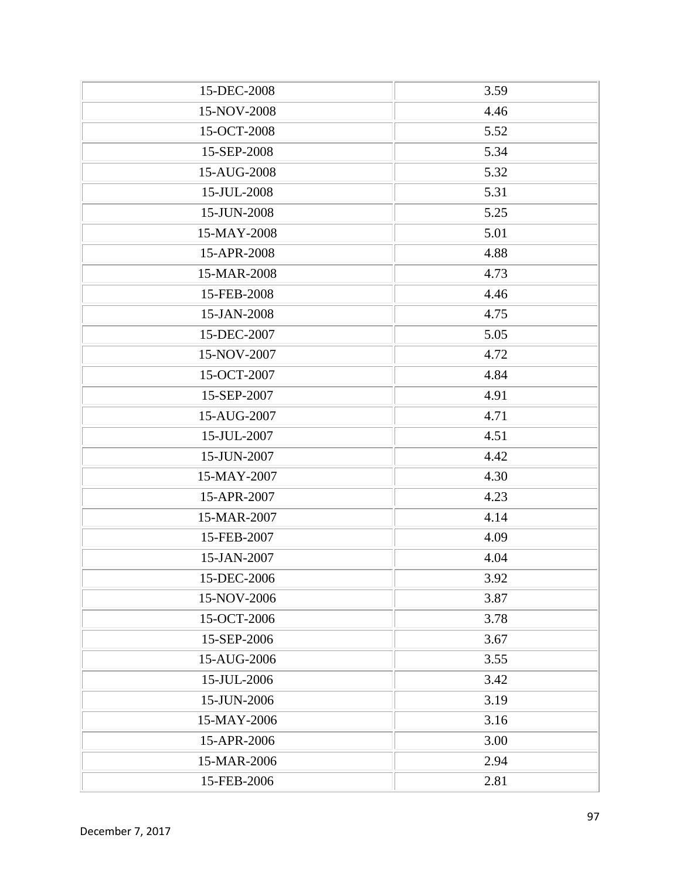| 15-DEC-2008 | 3.59 |
|-------------|------|
| 15-NOV-2008 | 4.46 |
| 15-OCT-2008 | 5.52 |
| 15-SEP-2008 | 5.34 |
| 15-AUG-2008 | 5.32 |
| 15-JUL-2008 | 5.31 |
| 15-JUN-2008 | 5.25 |
| 15-MAY-2008 | 5.01 |
| 15-APR-2008 | 4.88 |
| 15-MAR-2008 | 4.73 |
| 15-FEB-2008 | 4.46 |
| 15-JAN-2008 | 4.75 |
| 15-DEC-2007 | 5.05 |
| 15-NOV-2007 | 4.72 |
| 15-OCT-2007 | 4.84 |
| 15-SEP-2007 | 4.91 |
| 15-AUG-2007 | 4.71 |
| 15-JUL-2007 | 4.51 |
| 15-JUN-2007 | 4.42 |
| 15-MAY-2007 | 4.30 |
| 15-APR-2007 | 4.23 |
| 15-MAR-2007 | 4.14 |
| 15-FEB-2007 | 4.09 |
| 15-JAN-2007 | 4.04 |
| 15-DEC-2006 | 3.92 |
| 15-NOV-2006 | 3.87 |
| 15-OCT-2006 | 3.78 |
| 15-SEP-2006 | 3.67 |
| 15-AUG-2006 | 3.55 |
| 15-JUL-2006 | 3.42 |
| 15-JUN-2006 | 3.19 |
| 15-MAY-2006 | 3.16 |
| 15-APR-2006 | 3.00 |
| 15-MAR-2006 | 2.94 |
| 15-FEB-2006 | 2.81 |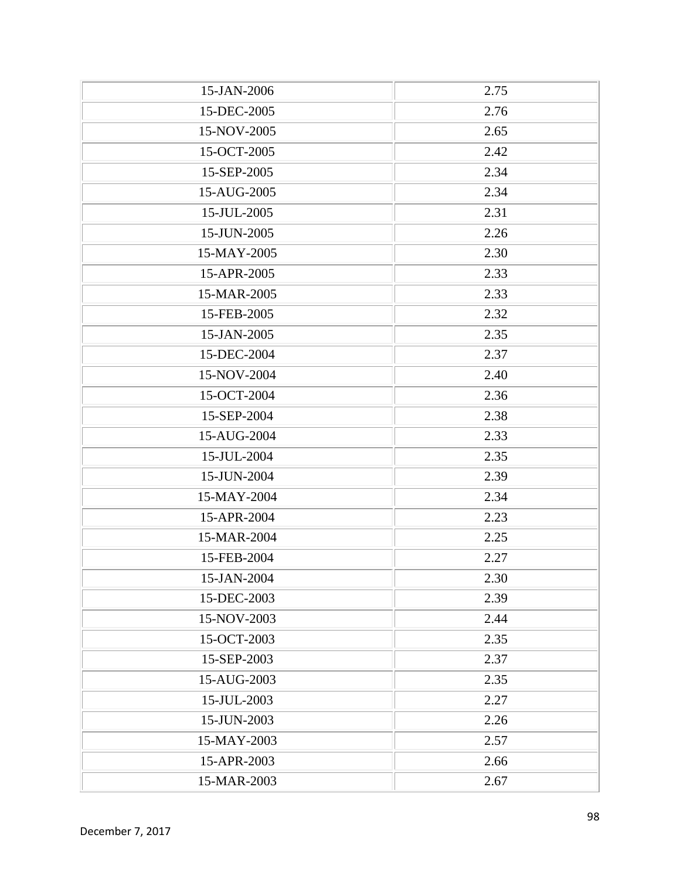| 15-JAN-2006 | 2.75 |
|-------------|------|
| 15-DEC-2005 | 2.76 |
| 15-NOV-2005 | 2.65 |
| 15-OCT-2005 | 2.42 |
| 15-SEP-2005 | 2.34 |
| 15-AUG-2005 | 2.34 |
| 15-JUL-2005 | 2.31 |
| 15-JUN-2005 | 2.26 |
| 15-MAY-2005 | 2.30 |
| 15-APR-2005 | 2.33 |
| 15-MAR-2005 | 2.33 |
| 15-FEB-2005 | 2.32 |
| 15-JAN-2005 | 2.35 |
| 15-DEC-2004 | 2.37 |
| 15-NOV-2004 | 2.40 |
| 15-OCT-2004 | 2.36 |
| 15-SEP-2004 | 2.38 |
| 15-AUG-2004 | 2.33 |
| 15-JUL-2004 | 2.35 |
| 15-JUN-2004 | 2.39 |
| 15-MAY-2004 | 2.34 |
| 15-APR-2004 | 2.23 |
| 15-MAR-2004 | 2.25 |
| 15-FEB-2004 | 2.27 |
| 15-JAN-2004 | 2.30 |
| 15-DEC-2003 | 2.39 |
| 15-NOV-2003 | 2.44 |
| 15-OCT-2003 | 2.35 |
| 15-SEP-2003 | 2.37 |
| 15-AUG-2003 | 2.35 |
| 15-JUL-2003 | 2.27 |
| 15-JUN-2003 | 2.26 |
| 15-MAY-2003 | 2.57 |
| 15-APR-2003 | 2.66 |
| 15-MAR-2003 | 2.67 |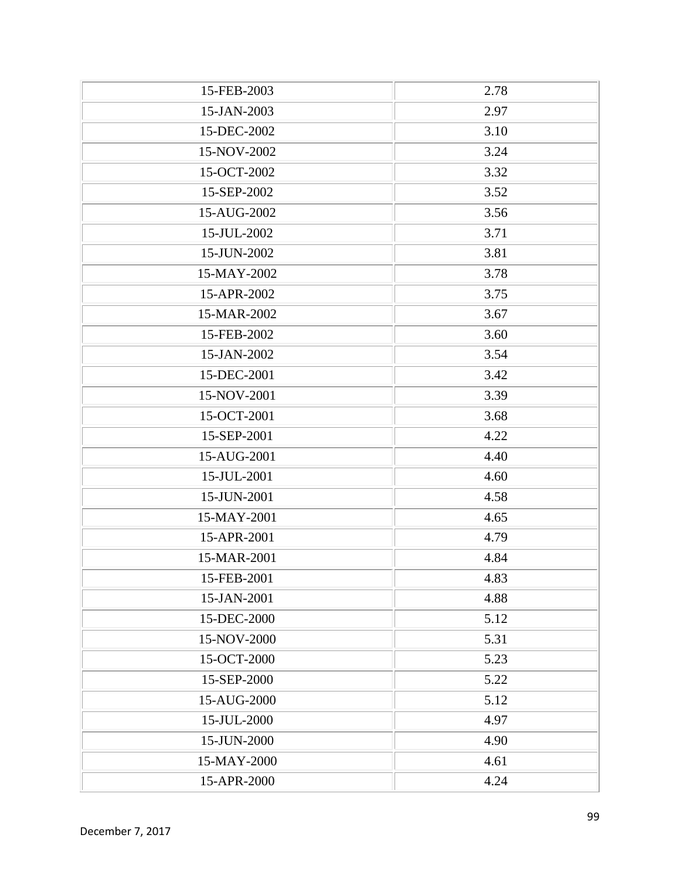| 15-FEB-2003 | 2.78 |
|-------------|------|
| 15-JAN-2003 | 2.97 |
| 15-DEC-2002 | 3.10 |
| 15-NOV-2002 | 3.24 |
| 15-OCT-2002 | 3.32 |
| 15-SEP-2002 | 3.52 |
| 15-AUG-2002 | 3.56 |
| 15-JUL-2002 | 3.71 |
| 15-JUN-2002 | 3.81 |
| 15-MAY-2002 | 3.78 |
| 15-APR-2002 | 3.75 |
| 15-MAR-2002 | 3.67 |
| 15-FEB-2002 | 3.60 |
| 15-JAN-2002 | 3.54 |
| 15-DEC-2001 | 3.42 |
| 15-NOV-2001 | 3.39 |
| 15-OCT-2001 | 3.68 |
| 15-SEP-2001 | 4.22 |
| 15-AUG-2001 | 4.40 |
| 15-JUL-2001 | 4.60 |
| 15-JUN-2001 | 4.58 |
| 15-MAY-2001 | 4.65 |
| 15-APR-2001 | 4.79 |
| 15-MAR-2001 | 4.84 |
| 15-FEB-2001 | 4.83 |
| 15-JAN-2001 | 4.88 |
| 15-DEC-2000 | 5.12 |
| 15-NOV-2000 | 5.31 |
| 15-OCT-2000 | 5.23 |
| 15-SEP-2000 | 5.22 |
| 15-AUG-2000 | 5.12 |
| 15-JUL-2000 | 4.97 |
| 15-JUN-2000 | 4.90 |
| 15-MAY-2000 | 4.61 |
| 15-APR-2000 | 4.24 |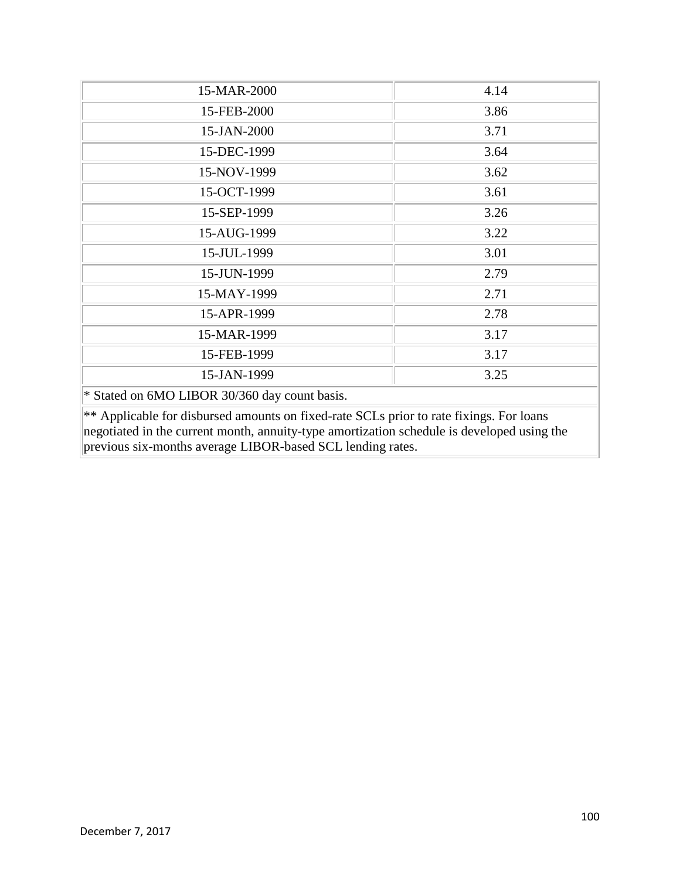| 15-MAR-2000                                                                                                                                                                                                                                         | 4.14 |
|-----------------------------------------------------------------------------------------------------------------------------------------------------------------------------------------------------------------------------------------------------|------|
| 15-FEB-2000                                                                                                                                                                                                                                         | 3.86 |
| 15-JAN-2000                                                                                                                                                                                                                                         | 3.71 |
| 15-DEC-1999                                                                                                                                                                                                                                         | 3.64 |
| 15-NOV-1999                                                                                                                                                                                                                                         | 3.62 |
| 15-OCT-1999                                                                                                                                                                                                                                         | 3.61 |
| 15-SEP-1999                                                                                                                                                                                                                                         | 3.26 |
| 15-AUG-1999                                                                                                                                                                                                                                         | 3.22 |
| 15-JUL-1999                                                                                                                                                                                                                                         | 3.01 |
| 15-JUN-1999                                                                                                                                                                                                                                         | 2.79 |
| 15-MAY-1999                                                                                                                                                                                                                                         | 2.71 |
| 15-APR-1999                                                                                                                                                                                                                                         | 2.78 |
| 15-MAR-1999                                                                                                                                                                                                                                         | 3.17 |
| 15-FEB-1999                                                                                                                                                                                                                                         | 3.17 |
| 15-JAN-1999                                                                                                                                                                                                                                         | 3.25 |
| * Stated on 6MO LIBOR 30/360 day count basis.                                                                                                                                                                                                       |      |
| ** Applicable for disbursed amounts on fixed-rate SCLs prior to rate fixings. For loans<br>negotiated in the current month, annuity-type amortization schedule is developed using the<br>previous six-months average LIBOR-based SCL lending rates. |      |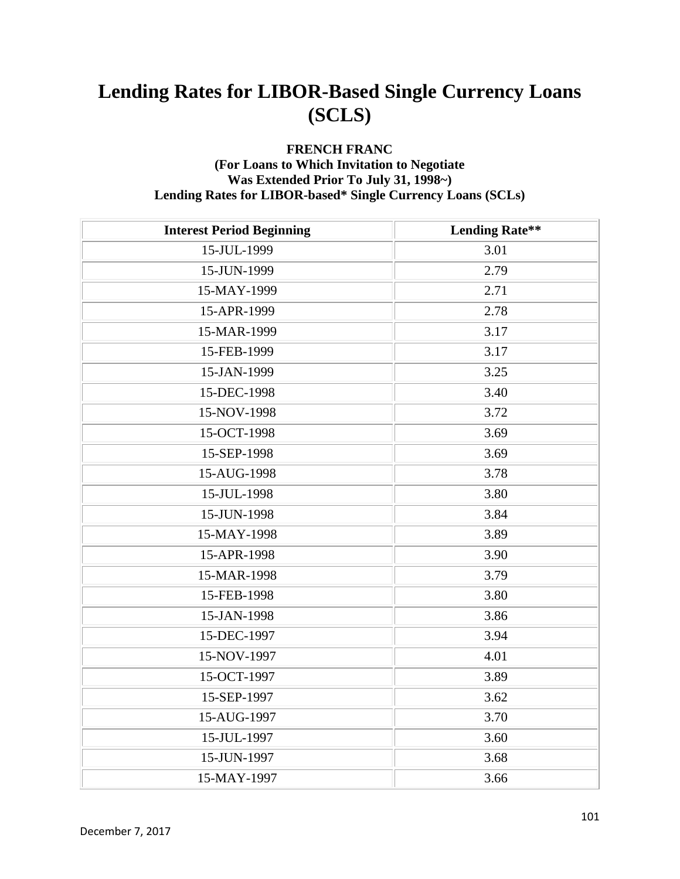#### **FRENCH FRANC (For Loans to Which Invitation to Negotiate Was Extended Prior To July 31, 1998~) Lending Rates for LIBOR-based\* Single Currency Loans (SCLs)**

| <b>Interest Period Beginning</b> | <b>Lending Rate**</b> |
|----------------------------------|-----------------------|
| 15-JUL-1999                      | 3.01                  |
| 15-JUN-1999                      | 2.79                  |
| 15-MAY-1999                      | 2.71                  |
| 15-APR-1999                      | 2.78                  |
| 15-MAR-1999                      | 3.17                  |
| 15-FEB-1999                      | 3.17                  |
| 15-JAN-1999                      | 3.25                  |
| 15-DEC-1998                      | 3.40                  |
| 15-NOV-1998                      | 3.72                  |
| 15-OCT-1998                      | 3.69                  |
| 15-SEP-1998                      | 3.69                  |
| 15-AUG-1998                      | 3.78                  |
| 15-JUL-1998                      | 3.80                  |
| 15-JUN-1998                      | 3.84                  |
| 15-MAY-1998                      | 3.89                  |
| 15-APR-1998                      | 3.90                  |
| 15-MAR-1998                      | 3.79                  |
| 15-FEB-1998                      | 3.80                  |
| 15-JAN-1998                      | 3.86                  |
| 15-DEC-1997                      | 3.94                  |
| 15-NOV-1997                      | 4.01                  |
| 15-OCT-1997                      | 3.89                  |
| 15-SEP-1997                      | 3.62                  |
| 15-AUG-1997                      | 3.70                  |
| 15-JUL-1997                      | 3.60                  |
| 15-JUN-1997                      | 3.68                  |
| 15-MAY-1997                      | 3.66                  |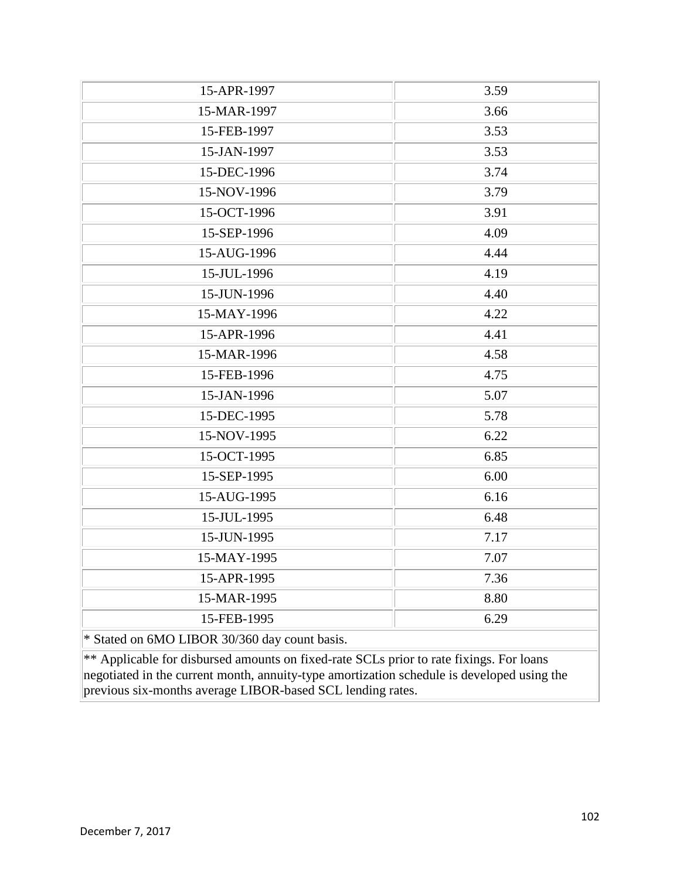| 15-APR-1997                                                                                | 3.59 |
|--------------------------------------------------------------------------------------------|------|
| 15-MAR-1997                                                                                | 3.66 |
| 15-FEB-1997                                                                                | 3.53 |
| 15-JAN-1997                                                                                | 3.53 |
| 15-DEC-1996                                                                                | 3.74 |
| 15-NOV-1996                                                                                | 3.79 |
| 15-OCT-1996                                                                                | 3.91 |
| 15-SEP-1996                                                                                | 4.09 |
| 15-AUG-1996                                                                                | 4.44 |
| 15-JUL-1996                                                                                | 4.19 |
| 15-JUN-1996                                                                                | 4.40 |
| 15-MAY-1996                                                                                | 4.22 |
| 15-APR-1996                                                                                | 4.41 |
| 15-MAR-1996                                                                                | 4.58 |
| 15-FEB-1996                                                                                | 4.75 |
| 15-JAN-1996                                                                                | 5.07 |
| 15-DEC-1995                                                                                | 5.78 |
| 15-NOV-1995                                                                                | 6.22 |
| 15-OCT-1995                                                                                | 6.85 |
| 15-SEP-1995                                                                                | 6.00 |
| 15-AUG-1995                                                                                | 6.16 |
| 15-JUL-1995                                                                                | 6.48 |
| 15-JUN-1995                                                                                | 7.17 |
| 15-MAY-1995                                                                                | 7.07 |
| 15-APR-1995                                                                                | 7.36 |
| 15-MAR-1995                                                                                | 8.80 |
| 15-FEB-1995                                                                                | 6.29 |
| * Stated on 6MO LIBOR 30/360 day count basis.                                              |      |
| ** Applicable for disbursed amounts on fixed-rate SCLs prior to rate fixings. For loans    |      |
| negotiated in the current month, annuity-type amortization schedule is developed using the |      |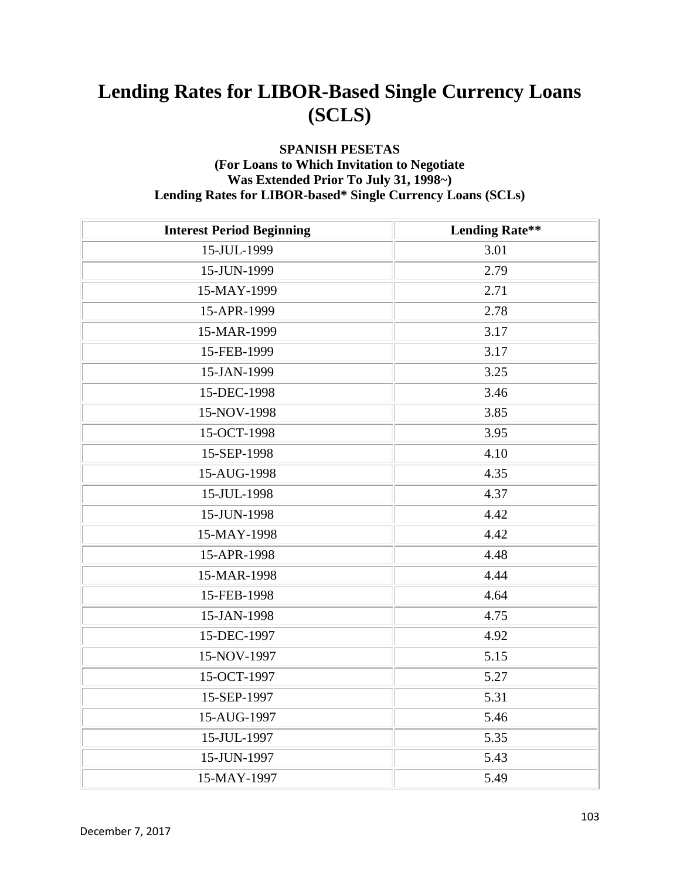#### **SPANISH PESETAS (For Loans to Which Invitation to Negotiate Was Extended Prior To July 31, 1998~) Lending Rates for LIBOR-based\* Single Currency Loans (SCLs)**

| <b>Interest Period Beginning</b> | <b>Lending Rate**</b> |
|----------------------------------|-----------------------|
| 15-JUL-1999                      | 3.01                  |
| 15-JUN-1999                      | 2.79                  |
| 15-MAY-1999                      | 2.71                  |
| 15-APR-1999                      | 2.78                  |
| 15-MAR-1999                      | 3.17                  |
| 15-FEB-1999                      | 3.17                  |
| 15-JAN-1999                      | 3.25                  |
| 15-DEC-1998                      | 3.46                  |
| 15-NOV-1998                      | 3.85                  |
| 15-OCT-1998                      | 3.95                  |
| 15-SEP-1998                      | 4.10                  |
| 15-AUG-1998                      | 4.35                  |
| 15-JUL-1998                      | 4.37                  |
| 15-JUN-1998                      | 4.42                  |
| 15-MAY-1998                      | 4.42                  |
| 15-APR-1998                      | 4.48                  |
| 15-MAR-1998                      | 4.44                  |
| 15-FEB-1998                      | 4.64                  |
| 15-JAN-1998                      | 4.75                  |
| 15-DEC-1997                      | 4.92                  |
| 15-NOV-1997                      | 5.15                  |
| 15-OCT-1997                      | 5.27                  |
| 15-SEP-1997                      | 5.31                  |
| 15-AUG-1997                      | 5.46                  |
| 15-JUL-1997                      | 5.35                  |
| 15-JUN-1997                      | 5.43                  |
| 15-MAY-1997                      | 5.49                  |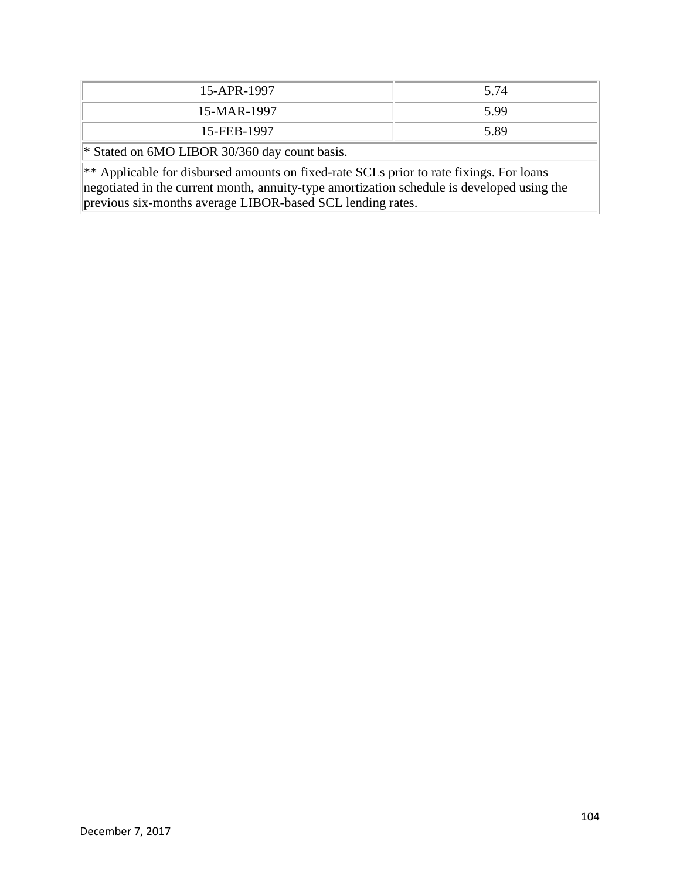| 15-APR-1997                                                                                     | 5.74 |  |
|-------------------------------------------------------------------------------------------------|------|--|
| 15-MAR-1997                                                                                     | 5.99 |  |
| 15-FEB-1997                                                                                     | 5.89 |  |
| $\ $ * Stated on 6MO LIBOR 30/360 day count basis.                                              |      |  |
| $\ast\ast$ Applicable for disbursed amounts on fixed-rate SCLs prior to rate fixings. For loans |      |  |
| negotiated in the current month, annuity-type amortization schedule is developed using the      |      |  |

December 7, 2017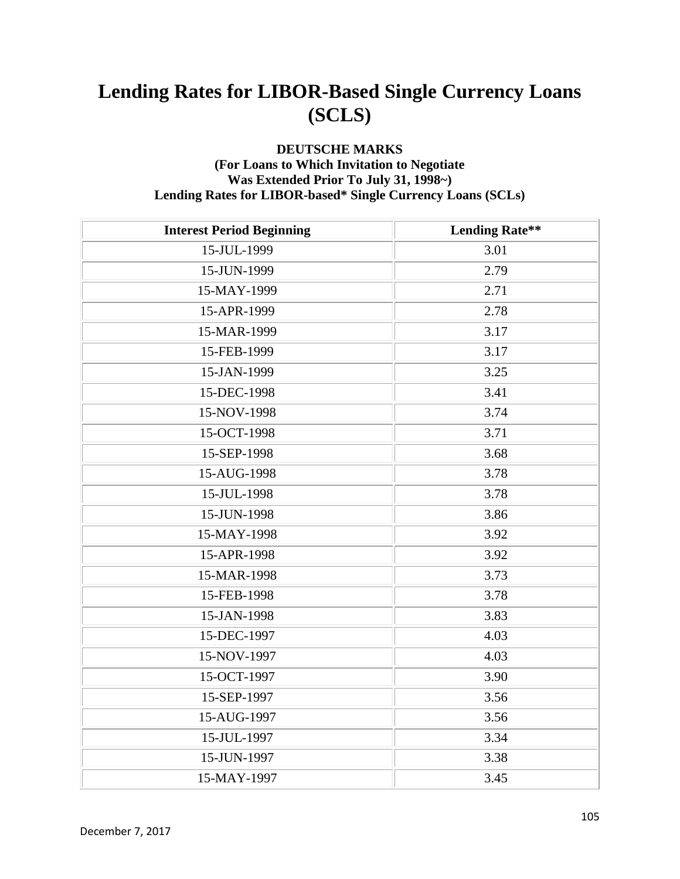#### **DEUTSCHE MARKS (For Loans to Which Invitation to Negotiate Was Extended Prior To July 31, 1998~) Lending Rates for LIBOR-based\* Single Currency Loans (SCLs)**

| <b>Interest Period Beginning</b> | <b>Lending Rate**</b> |
|----------------------------------|-----------------------|
| 15-JUL-1999                      | 3.01                  |
| 15-JUN-1999                      | 2.79                  |
| 15-MAY-1999                      | 2.71                  |
| 15-APR-1999                      | 2.78                  |
| 15-MAR-1999                      | 3.17                  |
| 15-FEB-1999                      | 3.17                  |
| 15-JAN-1999                      | 3.25                  |
| 15-DEC-1998                      | 3.41                  |
| 15-NOV-1998                      | 3.74                  |
| 15-OCT-1998                      | 3.71                  |
| 15-SEP-1998                      | 3.68                  |
| 15-AUG-1998                      | 3.78                  |
| 15-JUL-1998                      | 3.78                  |
| 15-JUN-1998                      | 3.86                  |
| 15-MAY-1998                      | 3.92                  |
| 15-APR-1998                      | 3.92                  |
| 15-MAR-1998                      | 3.73                  |
| 15-FEB-1998                      | 3.78                  |
| 15-JAN-1998                      | 3.83                  |
| 15-DEC-1997                      | 4.03                  |
| 15-NOV-1997                      | 4.03                  |
| 15-OCT-1997                      | 3.90                  |
| 15-SEP-1997                      | 3.56                  |
| 15-AUG-1997                      | 3.56                  |
| 15-JUL-1997                      | 3.34                  |
| 15-JUN-1997                      | 3.38                  |
| 15-MAY-1997                      | 3.45                  |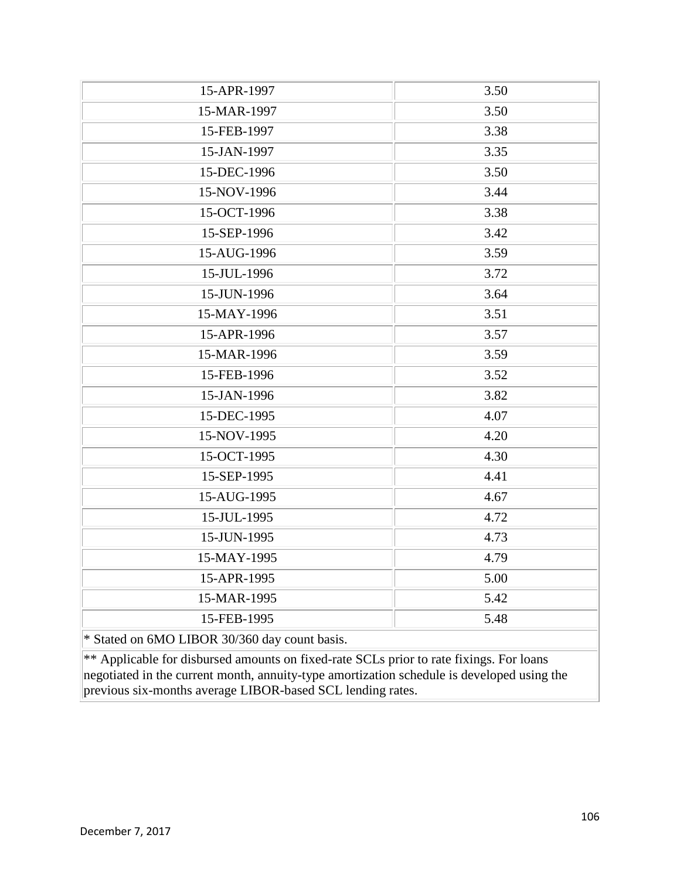| 15-APR-1997                                                                                | 3.50 |
|--------------------------------------------------------------------------------------------|------|
| 15-MAR-1997                                                                                | 3.50 |
| 15-FEB-1997                                                                                | 3.38 |
| 15-JAN-1997                                                                                | 3.35 |
| 15-DEC-1996                                                                                | 3.50 |
| 15-NOV-1996                                                                                | 3.44 |
| 15-OCT-1996                                                                                | 3.38 |
| 15-SEP-1996                                                                                | 3.42 |
| 15-AUG-1996                                                                                | 3.59 |
| 15-JUL-1996                                                                                | 3.72 |
| 15-JUN-1996                                                                                | 3.64 |
| 15-MAY-1996                                                                                | 3.51 |
| 15-APR-1996                                                                                | 3.57 |
| 15-MAR-1996                                                                                | 3.59 |
| 15-FEB-1996                                                                                | 3.52 |
| 15-JAN-1996                                                                                | 3.82 |
| 15-DEC-1995                                                                                | 4.07 |
| 15-NOV-1995                                                                                | 4.20 |
| 15-OCT-1995                                                                                | 4.30 |
| 15-SEP-1995                                                                                | 4.41 |
| 15-AUG-1995                                                                                | 4.67 |
| 15-JUL-1995                                                                                | 4.72 |
| 15-JUN-1995                                                                                | 4.73 |
| 15-MAY-1995                                                                                | 4.79 |
| 15-APR-1995                                                                                | 5.00 |
| 15-MAR-1995                                                                                | 5.42 |
| 15-FEB-1995                                                                                | 5.48 |
| * Stated on 6MO LIBOR 30/360 day count basis.                                              |      |
| ** Applicable for disbursed amounts on fixed-rate SCLs prior to rate fixings. For loans    |      |
| negotiated in the current month, annuity-type amortization schedule is developed using the |      |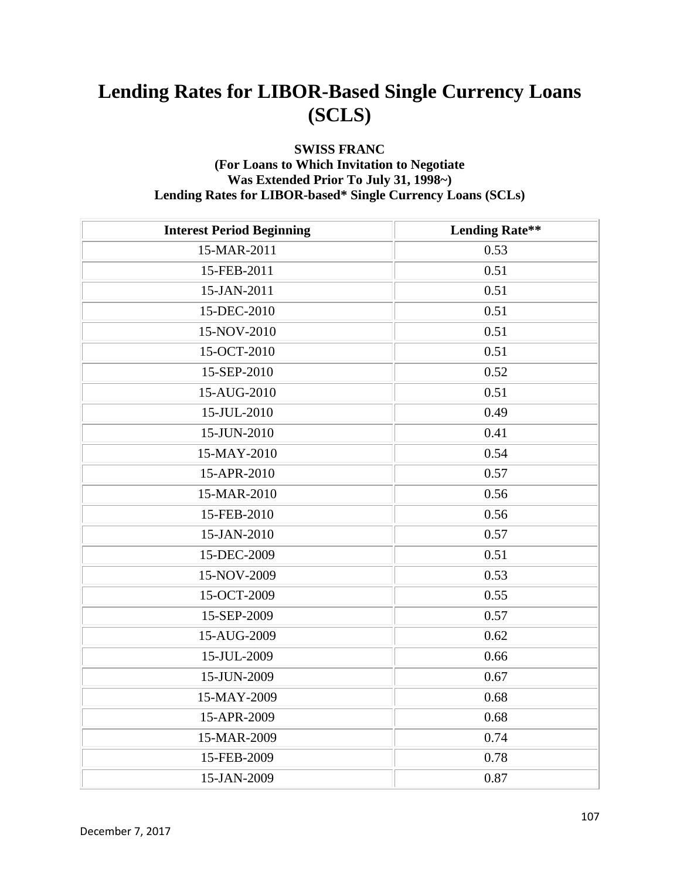### **SWISS FRANC (For Loans to Which Invitation to Negotiate Was Extended Prior To July 31, 1998~) Lending Rates for LIBOR-based\* Single Currency Loans (SCLs)**

| <b>Interest Period Beginning</b> | <b>Lending Rate**</b> |
|----------------------------------|-----------------------|
| 15-MAR-2011                      | 0.53                  |
| 15-FEB-2011                      | 0.51                  |
| 15-JAN-2011                      | 0.51                  |
| 15-DEC-2010                      | 0.51                  |
| 15-NOV-2010                      | 0.51                  |
| 15-OCT-2010                      | 0.51                  |
| 15-SEP-2010                      | 0.52                  |
| 15-AUG-2010                      | 0.51                  |
| 15-JUL-2010                      | 0.49                  |
| 15-JUN-2010                      | 0.41                  |
| 15-MAY-2010                      | 0.54                  |
| 15-APR-2010                      | 0.57                  |
| 15-MAR-2010                      | 0.56                  |
| 15-FEB-2010                      | 0.56                  |
| 15-JAN-2010                      | 0.57                  |
| 15-DEC-2009                      | 0.51                  |
| 15-NOV-2009                      | 0.53                  |
| 15-OCT-2009                      | 0.55                  |
| 15-SEP-2009                      | 0.57                  |
| 15-AUG-2009                      | 0.62                  |
| 15-JUL-2009                      | 0.66                  |
| 15-JUN-2009                      | 0.67                  |
| 15-MAY-2009                      | 0.68                  |
| 15-APR-2009                      | 0.68                  |
| 15-MAR-2009                      | 0.74                  |
| 15-FEB-2009                      | 0.78                  |
| 15-JAN-2009                      | 0.87                  |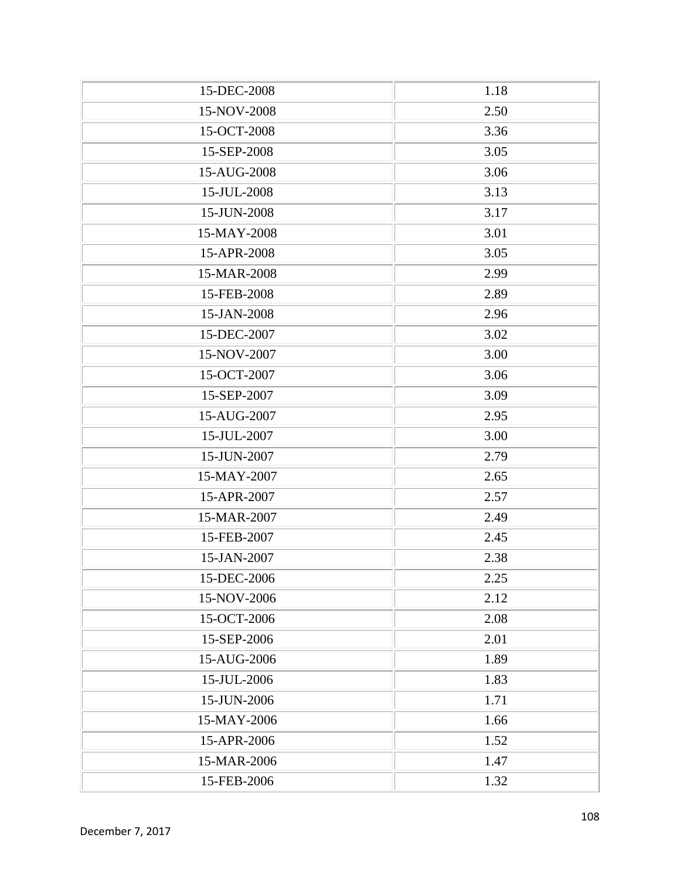| 15-DEC-2008 | 1.18 |
|-------------|------|
| 15-NOV-2008 | 2.50 |
| 15-OCT-2008 | 3.36 |
| 15-SEP-2008 | 3.05 |
| 15-AUG-2008 | 3.06 |
| 15-JUL-2008 | 3.13 |
| 15-JUN-2008 | 3.17 |
| 15-MAY-2008 | 3.01 |
| 15-APR-2008 | 3.05 |
| 15-MAR-2008 | 2.99 |
| 15-FEB-2008 | 2.89 |
| 15-JAN-2008 | 2.96 |
| 15-DEC-2007 | 3.02 |
| 15-NOV-2007 | 3.00 |
| 15-OCT-2007 | 3.06 |
| 15-SEP-2007 | 3.09 |
| 15-AUG-2007 | 2.95 |
| 15-JUL-2007 | 3.00 |
| 15-JUN-2007 | 2.79 |
| 15-MAY-2007 | 2.65 |
| 15-APR-2007 | 2.57 |
| 15-MAR-2007 | 2.49 |
| 15-FEB-2007 | 2.45 |
| 15-JAN-2007 | 2.38 |
| 15-DEC-2006 | 2.25 |
| 15-NOV-2006 | 2.12 |
| 15-OCT-2006 | 2.08 |
| 15-SEP-2006 | 2.01 |
| 15-AUG-2006 | 1.89 |
| 15-JUL-2006 | 1.83 |
| 15-JUN-2006 | 1.71 |
| 15-MAY-2006 | 1.66 |
| 15-APR-2006 | 1.52 |
| 15-MAR-2006 | 1.47 |
| 15-FEB-2006 | 1.32 |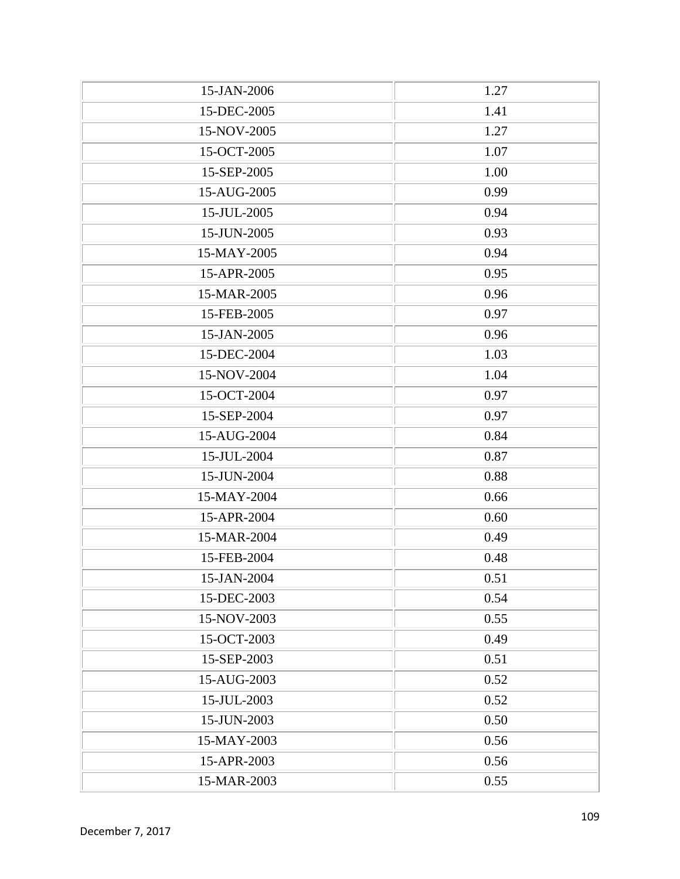| 15-JAN-2006 | 1.27 |
|-------------|------|
| 15-DEC-2005 | 1.41 |
| 15-NOV-2005 | 1.27 |
| 15-OCT-2005 | 1.07 |
| 15-SEP-2005 | 1.00 |
| 15-AUG-2005 | 0.99 |
| 15-JUL-2005 | 0.94 |
| 15-JUN-2005 | 0.93 |
| 15-MAY-2005 | 0.94 |
| 15-APR-2005 | 0.95 |
| 15-MAR-2005 | 0.96 |
| 15-FEB-2005 | 0.97 |
| 15-JAN-2005 | 0.96 |
| 15-DEC-2004 | 1.03 |
| 15-NOV-2004 | 1.04 |
| 15-OCT-2004 | 0.97 |
| 15-SEP-2004 | 0.97 |
| 15-AUG-2004 | 0.84 |
| 15-JUL-2004 | 0.87 |
| 15-JUN-2004 | 0.88 |
| 15-MAY-2004 | 0.66 |
| 15-APR-2004 | 0.60 |
| 15-MAR-2004 | 0.49 |
| 15-FEB-2004 | 0.48 |
| 15-JAN-2004 | 0.51 |
| 15-DEC-2003 | 0.54 |
| 15-NOV-2003 | 0.55 |
| 15-OCT-2003 | 0.49 |
| 15-SEP-2003 | 0.51 |
| 15-AUG-2003 | 0.52 |
| 15-JUL-2003 | 0.52 |
| 15-JUN-2003 | 0.50 |
| 15-MAY-2003 | 0.56 |
| 15-APR-2003 | 0.56 |
| 15-MAR-2003 | 0.55 |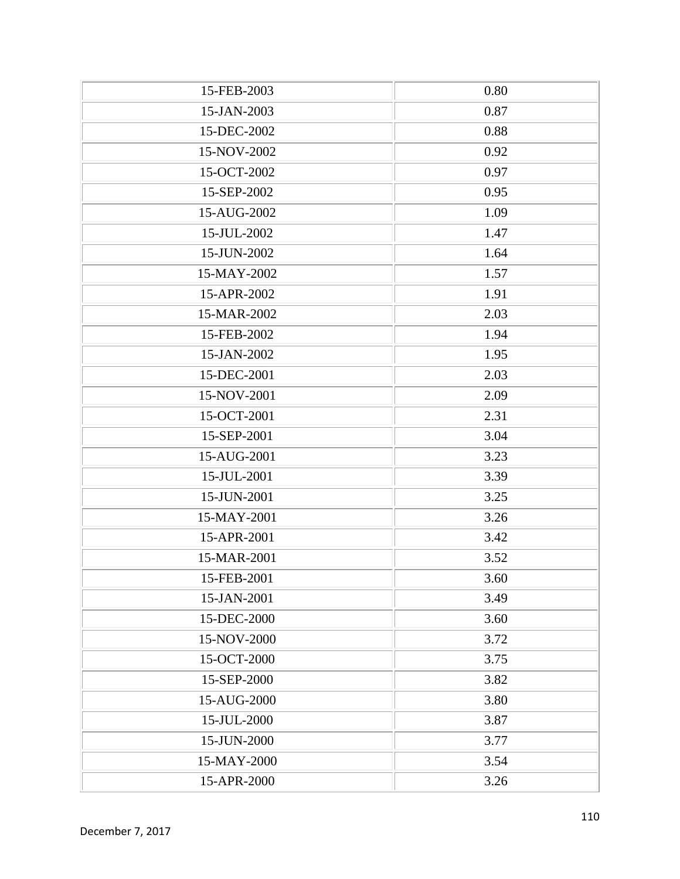| 15-FEB-2003 | 0.80 |
|-------------|------|
| 15-JAN-2003 | 0.87 |
| 15-DEC-2002 | 0.88 |
| 15-NOV-2002 | 0.92 |
| 15-OCT-2002 | 0.97 |
| 15-SEP-2002 | 0.95 |
| 15-AUG-2002 | 1.09 |
| 15-JUL-2002 | 1.47 |
| 15-JUN-2002 | 1.64 |
| 15-MAY-2002 | 1.57 |
| 15-APR-2002 | 1.91 |
| 15-MAR-2002 | 2.03 |
| 15-FEB-2002 | 1.94 |
| 15-JAN-2002 | 1.95 |
| 15-DEC-2001 | 2.03 |
| 15-NOV-2001 | 2.09 |
| 15-OCT-2001 | 2.31 |
| 15-SEP-2001 | 3.04 |
| 15-AUG-2001 | 3.23 |
| 15-JUL-2001 | 3.39 |
| 15-JUN-2001 | 3.25 |
| 15-MAY-2001 | 3.26 |
| 15-APR-2001 | 3.42 |
| 15-MAR-2001 | 3.52 |
| 15-FEB-2001 | 3.60 |
| 15-JAN-2001 | 3.49 |
| 15-DEC-2000 | 3.60 |
| 15-NOV-2000 | 3.72 |
| 15-OCT-2000 | 3.75 |
| 15-SEP-2000 | 3.82 |
| 15-AUG-2000 | 3.80 |
| 15-JUL-2000 | 3.87 |
| 15-JUN-2000 | 3.77 |
| 15-MAY-2000 | 3.54 |
| 15-APR-2000 | 3.26 |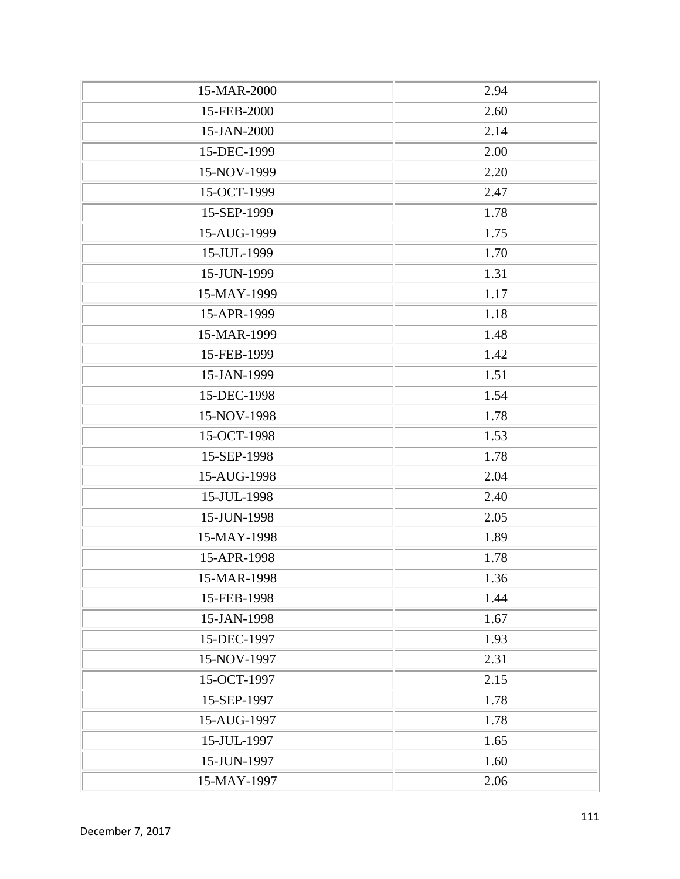| 15-MAR-2000 | 2.94 |
|-------------|------|
| 15-FEB-2000 | 2.60 |
| 15-JAN-2000 | 2.14 |
| 15-DEC-1999 | 2.00 |
| 15-NOV-1999 | 2.20 |
| 15-OCT-1999 | 2.47 |
| 15-SEP-1999 | 1.78 |
| 15-AUG-1999 | 1.75 |
| 15-JUL-1999 | 1.70 |
| 15-JUN-1999 | 1.31 |
| 15-MAY-1999 | 1.17 |
| 15-APR-1999 | 1.18 |
| 15-MAR-1999 | 1.48 |
| 15-FEB-1999 | 1.42 |
| 15-JAN-1999 | 1.51 |
| 15-DEC-1998 | 1.54 |
| 15-NOV-1998 | 1.78 |
| 15-OCT-1998 | 1.53 |
| 15-SEP-1998 | 1.78 |
| 15-AUG-1998 | 2.04 |
| 15-JUL-1998 | 2.40 |
| 15-JUN-1998 | 2.05 |
| 15-MAY-1998 | 1.89 |
| 15-APR-1998 | 1.78 |
| 15-MAR-1998 | 1.36 |
| 15-FEB-1998 | 1.44 |
| 15-JAN-1998 | 1.67 |
| 15-DEC-1997 | 1.93 |
| 15-NOV-1997 | 2.31 |
| 15-OCT-1997 | 2.15 |
| 15-SEP-1997 | 1.78 |
| 15-AUG-1997 | 1.78 |
| 15-JUL-1997 | 1.65 |
| 15-JUN-1997 | 1.60 |
| 15-MAY-1997 | 2.06 |